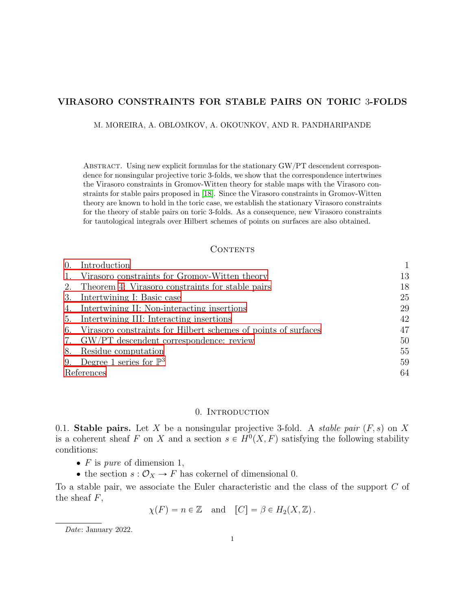# VIRASORO CONSTRAINTS FOR STABLE PAIRS ON TORIC 3-FOLDS

M. MOREIRA, A. OBLOMKOV, A. OKOUNKOV, AND R. PANDHARIPANDE

Abstract. Using new explicit formulas for the stationary GW{PT descendent correspondence for nonsingular projective toric 3-folds, we show that the correspondence intertwines the Virasoro constraints in Gromov-Witten theory for stable maps with the Virasoro constraints for stable pairs proposed in [\[18\]](#page-64-0). Since the Virasoro constraints in Gromov-Witten theory are known to hold in the toric case, we establish the stationary Virasoro constraints for the theory of stable pairs on toric 3-folds. As a consequence, new Virasoro constraints for tautological integrals over Hilbert schemes of points on surfaces are also obtained.

#### **CONTENTS**

| $\overline{0}$ . | Introduction                                                   |    |
|------------------|----------------------------------------------------------------|----|
|                  | Virasoro constraints for Gromov-Witten theory                  | 13 |
|                  | 2. Theorem 4: Virasoro constraints for stable pairs            | 18 |
| 3.               | Intertwining I: Basic case                                     | 25 |
|                  | 4. Intertwining II: Non-interacting insertions                 | 29 |
|                  | 5. Intertwining III: Interacting insertions                    | 42 |
| 6.               | Virasoro constraints for Hilbert schemes of points of surfaces | 47 |
|                  | 7. GW/PT descendent correspondence: review                     | 50 |
| 8.               | Residue computation                                            | 55 |
| 9.               | Degree 1 series for $\mathbb{P}^3$                             | 59 |
| References       |                                                                | 64 |

# 0. INTRODUCTION

<span id="page-0-1"></span><span id="page-0-0"></span>0.1. Stable pairs. Let X be a nonsingular projective 3-fold. A stable pair  $(F, s)$  on X is a coherent sheaf F on X and a section  $s \in H^0(X, F)$  satisfying the following stability conditions:

- $\bullet$  F is pure of dimension 1,
- the section  $s: \mathcal{O}_X \to F$  has cokernel of dimensional 0.

To a stable pair, we associate the Euler characteristic and the class of the support C of the sheaf  $F$ ,

$$
\chi(F) = n \in \mathbb{Z}
$$
 and  $[C] = \beta \in H_2(X, \mathbb{Z})$ .

Date: January 2022.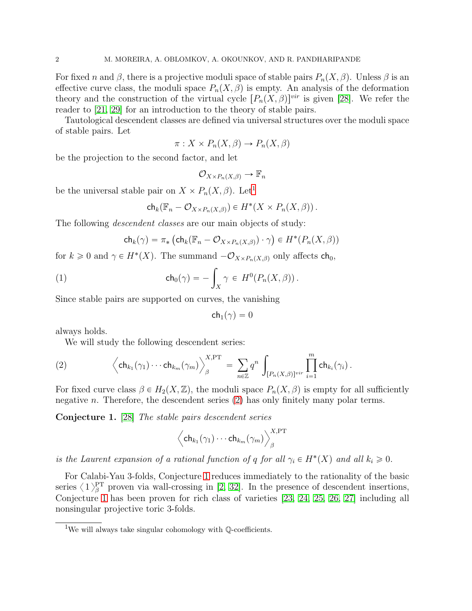For fixed n and  $\beta$ , there is a projective moduli space of stable pairs  $P_n(X, \beta)$ . Unless  $\beta$  is an effective curve class, the moduli space  $P_n(X, \beta)$  is empty. An analysis of the deformation theory and the construction of the virtual cycle  $[P_n(X, \beta)]^{vir}$  is given [\[28\]](#page-64-1). We refer the reader to [\[21,](#page-64-2) [29\]](#page-64-3) for an introduction to the theory of stable pairs.

Tautological descendent classes are defined via universal structures over the moduli space of stable pairs. Let

$$
\pi: X \times P_n(X, \beta) \to P_n(X, \beta)
$$

be the projection to the second factor, and let

$$
\mathcal{O}_{X \times P_n(X,\beta)} \to \mathbb{F}_n
$$

be the universal stable pair on  $X \times P_n(X, \beta)$ . Let<sup>[1](#page-1-0)</sup>

$$
\mathsf{ch}_k(\mathbb{F}_n-\mathcal{O}_{X\times P_n(X,\beta)})\in H^*(X\times P_n(X,\beta)).
$$

The following *descendent classes* are our main objects of study:

<span id="page-1-3"></span>
$$
\mathsf{ch}_k(\gamma) = \pi_* \left( \mathsf{ch}_k(\mathbb{F}_n - \mathcal{O}_{X \times P_n(X,\beta)}) \cdot \gamma \right) \in H^*(P_n(X,\beta))
$$

for  $k \geq 0$  and  $\gamma \in H^*(X)$ . The summand  $-\mathcal{O}_{X \times P_n(X,\beta)}$  only affects  $\mathsf{ch}_0$ ,

(1) 
$$
\mathsf{ch}_0(\gamma) = -\int_X \gamma \in H^0(P_n(X,\beta)).
$$

Since stable pairs are supported on curves, the vanishing

$$
\mathsf{ch}_1(\gamma)=0
$$

always holds.

<span id="page-1-1"></span>We will study the following descendent series:

(2) 
$$
\left\langle \mathsf{ch}_{k_1}(\gamma_1)\cdots \mathsf{ch}_{k_m}(\gamma_m) \right\rangle_{\beta}^{X,\mathrm{PT}} = \sum_{n\in\mathbb{Z}} q^n \int_{[P_n(X,\beta)]^{vir}} \prod_{i=1}^m \mathsf{ch}_{k_i}(\gamma_i).
$$

For fixed curve class  $\beta \in H_2(X, \mathbb{Z})$ , the moduli space  $P_n(X, \beta)$  is empty for all sufficiently negative n. Therefore, the descendent series  $(2)$  has only finitely many polar terms.

<span id="page-1-2"></span>Conjecture 1. [\[28\]](#page-64-1) The stable pairs descendent series

$$
\left\langle\mathsf{ch}_{k_1}(\gamma_1)\cdots\mathsf{ch}_{k_m}(\gamma_m)\right\rangle_{\beta}^{X,\operatorname{PT}}
$$

is the Laurent expansion of a rational function of q for all  $\gamma_i \in H^*(X)$  and all  $k_i \geq 0$ .

For Calabi-Yau 3-folds, Conjecture [1](#page-1-2) reduces immediately to the rationality of the basic series  $\langle 1 \rangle^{\text{PT}}_{\beta}$  proven via wall-crossing in [\[2,](#page-63-1) [32\]](#page-64-4). In the presence of descendent insertions, Conjecture [1](#page-1-2) has been proven for rich class of varieties [\[23,](#page-64-5) [24,](#page-64-6) [25,](#page-64-7) [26,](#page-64-8) [27\]](#page-64-9) including all nonsingular projective toric 3-folds.

<span id="page-1-0"></span><sup>&</sup>lt;sup>1</sup>We will always take singular cohomology with  $\mathbb{Q}$ -coefficients.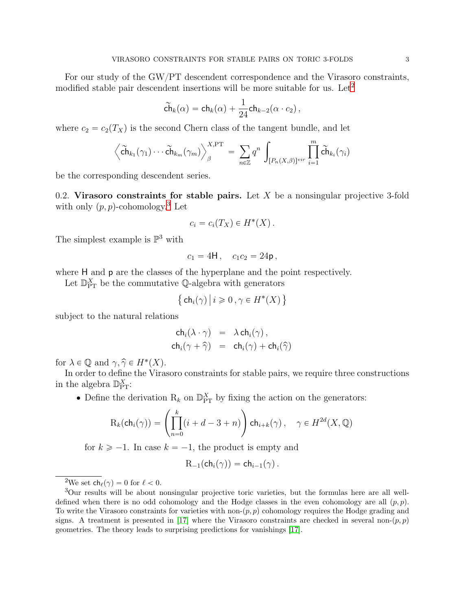For our study of the GW/PT descendent correspondence and the Virasoro constraints, modified stable pair descendent insertions will be more suitable for us. Let<sup>[2](#page-2-0)</sup>

$$
\widetilde{\mathsf{ch}}_k(\alpha) = \mathsf{ch}_k(\alpha) + \frac{1}{24} \mathsf{ch}_{k-2}(\alpha \cdot c_2),
$$

where  $c_2 = c_2(T_X)$  is the second Chern class of the tangent bundle, and let

$$
\left\langle \widetilde{\mathsf{ch}}_{k_1}(\gamma_1)\cdots \widetilde{\mathsf{ch}}_{k_m}(\gamma_m) \right\rangle_{\beta}^{X,\mathrm{PT}} = \sum_{n\in\mathbb{Z}} q^n \int_{[P_n(X,\beta)]^{vir}} \prod_{i=1}^m \widetilde{\mathsf{ch}}_{k_i}(\gamma_i)
$$

<span id="page-2-2"></span>be the corresponding descendent series.

0.2. Virasoro constraints for stable pairs. Let  $X$  be a nonsingular projective 3-fold with only  $(p, p)$ -cohomology.<sup>[3](#page-2-1)</sup> Let

$$
c_i = c_i(T_X) \in H^*(X) .
$$

The simplest example is  $\mathbb{P}^3$  with

$$
c_1 = 4H, \quad c_1c_2 = 24p,
$$

where H and p are the classes of the hyperplane and the point respectively.

Let  $\mathbb{D}_{\text{PT}}^X$  be the commutative Q-algebra with generators

$$
\big\{\operatorname{ch}_i(\gamma)\,\big|\, i\geqslant 0\,, \gamma\in H^*(X)\,\big\}
$$

subject to the natural relations

$$
ch_i(\lambda \cdot \gamma) = \lambda ch_i(\gamma),
$$
  
\n
$$
ch_i(\gamma + \widehat{\gamma}) = ch_i(\gamma) + ch_i(\widehat{\gamma})
$$

for  $\lambda \in \mathbb{Q}$  and  $\gamma, \hat{\gamma} \in H^*(X)$ .

In order to define the Virasoro constraints for stable pairs, we require three constructions in the algebra  $\mathbb{D}_{\text{PT}}^X$ :

• Define the derivation  $R_k$  on  $\mathbb{D}_{\text{PT}}^X$  by fixing the action on the generators:

$$
\mathrm{R}_k(\mathrm{ch}_i(\gamma)) = \left(\prod_{n=0}^k (i+d-3+n)\right) \mathrm{ch}_{i+k}(\gamma)\,, \quad \gamma \in H^{2d}(X,\mathbb{Q})
$$

for  $k \ge -1$ . In case  $k = -1$ , the product is empty and

$$
R_{-1}(ch_i(\gamma)) = ch_{i-1}(\gamma).
$$

<span id="page-2-0"></span><sup>2</sup>We set  $ch_{\ell}(\gamma) = 0$  for  $\ell < 0$ .

<span id="page-2-1"></span><sup>3</sup>Our results will be about nonsingular projective toric varieties, but the formulas here are all welldefined when there is no odd cohomology and the Hodge classes in the even cohomology are all  $(p, p)$ . To write the Virasoro constraints for varieties with non- $(p, p)$  cohomology requires the Hodge grading and signs. A treatment is presented in [\[17\]](#page-64-10) where the Virasoro constraints are checked in several non- $(p, p)$ geometries. The theory leads to surprising predictions for vanishings [\[17\]](#page-64-10).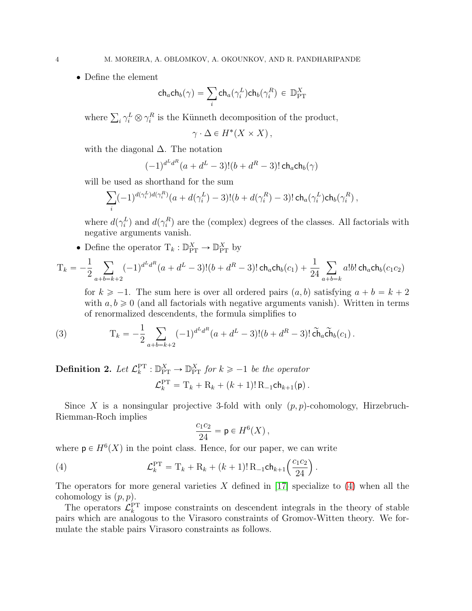• Define the element

$$
\mathsf{ch}_a \mathsf{ch}_b(\gamma) = \sum_i \mathsf{ch}_a(\gamma_i^L) \mathsf{ch}_b(\gamma_i^R) \in \mathbb{D}_{\operatorname{PT}}^X
$$

where  $\sum_i \gamma_i^L \otimes \gamma_i^R$  is the Künneth decomposition of the product,

$$
\gamma \cdot \Delta \in H^*(X \times X),
$$

with the diagonal  $\Delta$ . The notation

$$
(-1)^{d^L d^R} (a + d^L - 3)!(b + d^R - 3)! \, \text{ch}_a \text{ch}_b(\gamma)
$$

will be used as shorthand for the sum

$$
\sum_i (-1)^{d(\gamma_i^L)d(\gamma_i^R)} (a+d(\gamma_i^L)-3)!(b+d(\gamma_i^R)-3)!\operatorname{ch}_a(\gamma_i^L)\operatorname{ch}_b(\gamma_i^R),
$$

where  $d(\gamma_i^L)$  and  $d(\gamma_i^R)$  are the (complex) degrees of the classes. All factorials with negative arguments vanish.

• Define the operator  $T_k : \mathbb{D}_{PT}^X \to \mathbb{D}_{PT}^X$  by

$$
T_k = -\frac{1}{2} \sum_{a+b=k+2} (-1)^{d^L d^R} (a+d^L-3)!(b+d^R-3)!\operatorname{ch}_a \operatorname{ch}_b(c_1) + \frac{1}{24} \sum_{a+b=k} a!b! \operatorname{ch}_a \operatorname{ch}_b(c_1c_2)
$$

<span id="page-3-1"></span>for  $k \ge -1$ . The sum here is over all ordered pairs  $(a, b)$  satisfying  $a + b = k + 2$ with  $a, b \ge 0$  (and all factorials with negative arguments vanish). Written in terms of renormalized descendents, the formula simplifies to

(3) 
$$
T_k = -\frac{1}{2} \sum_{a+b=k+2} (-1)^{d^L d^R} (a + d^L - 3)!(b + d^R - 3)!\tilde{c} \tilde{h}_a \tilde{c} \tilde{h}_b(c_1).
$$

**Definition 2.** Let  $\mathcal{L}_k^{\text{PT}} : \mathbb{D}_{\text{PT}}^X \to \mathbb{D}_{\text{PT}}^X$  for  $k \geq -1$  be the operator  $\mathcal{L}_k^{\rm PT} = {\rm T}_k + {\rm R}_k + (k+1)! \, {\rm R}_{-1} {\rm ch}_{k+1}(\mathsf{p})$ .

Since X is a nonsingular projective 3-fold with only  $(p, p)$ -cohomology, Hirzebruch-Riemman-Roch implies

<span id="page-3-0"></span>
$$
\frac{c_1c_2}{24} = \mathsf{p} \in H^6(X)\,,
$$

where  $p \in H^6(X)$  in the point class. Hence, for our paper, we can write

(4) 
$$
\mathcal{L}_k^{\text{PT}} = \mathbf{T}_k + \mathbf{R}_k + (k+1)! \mathbf{R}_{-1} \mathsf{ch}_{k+1} \left( \frac{c_1 c_2}{24} \right).
$$

The operators for more general varieties  $X$  defined in [\[17\]](#page-64-10) specialize to [\(4\)](#page-3-0) when all the cohomology is  $(p, p)$ .

The operators  $\mathcal{L}_k^{\text{PT}}$  impose constraints on descendent integrals in the theory of stable pairs which are analogous to the Virasoro constraints of Gromov-Witten theory. We formulate the stable pairs Virasoro constraints as follows.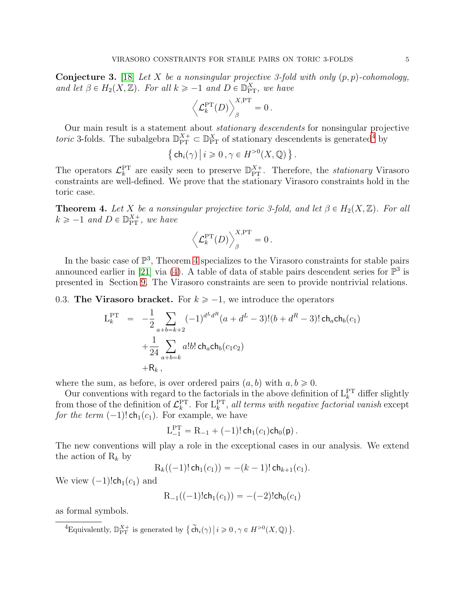<span id="page-4-2"></span>**Conjecture 3.** [\[18\]](#page-64-0) Let X be a nonsingular projective 3-fold with only  $(p, p)$ -cohomology, and let  $\beta \in H_2(X, \mathbb{Z})$ . For all  $k \ge -1$  and  $D \in \mathbb{D}_{\text{PT}}^X$ , we have

$$
\left\langle \mathcal{L}^{\rm PT}_k(D)\right\rangle_{\beta}^{X,\rm PT}=0\,.
$$

Our main result is a statement about stationary descendents for nonsingular projective toric 3-folds. The subalgebra  $\mathbb{D}_{PT}^{X+} \subset \mathbb{D}_{PT}^{X}$  of stationary descendents is generated<sup>[4](#page-4-1)</sup> by

$$
\left\{\,\mathsf{ch}_i(\gamma)\,\middle|\, i\geqslant 0\,,\gamma\in H^{>0}(X,\mathbb{Q})\,\right\}.
$$

The operators  $\mathcal{L}_k^{\text{PT}}$  are easily seen to preserve  $\mathbb{D}_{\text{PT}}^{X+}$ . Therefore, the *stationary* Virasoro constraints are well-defined. We prove that the stationary Virasoro constraints hold in the toric case.

<span id="page-4-0"></span>**Theorem 4.** Let X be a nonsingular projective toric 3-fold, and let  $\beta \in H_2(X, \mathbb{Z})$ . For all  $k \geqslant -1$  and  $D \in \mathbb{D}_{\rm PT}^{X+}$ , we have

$$
\left\langle \mathcal{L}^{\rm PT}_k(D)\right\rangle_{\beta}^{X,\rm PT}=0\,.
$$

In the basic case of  $\mathbb{P}^3$ , Theorem [4](#page-4-0) specializes to the Virasoro constraints for stable pairs announced earlier in [\[21\]](#page-64-2) via [\(4\)](#page-3-0). A table of data of stable pairs descendent series for  $\mathbb{P}^3$  is presented in Section [9.](#page-58-0) The Virasoro constraints are seen to provide nontrivial relations.

<span id="page-4-3"></span>0.3. The Virasoro bracket. For  $k \ge -1$ , we introduce the operators

$$
L_k^{\text{PT}} = -\frac{1}{2} \sum_{a+b=k+2} (-1)^{d^L d^R} (a + d^L - 3)!(b + d^R - 3)! \text{ch}_a \text{ch}_b(c_1) + \frac{1}{24} \sum_{a+b=k} a!b! \text{ch}_a \text{ch}_b(c_1c_2) + R_k,
$$

where the sum, as before, is over ordered pairs  $(a, b)$  with  $a, b \geq 0$ .

Our conventions with regard to the factorials in the above definition of  $L_k^{\text{PT}}$  differ slightly from those of the definition of  $\mathcal{L}_k^{\text{PT}}$ . For  $L_k^{\text{PT}}$ , all terms with negative factorial vanish except for the term  $(-1)!$  ch<sub>1</sub> $(c_1)$ . For example, we have

$$
L_{-1}^{\rm PT} = R_{-1} + (-1)! \, \mathsf{ch}_1(c_1) \mathsf{ch}_0(\mathsf{p}) \, .
$$

The new conventions will play a role in the exceptional cases in our analysis. We extend the action of  $R_k$  by

$$
R_k((-1)!\,ch_1(c_1)) = -(k-1)!\,ch_{k+1}(c_1).
$$

We view  $(-1)!$ ch<sub>1</sub> $(c_1)$  and

$$
R_{-1}((-1)!ch_1(c_1)) = -(-2)!ch_0(c_1)
$$

as formal symbols.

<span id="page-4-1"></span><sup>&</sup>lt;sup>4</sup>Equivalently,  $\mathbb{D}_{\text{PT}}^{X+}$  is generated by  $\{\widetilde{\text{ch}}_i(\gamma) \mid i \geqslant 0, \gamma \in H^{>0}(X, \mathbb{Q})\}.$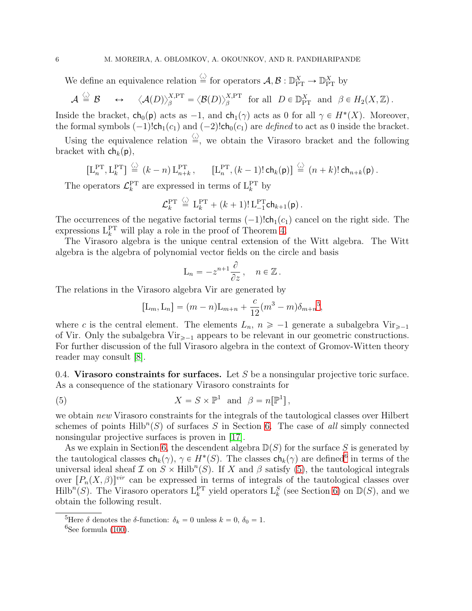We define an equivalence relation  $\stackrel{\langle \cdot \rangle}{=}$  for operators  $\mathcal{A}, \mathcal{B} : \mathbb{D}_{PT}^X \to \mathbb{D}_{PT}^X$  by

$$
\mathcal{A} \stackrel{\langle \cdot \rangle}{=} \mathcal{B} \quad \leftrightarrow \quad \langle \mathcal{A}(D) \rangle_{\beta}^{X,\operatorname{PT}} = \langle \mathcal{B}(D) \rangle_{\beta}^{X,\operatorname{PT}} \ \ \text{for all} \ \ D \in \mathbb{D}_{\operatorname{PT}}^X \ \ \text{and} \ \ \beta \in H_2(X,\mathbb{Z}) \, .
$$

Inside the bracket,  $ch_0(p)$  acts as  $-1$ , and  $ch_1(\gamma)$  acts as 0 for all  $\gamma \in H^*(X)$ . Moreover, the formal symbols  $(-1)!$ ch<sub>1</sub> $(c_1)$  and  $(-2)!$ ch<sub>0</sub> $(c_1)$  are *defined* to act as 0 inside the bracket.

Using the equivalence relation  $\frac{\langle \cdot \rangle}{\langle \cdot \rangle}$ , we obtain the Virasoro bracket and the following bracket with  $\mathsf{ch}_k(\mathsf{p}),$ 

$$
\left[\mathbf{L}_n^{\mathrm{PT}}, \mathbf{L}_k^{\mathrm{PT}}\right] \stackrel{\langle \cdot \rangle}{=} (k-n) \, \mathbf{L}_{n+k}^{\mathrm{PT}}, \qquad \left[\mathbf{L}_n^{\mathrm{PT}}, (k-1)!\, \mathsf{ch}_k(\mathsf{p})\right] \stackrel{\langle \cdot \rangle}{=} (n+k)!\, \mathsf{ch}_{n+k}(\mathsf{p})\,.
$$

The operators  $\mathcal{L}_k^{\text{PT}}$  are expressed in terms of  $\mathcal{L}_k^{\text{PT}}$  by

$$
\mathcal{L}_k^{\mathrm{PT}} \stackrel{\langle \cdot \rangle}{=} \mathrm{L}_k^{\mathrm{PT}} + (k+1)! \, \mathrm{L}_{-1}^{\mathrm{PT}} \mathsf{ch}_{k+1}(\mathsf{p}) \, .
$$

The occurrences of the negative factorial terms  $(-1)!$ ch<sub>1</sub> $(c_1)$  cancel on the right side. The expressions  $L_k^{PT}$  will play a role in the proof of Theorem [4.](#page-4-0)

The Virasoro algebra is the unique central extension of the Witt algebra. The Witt algebra is the algebra of polynomial vector fields on the circle and basis

$$
L_n = -z^{n+1}\frac{\partial}{\partial z}, \quad n \in \mathbb{Z}.
$$

The relations in the Virasoro algebra Vir are generated by

<span id="page-5-2"></span>
$$
[L_m, L_n] = (m - n)L_{m+n} + \frac{c}{12}(m^3 - m)\delta_{m+n}^{5},
$$

where c is the central element. The elements  $L_n$ ,  $n \ge -1$  generate a subalgebra Vir<sub> $\ge -1$ </sub> of Vir. Only the subalgebra  $Vir_{\geq -1}$  appears to be relevant in our geometric constructions. For further discussion of the full Virasoro algebra in the context of Gromov-Witten theory reader may consult [\[8\]](#page-63-2).

0.4. Virasoro constraints for surfaces. Let  $S$  be a nonsingular projective toric surface. As a consequence of the stationary Virasoro constraints for

(5) 
$$
X = S \times \mathbb{P}^1 \text{ and } \beta = n[\mathbb{P}^1],
$$

we obtain new Virasoro constraints for the integrals of the tautological classes over Hilbert schemes of points  $Hilb^{n}(S)$  of surfaces S in Section [6.](#page-46-0) The case of all simply connected nonsingular projective surfaces is proven in [\[17\]](#page-64-10).

As we explain in Section [6,](#page-46-0) the descendent algebra  $\mathbb{D}(S)$  for the surface S is generated by the tautological classes  $ch_k(\gamma)$ ,  $\gamma \in H^*(S)$ . The classes  $ch_k(\gamma)$  are defined<sup>[6](#page-5-1)</sup> in terms of the universal ideal sheaf  $\mathcal I$  on  $S \times \text{Hilb}^n(S)$ . If X and  $\beta$  satisfy [\(5\)](#page-5-2), the tautological integrals over  $[P_n(X, \beta)]^{vir}$  can be expressed in terms of integrals of the tautological classes over  $Hilb<sup>n</sup>(S)$ . The Virasoro operators  $L_k^{\text{PT}}$  yield operators  $L_k^S$  (see Section [6\)](#page-46-0) on  $\mathbb{D}(S)$ , and we obtain the following result.

<sup>&</sup>lt;sup>5</sup>Here  $\delta$  denotes the  $\delta$ -function:  $\delta_k = 0$  unless  $k = 0, \delta_0 = 1$ .

<span id="page-5-1"></span><span id="page-5-0"></span> ${}^{6}$ See formula [\(100\)](#page-47-0).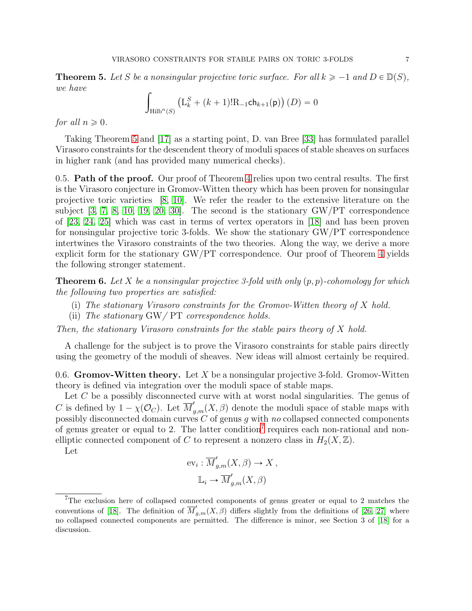<span id="page-6-0"></span>**Theorem 5.** Let S be a nonsingular projective toric surface. For all  $k \ge -1$  and  $D \in \mathbb{D}(S)$ , we have

$$
\int_{\text{Hilb}^n(S)} (L_k^S + (k+1)! R_{-1} \text{ch}_{k+1}(p)) (D) = 0
$$

for all  $n \geqslant 0$ .

Taking Theorem [5](#page-6-0) and [\[17\]](#page-64-10) as a starting point, D. van Bree [\[33\]](#page-64-11) has formulated parallel Virasoro constraints for the descendent theory of moduli spaces of stable sheaves on surfaces in higher rank (and has provided many numerical checks).

0.5. **Path of the proof.** Our proof of Theorem [4](#page-4-0) relies upon two central results. The first is the Virasoro conjecture in Gromov-Witten theory which has been proven for nonsingular projective toric varieties [\[8,](#page-63-2) [10\]](#page-63-3). We refer the reader to the extensive literature on the subject [\[3,](#page-63-4) [7,](#page-63-5) [8,](#page-63-2) [10,](#page-63-3) [19,](#page-64-12) [20,](#page-64-13) [30\]](#page-64-14). The second is the stationary GW/PT correspondence of [\[23,](#page-64-5) [24,](#page-64-6) [25\]](#page-64-7) which was cast in terms of vertex operators in [\[18\]](#page-64-0) and has been proven for nonsingular projective toric 3-folds. We show the stationary GW/PT correspondence intertwines the Virasoro constraints of the two theories. Along the way, we derive a more explicit form for the stationary GW/PT correspondence. Our proof of Theorem [4](#page-4-0) yields the following stronger statement.

**Theorem 6.** Let X be a nonsingular projective 3-fold with only  $(p, p)$ -cohomology for which the following two properties are satisfied:

- (i) The stationary Virasoro constraints for the Gromov-Witten theory of X hold.
- (ii) The stationary  $\frac{GW}{PT}$  correspondence holds.

Then, the stationary Virasoro constraints for the stable pairs theory of X hold.

A challenge for the subject is to prove the Virasoro constraints for stable pairs directly using the geometry of the moduli of sheaves. New ideas will almost certainly be required.

<span id="page-6-2"></span>0.6. Gromov-Witten theory. Let X be a nonsingular projective 3-fold. Gromov-Witten theory is defined via integration over the moduli space of stable maps.

Let C be a possibly disconnected curve with at worst nodal singularities. The genus of C is defined by  $1 - \chi(\mathcal{O}_C)$ . Let  $\overline{M}'_{g,m}(X,\beta)$  denote the moduli space of stable maps with possibly disconnected domain curves  $C$  of genus g with no collapsed connected components of genus greater or equal to 2. The latter condition<sup>[7](#page-6-1)</sup> requires each non-rational and nonelliptic connected component of C to represent a nonzero class in  $H_2(X, \mathbb{Z})$ .

Let

$$
ev_i: \overline{M}'_{g,m}(X,\beta) \to X,
$$
  

$$
\mathbb{L}_i \to \overline{M}'_{g,m}(X,\beta)
$$

<span id="page-6-1"></span><sup>7</sup>The exclusion here of collapsed connected components of genus greater or equal to 2 matches the conventions of [\[18\]](#page-64-0). The definition of  $\overline{M}'_{g,m}(X,\beta)$  differs slightly from the definitions of [\[26,](#page-64-8) [27\]](#page-64-9) where no collapsed connected components are permitted. The difference is minor, see Section 3 of [\[18\]](#page-64-0) for a discussion.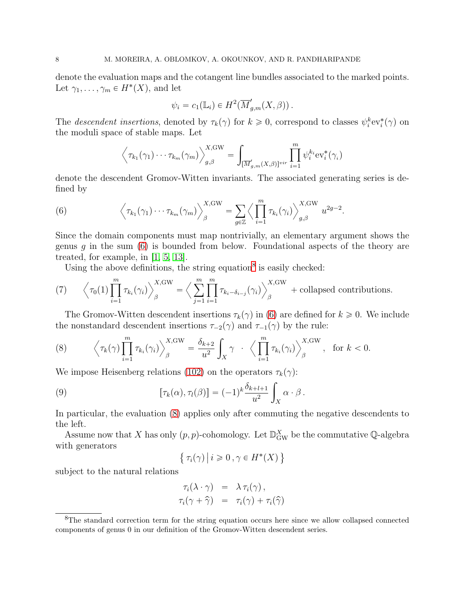denote the evaluation maps and the cotangent line bundles associated to the marked points. Let  $\gamma_1, \ldots, \gamma_m \in H^*(X)$ , and let

$$
\psi_i = c_1(\mathbb{L}_i) \in H^2(\overline{M}'_{g,m}(X,\beta)).
$$

The descendent insertions, denoted by  $\tau_k(\gamma)$  for  $k \geq 0$ , correspond to classes  $\psi_i^k ev_i^*(\gamma)$  on the moduli space of stable maps. Let

<span id="page-7-0"></span>
$$
\left\langle \tau_{k_1}(\gamma_1)\cdots\tau_{k_m}(\gamma_m) \right\rangle_{g,\beta}^{X,\mathrm{GW}} = \int_{\left[\overline{M}'_{g,m}(X,\beta)\right]^{\mathrm{vir}}} \prod_{i=1}^m \psi_i^{k_i} \mathrm{ev}_i^*(\gamma_i)
$$

denote the descendent Gromov-Witten invariants. The associated generating series is defined by

(6) 
$$
\left\langle \tau_{k_1}(\gamma_1)\cdots\tau_{k_m}(\gamma_m) \right\rangle_{\beta}^{X,\text{GW}} = \sum_{g\in\mathbb{Z}} \left\langle \prod_{i=1}^m \tau_{k_i}(\gamma_i) \right\rangle_{g,\beta}^{X,\text{GW}} u^{2g-2}.
$$

Since the domain components must map nontrivially, an elementary argument shows the genus q in the sum  $(6)$  is bounded from below. Foundational aspects of the theory are treated, for example, in [\[1,](#page-63-6) [5,](#page-63-7) [13\]](#page-64-15).

<span id="page-7-3"></span>Using the above definitions, the string equation<sup>[8](#page-7-1)</sup> is easily checked:

(7) 
$$
\left\langle \tau_0(1) \prod_{i=1}^m \tau_{k_i}(\gamma_i) \right\rangle_{\beta}^{X,\text{GW}} = \left\langle \sum_{j=1}^m \prod_{i=1}^m \tau_{k_i - \delta_{i-j}}(\gamma_i) \right\rangle_{\beta}^{X,\text{GW}} + \text{collapsed contributions.}
$$

The Gromov-Witten descendent insertions  $\tau_k(\gamma)$  in [\(6\)](#page-7-0) are defined for  $k \geq 0$ . We include the nonstandard descendent insertions  $\tau_{-2}(\gamma)$  and  $\tau_{-1}(\gamma)$  by the rule:

<span id="page-7-2"></span>(8) 
$$
\left\langle \tau_k(\gamma) \prod_{i=1}^m \tau_{k_i}(\gamma_i) \right\rangle_{\beta}^{X,\text{GW}} = \frac{\delta_{k+2}}{u^2} \int_X \gamma \cdot \left\langle \prod_{i=1}^m \tau_{k_i}(\gamma_i) \right\rangle_{\beta}^{X,\text{GW}}, \text{ for } k < 0.
$$

We impose Heisenberg relations [\(102\)](#page-49-1) on the operators  $\tau_k(\gamma)$ :

(9) 
$$
[\tau_k(\alpha), \tau_l(\beta)] = (-1)^k \frac{\delta_{k+l+1}}{u^2} \int_X \alpha \cdot \beta.
$$

In particular, the evaluation [\(8\)](#page-7-2) applies only after commuting the negative descendents to the left.

Assume now that X has only  $(p, p)$ -cohomology. Let  $\mathbb{D}_{\text{GW}}^X$  be the commutative Q-algebra with generators

<span id="page-7-4"></span>
$$
\{ \tau_i(\gamma) \, \big| \, i \geqslant 0 \, , \gamma \in H^*(X) \, \}
$$

subject to the natural relations

$$
\tau_i(\lambda \cdot \gamma) = \lambda \tau_i(\gamma), \n\tau_i(\gamma + \widehat{\gamma}) = \tau_i(\gamma) + \tau_i(\widehat{\gamma})
$$

<span id="page-7-1"></span><sup>&</sup>lt;sup>8</sup>The standard correction term for the string equation occurs here since we allow collapsed connected components of genus 0 in our definition of the Gromov-Witten descendent series.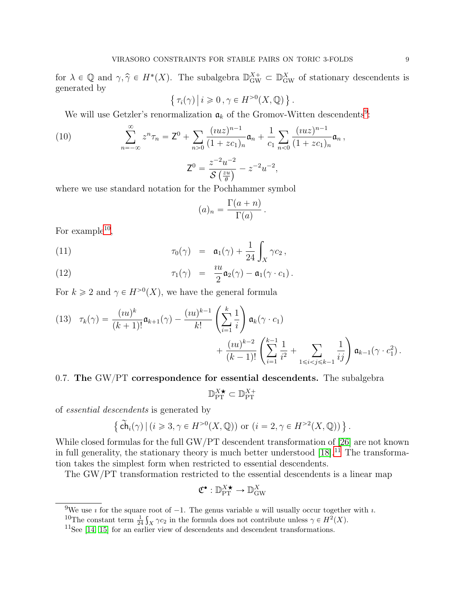for  $\lambda \in \mathbb{Q}$  and  $\gamma, \hat{\gamma} \in H^*(X)$ . The subalgebra  $\mathbb{D}_{\text{GW}}^{X+} \subset \mathbb{D}_{\text{GW}}^X$  of stationary descendents is generated by

$$
\{ \tau_i(\gamma) \, \big| \, i \geqslant 0 \, , \gamma \in H^{>0}(X, \mathbb{Q}) \, \} \, .
$$

We will use Getzler's renormalization  $a_k$  of the Gromov-Witten descendents<sup>[9](#page-8-0)</sup>:

(10) 
$$
\sum_{n=-\infty}^{\infty} z^n \tau_n = Z^0 + \sum_{n>0} \frac{(uz)^{n-1}}{(1+zc_1)_n} \mathfrak{a}_n + \frac{1}{c_1} \sum_{n<0} \frac{(uz)^{n-1}}{(1+zc_1)_n} \mathfrak{a}_n,
$$

$$
Z^0 = \frac{z^{-2}u^{-2}}{\mathcal{S}\left(\frac{zu}{\theta}\right)} - z^{-2}u^{-2},
$$

where we use standard notation for the Pochhammer symbol

$$
(a)_n = \frac{\Gamma(a+n)}{\Gamma(a)}.
$$

For example<sup>[10](#page-8-1)</sup>,

(11) 
$$
\tau_0(\gamma) = \mathfrak{a}_1(\gamma) + \frac{1}{24} \int_X \gamma c_2,
$$

(12) 
$$
\tau_1(\gamma) = \frac{iu}{2} \mathfrak{a}_2(\gamma) - \mathfrak{a}_1(\gamma \cdot c_1).
$$

For  $k \geq 2$  and  $\gamma \in H^{>0}(X)$ , we have the general formula

<span id="page-8-3"></span>
$$
(13) \quad \tau_k(\gamma) = \frac{(iu)^k}{(k+1)!} \mathfrak{a}_{k+1}(\gamma) - \frac{(iu)^{k-1}}{k!} \left(\sum_{i=1}^k \frac{1}{i}\right) \mathfrak{a}_k(\gamma \cdot c_1) + \frac{(iu)^{k-2}}{(k-1)!} \left(\sum_{i=1}^{k-1} \frac{1}{i^2} + \sum_{1 \le i < j \le k-1} \frac{1}{ij}\right) \mathfrak{a}_{k-1}(\gamma \cdot c_1^2).
$$

# <span id="page-8-4"></span>0.7. The GW $/PT$  correspondence for essential descendents. The subalgebra

$$
\mathbb{D}_{\mathrm{PT}}^{X \bigstar} \subset \mathbb{D}_{\mathrm{PT}}^{X+}
$$

of essential descendents is generated by

$$
\left\{ \widetilde{\mathsf{ch}}_i(\gamma) \,|\, (i \geqslant 3, \gamma \in H^{>0}(X, \mathbb{Q})) \text{ or } (i = 2, \gamma \in H^{>2}(X, \mathbb{Q})) \right\}.
$$

While closed formulas for the full GW/PT descendent transformation of [\[26\]](#page-64-8) are not known in full generality, the stationary theory is much better understood  $[18].^{11}$  $[18].^{11}$  $[18].^{11}$  The transformation takes the simplest form when restricted to essential descendents.

The GW/PT transformation restricted to the essential descendents is a linear map

$$
\mathfrak{C}^\bullet: \mathbb{D}_{\mathrm{PT}}^{X \bigstar} \to \mathbb{D}_{\mathrm{GW}}^X
$$

<sup>&</sup>lt;sup>9</sup>We use *i* for the square root of  $-1$ . The genus variable *u* will usually occur together with *i*.

<span id="page-8-0"></span><sup>&</sup>lt;sup>10</sup>The constant term  $\frac{1}{24} \int_X \gamma c_2$  in the formula does not contribute unless  $\gamma \in H^2(X)$ .

<span id="page-8-2"></span><span id="page-8-1"></span> $11$ See [\[14,](#page-64-16) [15\]](#page-64-17) for an earlier view of descendents and descendent transformations.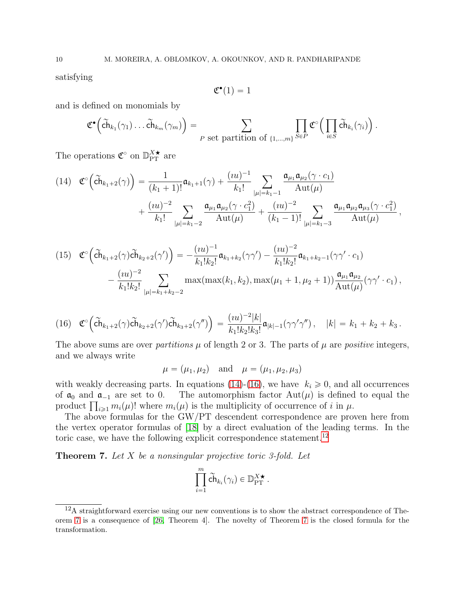satisfying

$$
\mathfrak{C}^\bullet(1)=1
$$

and is defined on monomials by

$$
\mathfrak{C}^{\bullet}\Big(\tilde{\mathsf{ch}}_{k_1}(\gamma_1)\dots\tilde{\mathsf{ch}}_{k_m}(\gamma_m)\Big) = \sum_{P \text{ set partition of } \{1,\dots,m\}} \prod_{S \in P} \mathfrak{C}^{\circ}\Big(\prod_{i \in S} \tilde{\mathsf{ch}}_{k_i}(\gamma_i)\Big).
$$

The operations  $\mathfrak{C}^{\circ}$  on  $\mathbb{D}_{\mathrm{PT}}^{X\star}$  are

<span id="page-9-0"></span>
$$
(14) \quad \mathfrak{C}^{\circ}\left(\tilde{ch}_{k_{1}+2}(\gamma)\right) = \frac{1}{(k_{1}+1)!} \mathfrak{a}_{k_{1}+1}(\gamma) + \frac{(iu)^{-1}}{k_{1}!} \sum_{|\mu|=k_{1}-1} \frac{\mathfrak{a}_{\mu_{1}} \mathfrak{a}_{\mu_{2}}(\gamma \cdot c_{1})}{\mathrm{Aut}(\mu)} + \frac{(iu)^{-2}}{k_{1}!} \sum_{|\mu|=k_{1}-2} \frac{\mathfrak{a}_{\mu_{1}} \mathfrak{a}_{\mu_{2}}(\gamma \cdot c_{1}^{2})}{\mathrm{Aut}(\mu)} + \frac{(iu)^{-2}}{(k_{1}-1)!} \sum_{|\mu|=k_{1}-3} \frac{\mathfrak{a}_{\mu_{1}} \mathfrak{a}_{\mu_{2}} \mathfrak{a}_{\mu_{3}}(\gamma \cdot c_{1}^{2})}{\mathrm{Aut}(\mu)},
$$

<span id="page-9-4"></span>
$$
(15) \quad \mathfrak{C}^{\circ}\left(\widetilde{\mathbf{ch}}_{k_{1}+2}(\gamma)\widetilde{\mathbf{ch}}_{k_{2}+2}(\gamma')\right) = -\frac{(iu)^{-1}}{k_{1}!k_{2}!}\mathfrak{a}_{k_{1}+k_{2}}(\gamma\gamma') - \frac{(iu)^{-2}}{k_{1}!k_{2}!}\mathfrak{a}_{k_{1}+k_{2}-1}(\gamma\gamma' \cdot c_{1}) -\frac{(iu)^{-2}}{k_{1}!k_{2}!}\sum_{|\mu|=k_{1}+k_{2}-2} \max(\max(k_{1},k_{2}),\max(\mu_{1}+1,\mu_{2}+1))\frac{\mathfrak{a}_{\mu_{1}}\mathfrak{a}_{\mu_{2}}}{\mathrm{Aut}(\mu)}(\gamma\gamma' \cdot c_{1}),
$$

<span id="page-9-1"></span>
$$
(16) \quad \mathfrak{C}^{\circ}\Big(\tilde{\mathbf{ch}}_{k_1+2}(\gamma)\tilde{\mathbf{ch}}_{k_2+2}(\gamma')\tilde{\mathbf{ch}}_{k_3+2}(\gamma'')\Big) = \frac{(iu)^{-2}|k|}{k_1!k_2!k_3!}\mathfrak{a}_{|k|-1}(\gamma\gamma'\gamma''), \quad |k| = k_1 + k_2 + k_3\,.
$$

The above sums are over *partitions*  $\mu$  of length 2 or 3. The parts of  $\mu$  are *positive* integers, and we always write

$$
\mu = (\mu_1, \mu_2)
$$
 and  $\mu = (\mu_1, \mu_2, \mu_3)$ 

with weakly decreasing parts. In equations [\(14\)](#page-9-0)-[\(16\)](#page-9-1), we have  $k_i \ge 0$ , and all occurrences of  $\mathfrak{a}_0$  and  $\mathfrak{a}_{-1}$  are set to 0. The automorphism factor  $\text{Aut}(\mu)$  is defined to equal the The automorphism factor  $Aut(\mu)$  is defined to equal the product  $\prod_{i\geq 1} m_i(\mu)!$  where  $m_i(\mu)$  is the multiplicity of occurrence of i in  $\mu$ .

The above formulas for the GW/PT descendent correspondence are proven here from the vertex operator formulas of [\[18\]](#page-64-0) by a direct evaluation of the leading terms. In the toric case, we have the following explicit correspondence statement.<sup>[12](#page-9-2)</sup>

<span id="page-9-3"></span>**Theorem 7.** Let  $X$  be a nonsingular projective toric 3-fold. Let

$$
\prod_{i=1}^m \widetilde{\mathsf{ch}}_{k_i}(\gamma_i) \in \mathbb{D}_{\mathrm{PT}}^{X \bigstar}.
$$

<span id="page-9-2"></span> $12A$  straightforward exercise using our new conventions is to show the abstract correspondence of Theorem [7](#page-9-3) is a consequence of [\[26,](#page-64-8) Theorem 4]. The novelty of Theorem [7](#page-9-3) is the closed formula for the transformation.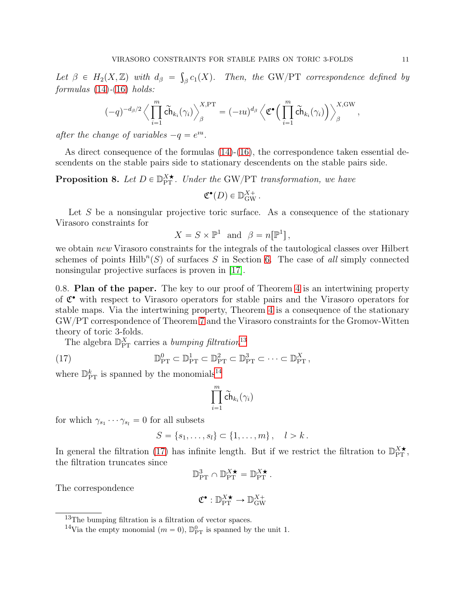Let  $\beta \in H_2(X, \mathbb{Z})$  with  $d_{\beta} = \int_{\beta} c_1(X)$ . Then, the GW/PT correspondence defined by  $formulas (14)-(16) holds:$  $formulas (14)-(16) holds:$  $formulas (14)-(16) holds:$  $formulas (14)-(16) holds:$  $formulas (14)-(16) holds:$ 

$$
(-q)^{-d_{\beta}/2} \left\langle \prod_{i=1}^m \widetilde{\mathsf{ch}}_{k_i}(\gamma_i) \right\rangle_{\beta}^{X,\operatorname{PT}} = (-\imath u)^{d_{\beta}} \left\langle \mathfrak{C}^{\bullet} \Big( \prod_{i=1}^m \widetilde{\mathsf{ch}}_{k_i}(\gamma_i) \Big) \right\rangle_{\beta}^{X,\operatorname{GW}},
$$

after the change of variables  $-q = e^{iu}$ .

As direct consequence of the formulas [\(14\)](#page-9-0)-[\(16\)](#page-9-1), the correspondence taken essential descendents on the stable pairs side to stationary descendents on the stable pairs side.

# <span id="page-10-3"></span>**Proposition 8.** Let  $D \in \mathbb{D}_{PT}^{X*}$ . Under the GW/PT transformation, we have

$$
\mathfrak{C}^\bullet(D) \in \mathbb{D}_{\text{GW}}^{X+}.
$$

Let  $S$  be a nonsingular projective toric surface. As a consequence of the stationary Virasoro constraints for

$$
X = S \times \mathbb{P}^1 \text{ and } \beta = n[\mathbb{P}^1],
$$

we obtain new Virasoro constraints for the integrals of the tautological classes over Hilbert schemes of points  $Hilb^{n}(S)$  of surfaces S in Section [6.](#page-46-0) The case of all simply connected nonsingular projective surfaces is proven in [\[17\]](#page-64-10).

0.8. Plan of the paper. The key to our proof of Theorem [4](#page-4-0) is an intertwining property of C ' with respect to Virasoro operators for stable pairs and the Virasoro operators for stable maps. Via the intertwining property, Theorem [4](#page-4-0) is a consequence of the stationary GW{PT correspondence of Theorem [7](#page-9-3) and the Virasoro constraints for the Gromov-Witten theory of toric 3-folds.

The algebra  $\mathbb{D}_{\rm PT}^X$  carries a *bumping filtration*<sup>[13](#page-10-0)</sup>

(17) 
$$
\mathbb{D}_{\rm PT}^0 \subset \mathbb{D}_{\rm PT}^1 \subset \mathbb{D}_{\rm PT}^2 \subset \mathbb{D}_{\rm PT}^3 \subset \cdots \subset \mathbb{D}_{\rm PT}^X,
$$

where  $\mathbb{D}_{\rm PT}^k$  is spanned by the monomials<sup>[14](#page-10-1)</sup>

<span id="page-10-2"></span>
$$
\prod_{i=1}^m \widetilde{\mathsf{ch}}_{k_i}(\gamma_i)
$$

for which  $\gamma_{s_1} \cdots \gamma_{s_l} = 0$  for all subsets

$$
S = \{s_1, \ldots, s_l\} \subset \{1, \ldots, m\}, \quad l > k.
$$

In general the filtration [\(17\)](#page-10-2) has infinite length. But if we restrict the filtration to  $\mathbb{D}_{PT}^{X\star}$ , the filtration truncates since

$$
\mathbb{D}_{\rm PT}^3 \cap \mathbb{D}_{\rm PT}^{X \star} = \mathbb{D}_{\rm PT}^{X \star}.
$$

The correspondence

$$
\mathfrak{C}^{\bullet}:\mathbb{D}_{\mathrm{PT}}^{X \bigstar} \to \mathbb{D}_{\mathrm{GW}}^{X+}
$$

<sup>13</sup>The bumping filtration is a filtration of vector spaces.

<span id="page-10-1"></span><span id="page-10-0"></span><sup>&</sup>lt;sup>14</sup>Via the empty monomial  $(m = 0)$ ,  $\mathbb{D}_{\text{PT}}^0$  is spanned by the unit 1.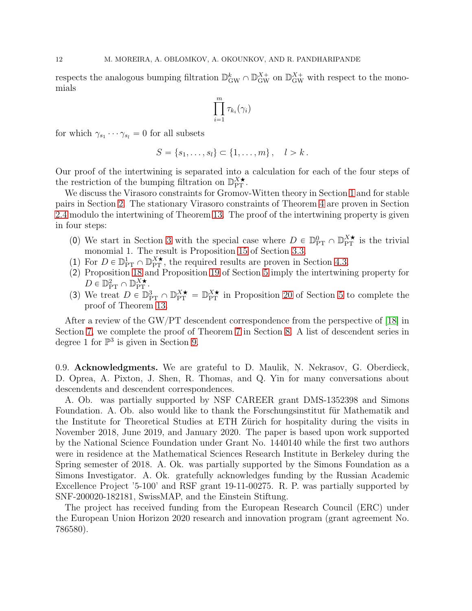respects the analogous bumping filtration  $\mathbb{D}_{\text{GW}}^k \cap \mathbb{D}_{\text{GW}}^{X+}$  on  $\mathbb{D}_{\text{GW}}^{X+}$  with respect to the monomials

$$
\prod_{i=1}^m \tau_{k_i}(\gamma_i)
$$

for which  $\gamma_{s_1} \cdots \gamma_{s_l} = 0$  for all subsets

$$
S = \{s_1, \ldots, s_l\} \subset \{1, \ldots, m\}, \quad l > k.
$$

Our proof of the intertwining is separated into a calculation for each of the four steps of the restriction of the bumping filtration on  $\mathbb{D}_{PT}^{X\bigstar}$ .

We discuss the Virasoro constraints for Gromov-Witten theory in Section [1](#page-12-0) and for stable pairs in Section [2.](#page-17-0) The stationary Virasoro constraints of Theorem [4](#page-4-0) are proven in Section [2.4](#page-23-0) modulo the intertwining of Theorem [13.](#page-18-0) The proof of the intertwining property is given in four steps:

- (0) We start in Section [3](#page-24-0) with the special case where  $D \in \mathbb{D}_{PT}^0 \cap \mathbb{D}_{PT}^{X\star}$  is the trivial monomial 1. The result is Proposition [15](#page-26-0) of Section [3.3.](#page-26-1)
- (1) For  $D \in \mathbb{D}_{PT}^1 \cap \mathbb{D}_{PT}^{X\star}$ , the required results are proven in Section [4.3.](#page-40-0)
- (2) Proposition [18](#page-41-1) and Proposition [19](#page-42-0) of Section [5](#page-41-0) imply the intertwining property for  $D \in \mathbb{D}_{\rm PT}^2 \cap \mathbb{D}_{\rm PT}^{X \bigstar}$ .
- (3) We treat  $D \in \mathbb{D}_{PT}^3 \cap \mathbb{D}_{PT}^{\chi^*} = \mathbb{D}_{PT}^{\chi^*}$  in Proposition [20](#page-44-0) of Section [5](#page-41-0) to complete the proof of Theorem [13.](#page-18-0)

After a review of the GW/PT descendent correspondence from the perspective of [\[18\]](#page-64-0) in Section [7,](#page-49-0) we complete the proof of Theorem [7](#page-9-3) in Section [8.](#page-54-0) A list of descendent series in degree 1 for  $\mathbb{P}^3$  is given in Section [9.](#page-58-0)

0.9. Acknowledgments. We are grateful to D. Maulik, N. Nekrasov, G. Oberdieck, D. Oprea, A. Pixton, J. Shen, R. Thomas, and Q. Yin for many conversations about descendents and descendent correspondences.

A. Ob. was partially supported by NSF CAREER grant DMS-1352398 and Simons Foundation. A. Ob. also would like to thank the Forschungsinstitut für Mathematik and the Institute for Theoretical Studies at ETH Zürich for hospitality during the visits in November 2018, June 2019, and January 2020. The paper is based upon work supported by the National Science Foundation under Grant No. 1440140 while the first two authors were in residence at the Mathematical Sciences Research Institute in Berkeley during the Spring semester of 2018. A. Ok. was partially supported by the Simons Foundation as a Simons Investigator. A. Ok. gratefully acknowledges funding by the Russian Academic Excellence Project '5-100' and RSF grant 19-11-00275. R. P. was partially supported by SNF-200020-182181, SwissMAP, and the Einstein Stiftung.

The project has received funding from the European Research Council (ERC) under the European Union Horizon 2020 research and innovation program (grant agreement No. 786580).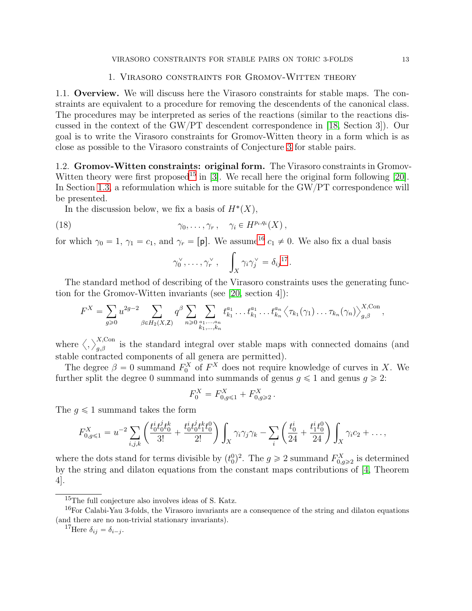#### 1. Virasoro constraints for Gromov-Witten theory

<span id="page-12-0"></span>1.1. Overview. We will discuss here the Virasoro constraints for stable maps. The constraints are equivalent to a procedure for removing the descendents of the canonical class. The procedures may be interpreted as series of the reactions (similar to the reactions discussed in the context of the GW{PT descendent correspondence in [\[18,](#page-64-0) Section 3]). Our goal is to write the Virasoro constraints for Gromov-Witten theory in a form which is as close as possible to the Virasoro constraints of Conjecture [3](#page-4-2) for stable pairs.

1.2. Gromov-Witten constraints: original form. The Virasoro constraints in Gromov-Witten theory were first proposed<sup>[15](#page-12-1)</sup> in [\[3\]](#page-63-4). We recall here the original form following [\[20\]](#page-64-13). In Section [1.3,](#page-14-0) a reformulation which is more suitable for the GW/PT correspondence will be presented.

In the discussion below, we fix a basis of  $H^*(X)$ ,

(18) 
$$
\gamma_0, \ldots, \gamma_r, \quad \gamma_i \in H^{p_i, q_i}(X),
$$

for which  $\gamma_0 = 1$ ,  $\gamma_1 = c_1$ , and  $\gamma_r = [p]$ . We assume<sup>[16](#page-12-2)</sup>  $c_1 \neq 0$ . We also fix a dual basis

<span id="page-12-4"></span>
$$
\gamma_0^{\vee}, \ldots, \gamma_r^{\vee}, \quad \int_X \gamma_i \gamma_j^{\vee} = \delta_{ij}^{17}.
$$

The standard method of describing of the Virasoro constraints uses the generating function for the Gromov-Witten invariants (see [\[20,](#page-64-13) section 4]):

$$
F^X = \sum_{g\geq 0} u^{2g-2} \sum_{\beta \in H_2(X,\mathbb{Z})} q^\beta \sum_{n\geq 0} \sum_{\substack{a_1,\ldots,a_n \\ k_1,\ldots,k_n}} t^{a_1}_{k_1} \ldots t^{a_1}_{k_1} \ldots t^{a_n}_{k_n} \langle \tau_{k_1}(\gamma_1) \ldots \tau_{k_n}(\gamma_n) \rangle^{X,\text{Con}}_{g,\beta},
$$

where  $\langle,\rangle_{g,\beta}^{X,\text{Con}}$  is the standard integral over stable maps with connected domains (and stable contracted components of all genera are permitted).

The degree  $\beta = 0$  summand  $F_0^X$  of  $F^X$  does not require knowledge of curves in X. We further split the degree 0 summand into summands of genus  $q \leq 1$  and genus  $q \geq 2$ :

$$
F_0^X = F_{0,g \leq 1}^X + F_{0,g \geq 2}^X.
$$

The  $q \leq 1$  summand takes the form

$$
F_{0,g\leq 1}^X = u^{-2} \sum_{i,j,k} \left( \frac{t_0^i t_0^j t_0^k}{3!} + \frac{t_0^i t_0^j t_1^k t_0^0}{2!} \right) \int_X \gamma_i \gamma_j \gamma_k - \sum_i \left( \frac{t_0^i}{24} + \frac{t_1^i t_0^0}{24} \right) \int_X \gamma_i c_2 + \dots,
$$

where the dots stand for terms divisible by  $(t_0^0)^2$ . The  $g \ge 2$  summand  $F_{0,g\ge 2}^X$  is determined by the string and dilaton equations from the constant maps contributions of [\[4,](#page-63-8) Theorem 4].

<span id="page-12-1"></span><sup>15</sup>The full conjecture also involves ideas of S. Katz.

<sup>&</sup>lt;sup>16</sup>For Calabi-Yau 3-folds, the Virasoro invariants are a consequence of the string and dilaton equations (and there are no non-trivial stationary invariants).

<span id="page-12-3"></span><span id="page-12-2"></span><sup>&</sup>lt;sup>17</sup>Here  $\delta_{ij} = \delta_{i-j}$ .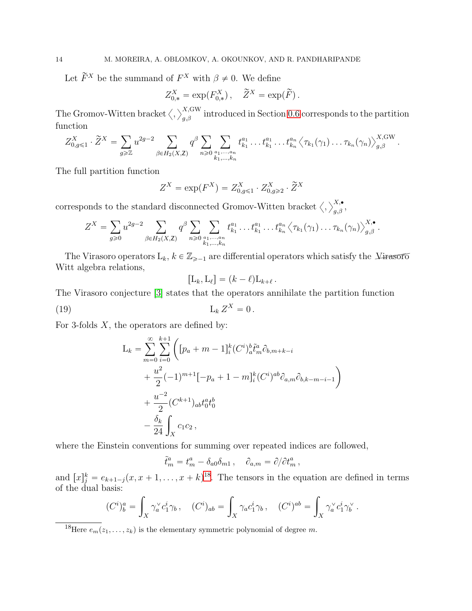Let  $\widetilde{F}^X$  be the summand of  $F^X$  with  $\beta \neq 0$ . We define

$$
Z_{0,*}^X = \exp(F_{0,*}^X), \quad \widetilde{Z}^X = \exp(\widetilde{F}).
$$

The Gromov-Witten bracket  $\langle , \rangle_{g,\beta}^{X,\text{GW}}$  introduced in Section [0.6](#page-6-2) corresponds to the partition function

$$
Z_{0,g\leqslant 1}^X\cdot \widetilde{Z}^X = \sum_{g\geqslant \mathbb{Z}} u^{2g-2} \sum_{\beta\in H_2(X,\mathsf{Z})} q^\beta \sum_{n\geqslant 0} \sum_{\substack{a_1,\ldots,a_n\\k_1,\ldots,k_n}} t^{a_1}_{k_1}\ldots t^{a_1}_{k_1}\ldots t^{a_n}_{k_n} \left\langle \tau_{k_1}(\gamma_1)\ldots \tau_{k_n}(\gamma_n) \right\rangle_{g,\beta}^{X,\mathrm{GW}}.
$$

The full partition function

$$
Z^X = \exp(F^X) = Z^X_{0,g \leq 1} \cdot Z^X_{0,g \geq 2} \cdot \widetilde{Z}^X
$$

corresponds to the standard disconnected Gromov-Witten bracket  $\langle , \rangle_{g,\beta}^{X,\bullet},$ 

$$
Z^{X} = \sum_{g \geq 0} u^{2g-2} \sum_{\beta \in H_2(X,\mathbb{Z})} q^{\beta} \sum_{n \geq 0} \sum_{\substack{a_1, ..., a_n \\ k_1, ..., k_n}} t^{a_1}_{k_1} ... t^{a_1}_{k_1} ... t^{a_n}_{k_n} \langle \tau_{k_1}(\gamma_1) ... \tau_{k_n}(\gamma_n) \rangle^{X,\bullet}_{g,\beta}.
$$

The Virasoro operators  $L_k$ ,  $k \in \mathbb{Z}_{\geq -1}$  are differential operators which satisfy the  $\chi$ <sup>irasoro</sup> Witt algebra relations,

<span id="page-13-1"></span>
$$
[L_k, L_\ell] = (k - \ell)L_{k+\ell}.
$$

The Virasoro conjecture [\[3\]](#page-63-4) states that the operators annihilate the partition function

(19) L<sup>k</sup> Z <sup>X</sup> " <sup>0</sup> .

For 3-folds  $X$ , the operators are defined by:

$$
L_k = \sum_{m=0}^{\infty} \sum_{i=0}^{k+1} \left( [p_a + m - 1]_i^k (C^i)_a^b \tilde{t}_m^a \partial_{b,m+k-i} + \frac{u^2}{2} (-1)^{m+1} [-p_a + 1 - m]_i^k (C^i)^{ab} \partial_{a,m} \partial_{b,k-m-i-1} \right) + \frac{u^{-2}}{2} (C^{k+1})_{ab} t_0^a t_0^b - \frac{\delta_k}{24} \int_X c_1 c_2,
$$

where the Einstein conventions for summing over repeated indices are followed,

$$
\tilde{t}^a_m = t^a_m - \delta_{a0}\delta_{m1} , \quad \partial_{a,m} = \partial/\partial t^a_m ,
$$

and  $[x]_j^k = e_{k+1-j}(x, x+1, \ldots, x+k)^{18}$  $[x]_j^k = e_{k+1-j}(x, x+1, \ldots, x+k)^{18}$  $[x]_j^k = e_{k+1-j}(x, x+1, \ldots, x+k)^{18}$ . The tensors in the equation are defined in terms of the dual basis:

$$
(C^i)^a_b = \int_X \gamma_a^{\vee} c_1^i \gamma_b, \quad (C^i)_{ab} = \int_X \gamma_a c_1^i \gamma_b, \quad (C^i)^{ab} = \int_X \gamma_a^{\vee} c_1^i \gamma_b^{\vee}.
$$

<span id="page-13-0"></span><sup>18</sup>Here  $e_m(z_1, \ldots, z_k)$  is the elementary symmetric polynomial of degree m.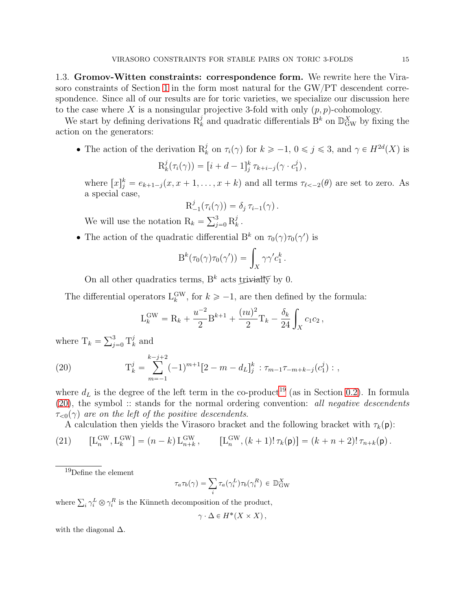<span id="page-14-0"></span>1.3. Gromov-Witten constraints: correspondence form. We rewrite here the Vira-soro constraints of Section [1](#page-12-0) in the form most natural for the GW/PT descendent correspondence. Since all of our results are for toric varieties, we specialize our discussion here to the case where X is a nonsingular projective 3-fold with only  $(p, p)$ -cohomology.

We start by defining derivations  $R_k^j$  and quadratic differentials  $B^k$  on  $\mathbb{D}_{\text{GW}}^X$  by fixing the action on the generators:

• The action of the derivation  $R_k^j$  on  $\tau_i(\gamma)$  for  $k \geq -1, 0 \leq j \leq 3$ , and  $\gamma \in H^{2d}(X)$  is

$$
\mathrm{R}_k^j(\tau_i(\gamma)) = [i + d - 1]_j^k \tau_{k+i-j}(\gamma \cdot c_1^j),
$$

where  $[x]_j^k = e_{k+1-j}(x, x+1, \ldots, x+k)$  and all terms  $\tau_{\ell<-2}(\theta)$  are set to zero. As a special case,

$$
\mathrm{R}_{-1}^{j}(\tau_i(\gamma)) = \delta_j \,\tau_{i-1}(\gamma) \,.
$$

We will use the notation  $R_k = \sum_{j=0}^3 R_k^j$  $\frac{j}{k}$  .

• The action of the quadratic differential  $B^k$  on  $\tau_0(\gamma)\tau_0(\gamma')$  is

$$
\mathrm{B}^k(\tau_0(\gamma)\tau_0(\gamma')) = \int_X \gamma\gamma' c_1^k.
$$

On all other quadratics terms,  $B^k$  acts trivially by 0.

The differential operators  $L_k^{\text{GW}}$ , for  $k \geq -1$ , are then defined by the formula:

<span id="page-14-2"></span>
$$
L_k^{\text{GW}} = R_k + \frac{u^{-2}}{2} B^{k+1} + \frac{(iu)^2}{2} T_k - \frac{\delta_k}{24} \int_X c_1 c_2,
$$

where  $T_k = \sum_{j=0}^3 T_k^j$  $\frac{J}{k}$  and

(20) 
$$
\mathcal{T}_k^j = \sum_{m=-1}^{k-j+2} (-1)^{m+1} [2 - m - d_L]_j^k : \tau_{m-1} \tau_{-m+k-j}(c_1^j) : ,
$$

where  $d_L$  is the degree of the left term in the co-product<sup>[19](#page-14-1)</sup> (as in Section [0.2\)](#page-2-2). In formula  $(20)$ , the symbol :: stands for the normal ordering convention: all negative descendents  $\tau_{\leq 0}(\gamma)$  are on the left of the positive descendents.

<span id="page-14-3"></span>A calculation then yields the Virasoro bracket and the following bracket with  $\tau_k(\mathbf{p})$ :

(21) 
$$
[L_n^{\text{GW}}, L_k^{\text{GW}}] = (n-k) L_{n+k}^{\text{GW}}, \qquad [L_n^{\text{GW}}, (k+1)! \tau_k(\mathsf{p})] = (k+n+2)! \tau_{n+k}(\mathsf{p}).
$$

$$
\tau_a \tau_b(\gamma) = \sum_i \tau_a(\gamma_i^L) \tau_b(\gamma_i^R) \in \mathbb{D}_{\text{GW}}^X
$$

where  $\sum_i \gamma_i^L \otimes \gamma_i^R$  is the Künneth decomposition of the product,

$$
\gamma \cdot \Delta \in H^*(X \times X),
$$

with the diagonal  $\Delta$ .

<span id="page-14-1"></span> $19$ Define the element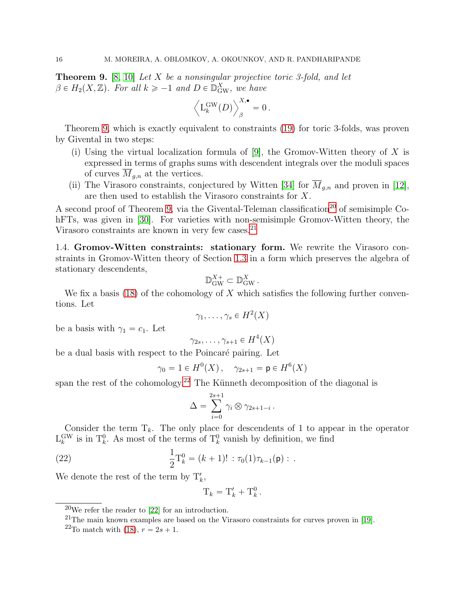<span id="page-15-0"></span>**Theorem 9.** [\[8,](#page-63-2) [10\]](#page-63-3) Let X be a nonsingular projective toric 3-fold, and let  $\beta \in H_2(X, \mathbb{Z})$ . For all  $k \geqslant -1$  and  $D \in \mathbb{D}_{\text{GW}}^X$ , we have

$$
\left\langle \mathcal{L}^{\rm GW}_k(D)\right\rangle_{\beta}^{X,\bullet}=0\,.
$$

Theorem [9,](#page-15-0) which is exactly equivalent to constraints [\(19\)](#page-13-1) for toric 3-folds, was proven by Givental in two steps:

- (i) Using the virtual localization formula of [\[9\]](#page-63-9), the Gromov-Witten theory of  $X$  is expressed in terms of graphs sums with descendent integrals over the moduli spaces of curves  $\overline{M}_{g,n}$  at the vertices.
- (ii) The Virasoro constraints, conjectured by Witten [\[34\]](#page-64-18) for  $\overline{M}_{q,n}$  and proven in [\[12\]](#page-64-19), are then used to establish the Virasoro constraints for X.

A second proof of Theorem [9,](#page-15-0) via the Givental-Teleman classification<sup>[20](#page-15-1)</sup> of semisimple CohFTs, was given in [\[30\]](#page-64-14). For varieties with non-semisimple Gromov-Witten theory, the Virasoro constraints are known in very few cases.<sup>[21](#page-15-2)</sup>

<span id="page-15-5"></span>1.4. Gromov-Witten constraints: stationary form. We rewrite the Virasoro constraints in Gromov-Witten theory of Section [1.3](#page-14-0) in a form which preserves the algebra of stationary descendents,

$$
\mathbb{D}_{\text{GW}}^{X+} \subset \mathbb{D}_{\text{GW}}^{X}.
$$

We fix a basis [\(18\)](#page-12-4) of the cohomology of X which satisfies the following further conventions. Let

$$
\gamma_1,\ldots,\gamma_s\in H^2(X)
$$

be a basis with  $\gamma_1 = c_1$ . Let

$$
\gamma_{2s},\ldots,\gamma_{s+1}\in H^4(X)
$$

be a dual basis with respect to the Poincaré pairing. Let

$$
\gamma_0 = 1 \in H^0(X), \quad \gamma_{2s+1} = \mathsf{p} \in H^6(X)
$$

span the rest of the cohomology.<sup>[22](#page-15-3)</sup> The Künneth decomposition of the diagonal is

$$
\Delta = \sum_{i=0}^{2s+1} \gamma_i \otimes \gamma_{2s+1-i} \, .
$$

Consider the term  $T_k$ . The only place for descendents of 1 to appear in the operator  $L_k^{\text{GW}}$  is in  $T_k^0$ . As most of the terms of  $T_k^0$  vanish by definition, we find

(22) 
$$
\frac{1}{2}T_k^0 = (k+1)! : \tau_0(1)\tau_{k-1}(\mathbf{p}) : .
$$

We denote the rest of the term by  $T'_{k}$ ,

<span id="page-15-4"></span>
$$
\mathrm{T}_k = \mathrm{T}'_k + \mathrm{T}_k^0.
$$

 $20$ We refer the reader to [\[22\]](#page-64-20) for an introduction.

<span id="page-15-1"></span> $^{21}$ The main known examples are based on the Virasoro constraints for curves proven in [\[19\]](#page-64-12).

<span id="page-15-3"></span><span id="page-15-2"></span><sup>&</sup>lt;sup>22</sup>To match with [\(18\)](#page-12-4),  $r = 2s + 1$ .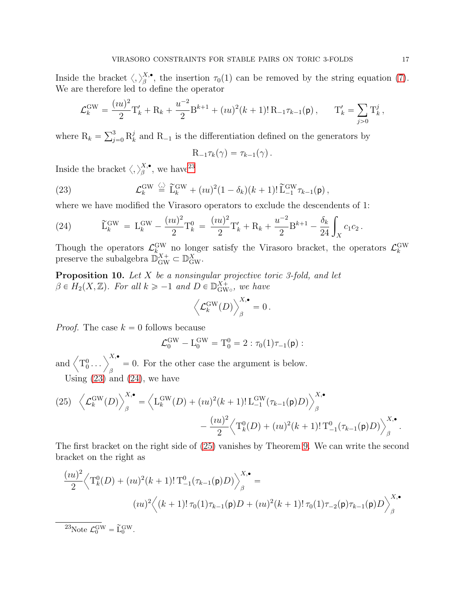Inside the bracket  $\langle,\rangle_{\beta}^{X,\bullet}$  $\mathcal{L}_{\beta}^{\lambda,\bullet}$ , the insertion  $\tau_0(1)$  can be removed by the string equation [\(7\)](#page-7-3). We are therefore led to define the operator

$$
\mathcal{L}_k^{\text{GW}} = \frac{(iu)^2}{2} \mathcal{T}'_k + \mathcal{R}_k + \frac{u^{-2}}{2} \mathcal{B}^{k+1} + (iu)^2 (k+1)! \mathcal{R}_{-1} \tau_{k-1}(\mathbf{p}), \qquad \mathcal{T}'_k = \sum_{j>0} \mathcal{T}^j_k,
$$

where  $R_k = \sum_{j=0}^3 R_k^j$  $\mathcal{R}_k$  and  $\mathcal{R}_{-1}$  is the differentiation defined on the generators by

<span id="page-16-1"></span>
$$
\mathrm{R}_{-1}\tau_k(\gamma)=\tau_{k-1}(\gamma)\,.
$$

Inside the bracket  $\langle,\rangle_\beta^{X,\bullet}$  $_{\beta}^{X,\bullet}$ , we have<sup>[23](#page-16-0)</sup>

(23) 
$$
\mathcal{L}_k^{\text{GW}} \stackrel{\langle . \rangle}{=} \widetilde{\mathbf{L}}_k^{\text{GW}} + (iu)^2 (1 - \delta_k)(k+1)! \widetilde{\mathbf{L}}_{-1}^{\text{GW}} \tau_{k-1}(\mathsf{p}),
$$

where we have modified the Virasoro operators to exclude the descendents of 1:

<span id="page-16-2"></span>(24) 
$$
\widetilde{L}_{k}^{\text{GW}} = L_{k}^{\text{GW}} - \frac{(iu)^{2}}{2} T_{k}^{0} = \frac{(iu)^{2}}{2} T_{k}' + R_{k} + \frac{u^{-2}}{2} B^{k+1} - \frac{\delta_{k}}{24} \int_{X} c_{1} c_{2}.
$$

Though the operators  $\mathcal{L}_k^{\text{GW}}$  no longer satisfy the Virasoro bracket, the operators  $\mathcal{L}_k^{\text{GW}}$  preserve the subalgebra  $\mathbb{D}_{\text{GW}}^{X+} \subset \mathbb{D}_{\text{GW}}^{X}$ .

<span id="page-16-4"></span>**Proposition 10.** Let X be a nonsingular projective toric 3-fold, and let  $\beta \in H_2(X, \mathbb{Z})$ . For all  $k \geq -1$  and  $D \in \mathbb{D}_{\text{GW}}^{X+}$  $\delta_{\rm{GW}\circ}^{\rm{X+}}$ , we have

$$
\left\langle \mathcal{L}_{k}^{\text{GW}}(D)\right\rangle_{\beta}^{X,\bullet}=0\,.
$$

*Proof.* The case  $k = 0$  follows because

$$
\mathcal{L}^{\text{GW}}_0 - \mathrm{L}^{\text{GW}}_0 = \mathrm{T}^0_0 = 2 : \tau_0(1)\tau_{-1}(\mathsf{p}) :
$$

and  $\left\langle T_0^0 \dots \right\rangle_{\beta}^{X,\bullet} = 0$ . For the other case the argument is below.

Using  $(23)$  and  $(24)$ , we have

<span id="page-16-3"></span>(25) 
$$
\left\langle \mathcal{L}_k^{\text{GW}}(D) \right\rangle_{\beta}^{X,\bullet} = \left\langle L_k^{\text{GW}}(D) + (iu)^2(k+1)! L_{-1}^{\text{GW}}(\tau_{k-1}(\mathsf{p})D) \right\rangle_{\beta}^{X,\bullet} - \frac{(iu)^2}{2} \left\langle T_k^0(D) + (iu)^2(k+1)! T_{-1}^0(\tau_{k-1}(\mathsf{p})D) \right\rangle_{\beta}^{X,\bullet}.
$$

The first bracket on the right side of [\(25\)](#page-16-3) vanishes by Theorem [9.](#page-15-0) We can write the second bracket on the right as

$$
\frac{(iu)^2}{2} \left\langle T_k^0(D) + (iu)^2(k+1)! \, T_{-1}^0(\tau_{k-1}(\mathbf{p})D) \right\rangle_{\beta}^{X,\bullet} =
$$

$$
(iu)^2 \left\langle (k+1)! \, \tau_0(1)\tau_{k-1}(\mathbf{p})D + (iu)^2(k+1)! \, \tau_0(1)\tau_{-2}(\mathbf{p})\tau_{k-1}(\mathbf{p})D \right\rangle_{\beta}^{X,\bullet}
$$

<span id="page-16-0"></span><sup>23</sup>Note  $\mathcal{L}_0^{\text{GW}} = \widetilde{\mathcal{L}}_0^{\text{GW}}$ .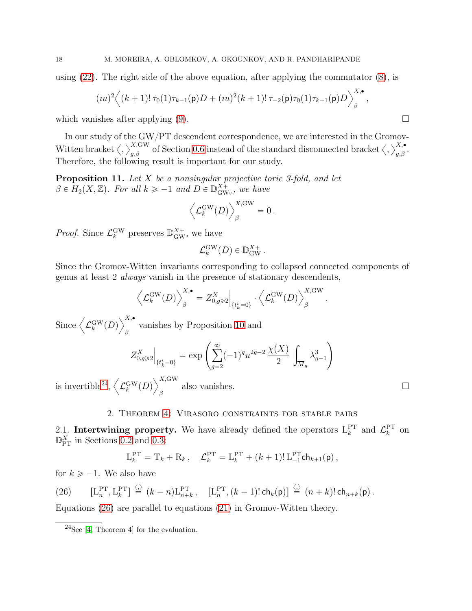using  $(22)$ . The right side of the above equation, after applying the commutator  $(8)$ , is

$$
(iu)^2 \Big\langle (k+1)!\,\tau_0(1)\tau_{k-1}(\mathbf{p})D + (iu)^2(k+1)!\,\tau_{-2}(\mathbf{p})\tau_0(1)\tau_{k-1}(\mathbf{p})D \Big\rangle_{\beta}^{X,\bullet}
$$

which vanishes after applying  $(9)$ .

In our study of the GW/PT descendent correspondence, we are interested in the Gromov-Witten bracket  $\langle,\rangle_{g,\beta}^{X,\text{GW}}$  of Section [0.6](#page-6-2) instead of the standard disconnected bracket  $\langle,\rangle_{g,\beta}^{X,\bullet}$ . Therefore, the following result is important for our study.

<span id="page-17-3"></span>**Proposition 11.** Let  $X$  be a nonsingular projective toric 3-fold, and let  $\beta \in H_2(X, \mathbb{Z})$ . For all  $k \ge -1$  and  $D \in \mathbb{D}_{\text{GW}}^{X+}$  $\delta_{\rm{GW}\circ}^{\rm{X+}}$ , we have

$$
\left\langle \mathcal{L}^{\rm GW}_k(D)\right\rangle_{\beta}^{X,\rm GW}=0\,.
$$

*Proof.* Since  $\mathcal{L}_k^{\text{GW}}$  preserves  $\mathbb{D}_{\text{GW}}^{X_+}$ , we have

$$
\mathcal{L}_k^{\text{GW}}(D) \in \mathbb{D}_{\text{GW}}^{X+}.
$$

Since the Gromov-Witten invariants corresponding to collapsed connected components of genus at least 2 always vanish in the presence of stationary descendents,

$$
\left\langle \mathcal{L}_{k}^{\text{GW}}(D)\right\rangle_{\beta}^{X,\bullet}=Z_{0,g\geqslant2}^{X}\Big|_{\{t_{k}^{i}=0\}}\cdot\left\langle \mathcal{L}_{k}^{\text{GW}}(D)\right\rangle_{\beta}^{X,\text{GW}}.
$$

Since  $\left\langle \mathcal{L}_{k}^{\rm GW}(D)\right\rangle _{s}^{X,\bullet}$ vanishes by Proposition [10](#page-16-4) and  $\beta$ 

$$
Z^X_{0,g\geqslant 2}\bigg|_{\{t^i_k=0\}}=\exp\left(\sum_{g=2}^{\infty}(-1)^gu^{2g-2}\,\frac{\chi(X)}{2}\,\int_{\overline{M}_g}\,\lambda^3_{g-1}\right)
$$

is invertible<sup>[24](#page-17-1)</sup>,  $\left\langle \mathcal{L}_{k}^{\rm GW}(D)\right\rangle _{s}^{X,\rm GW}$ also vanishes.  $\square$ 

#### 2. Theorem [4:](#page-4-0) Virasoro constraints for stable pairs

<span id="page-17-0"></span>2.1. Intertwining property. We have already defined the operators  $L_k^{\text{PT}}$  and  $\mathcal{L}_k^{\text{PT}}$  on  $\mathbb{D}_{\text{PT}}^X$  in Sections [0.2](#page-2-2) and [0.3:](#page-4-3)

$$
L_k^{\rm PT} = T_k + R_k, \quad \mathcal{L}_k^{\rm PT} = L_k^{\rm PT} + (k+1)! L_{-1}^{\rm PT} \mathsf{ch}_{k+1}(\mathsf{p}),
$$

for  $k \ge -1$ . We also have

<span id="page-17-2"></span>(26) 
$$
\left[\mathbf{L}_n^{\mathrm{PT}}, \mathbf{L}_k^{\mathrm{PT}}\right] \stackrel{\langle . \rangle}{=} (k-n)\mathbf{L}_{n+k}^{\mathrm{PT}}, \quad \left[\mathbf{L}_n^{\mathrm{PT}}, (k-1)!\,\mathsf{ch}_k(\mathsf{p})\right] \stackrel{\langle . \rangle}{=} (n+k)!\,\mathsf{ch}_{n+k}(\mathsf{p}).
$$

Equations [\(26\)](#page-17-2) are parallel to equations [\(21\)](#page-14-3) in Gromov-Witten theory.

,

<span id="page-17-1"></span> $24$ See [\[4,](#page-63-8) Theorem 4] for the evaluation.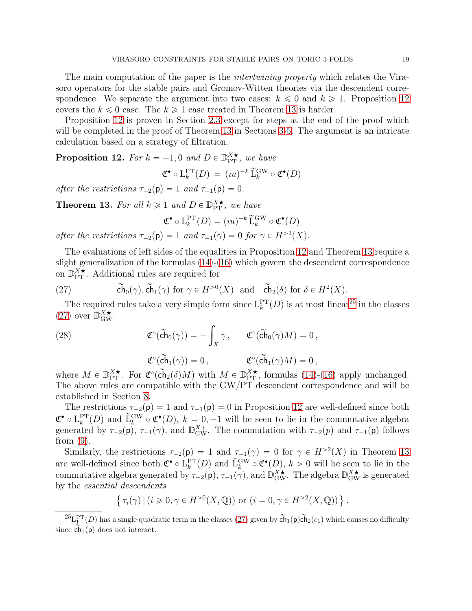The main computation of the paper is the *intertwining property* which relates the Virasoro operators for the stable pairs and Gromov-Witten theories via the descendent correspondence. We separate the argument into two cases:  $k \leq 0$  and  $k \geq 1$ . Proposition [12](#page-18-1) covers the  $k \leq 0$  case. The  $k \geq 1$  case treated in Theorem [13](#page-18-0) is harder.

Proposition [12](#page-18-1) is proven in Section [2.3](#page-19-0) except for steps at the end of the proof which will be completed in the proof of Theorem [13](#page-18-0) in Sections [3-](#page-24-0)[5.](#page-41-0) The argument is an intricate calculation based on a strategy of filtration.

<span id="page-18-1"></span>**Proposition 12.** For  $k = -1, 0$  and  $D \in \mathbb{D}_{PT}^{X*}$ , we have

$$
\mathfrak{C}^{\bullet} \circ \mathcal{L}_{k}^{\mathrm{PT}}(D) = (iu)^{-k} \widetilde{\mathcal{L}}_{k}^{\mathrm{GW}} \circ \mathfrak{C}^{\bullet}(D)
$$

after the restrictions  $\tau_{-2}(\mathbf{p}) = 1$  and  $\tau_{-1}(\mathbf{p}) = 0$ .

<span id="page-18-0"></span>**Theorem 13.** For all  $k \geq 1$  and  $D \in \mathbb{D}_{PT}^{X\star}$ , we have

$$
\mathfrak{C}^{\bullet} \circ \mathcal{L}_{k}^{\mathrm{PT}}(D) = (iu)^{-k} \widetilde{\mathcal{L}}_{k}^{\mathrm{GW}} \circ \mathfrak{C}^{\bullet}(D)
$$

after the restrictions  $\tau_{-2}(\mathsf{p}) = 1$  and  $\tau_{-1}(\gamma) = 0$  for  $\gamma \in H^{>2}(X)$ .

The evaluations of left sides of the equalities in Proposition [12](#page-18-1) and Theorem [13](#page-18-0) require a slight generalization of the formulas [\(14\)](#page-9-0)-[\(16\)](#page-9-1) which govern the descendent correspondence on  $\mathbb{D}_{PT}^{\overrightarrow{X}}$ . Additional rules are required for

<span id="page-18-3"></span>(27) 
$$
\widetilde{\text{Ch}}_0(\gamma)
$$
,  $\widetilde{\text{Ch}}_1(\gamma)$  for  $\gamma \in H^{>0}(X)$  and  $\widetilde{\text{Ch}}_2(\delta)$  for  $\delta \in H^2(X)$ .

The required rules take a very simple form since  $L_k^{\text{PT}}(D)$  is at most linear<sup>[25](#page-18-2)</sup> in the classes [\(27\)](#page-18-3) over  $\mathbb{D}_{\text{GW}}^{X\star}$ :

(28) 
$$
\mathfrak{C}^{\circ}(\widetilde{\mathbf{ch}}_0(\gamma)) = -\int_X \gamma, \qquad \mathfrak{C}^{\circ}(\widetilde{\mathbf{ch}}_0(\gamma)M) = 0,
$$

$$
\mathfrak{C}^{\circ}(\widetilde{\mathbf{ch}}_1(\gamma)) = 0, \qquad \mathfrak{C}^{\circ}(\widetilde{\mathbf{ch}}_1(\gamma)M) = 0,
$$

where  $M \in \mathbb{D}_{\text{PT}}^{\chi^\star}$ . For  $\mathfrak{C}^\circ(\tilde{\text{ch}}_2(\delta)M)$  with  $M \in \mathbb{D}_{\text{PT}}^{\chi^\star}$ , formulas [\(14\)](#page-9-0)-[\(16\)](#page-9-1) apply unchanged. The above rules are compatible with the  $\text{GW/PT}$  descendent correspondence and will be established in Section [8.](#page-54-0)

The restrictions  $\tau_{-2}(\mathbf{p}) = 1$  and  $\tau_{-1}(\mathbf{p}) = 0$  in Proposition [12](#page-18-1) are well-defined since both  $\mathfrak{C}^{\bullet} \circ L_{k}^{PT}(D)$  and  $\widetilde{L}_{k}^{GW} \circ \mathfrak{C}^{\bullet}(D), k = 0, -1$  will be seen to lie in the commutative algebra generated by  $\tau_{-2}(\mathsf{p})$ ,  $\tau_{-1}(\gamma)$ , and  $\mathbb{D}_{\text{GW}}^{X+}$ . The commutation with  $\tau_{-2}(p)$  and  $\tau_{-1}(\mathsf{p})$  follows from [\(9\)](#page-7-4).

Similarly, the restrictions  $\tau_{-2}(\mathsf{p}) = 1$  and  $\tau_{-1}(\gamma) = 0$  for  $\gamma \in H^{>2}(X)$  in Theorem [13](#page-18-0) are well-defined since both  $\mathfrak{C}^{\bullet} \circ L_k^{\text{PT}}(D)$  and  $\widetilde{L}_k^{\text{GW}} \circ \mathfrak{C}^{\bullet}(D)$ ,  $k > 0$  will be seen to lie in the commutative algebra generated by  $\tau_{-2}(\mathsf{p}), \tau_{-1}(\gamma)$ , and  $\mathbb{D}_{\text{GW}}^{X\star}$ . The algebra  $\mathbb{D}_{\text{GW}}^{X\star}$  is generated by the essential descendents

$$
\{ \tau_i(\gamma) \mid (i \geq 0, \gamma \in H^{>0}(X, \mathbb{Q})) \text{ or } (i = 0, \gamma \in H^{>2}(X, \mathbb{Q})) \}.
$$

<span id="page-18-2"></span> ${}^{25}L_1^{\rm PT}(D)$  has a single quadratic term in the classes [\(27\)](#page-18-3) given by  $\tilde{\text{ch}}_1(\textbf{p})\tilde{\text{ch}}_2(c_1)$  which causes no difficulty since  $ch_1(p)$  does not interact.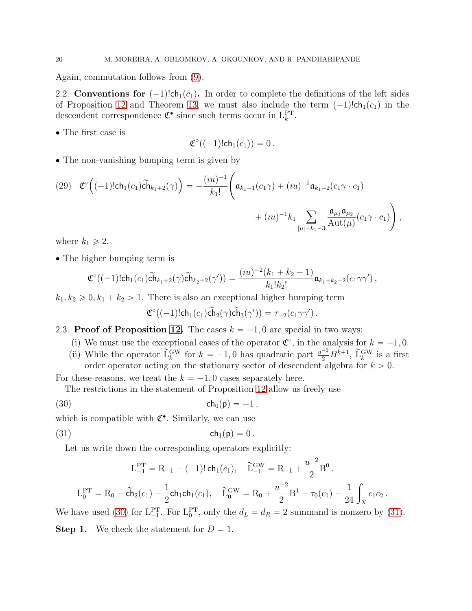Again, commutation follows from [\(9\)](#page-7-4).

2.2. Conventions for  $(-1)!$ ch<sub>1</sub> $(c_1)$ . In order to complete the definitions of the left sides of Proposition [12](#page-18-1) and Theorem [13,](#page-18-0) we must also include the term  $(-1)!ch_1(c_1)$  in the descendent correspondence  $\mathfrak{C}^{\bullet}$  since such terms occur in  $L_k^{\text{PT}}$ .

• The first case is

$$
\mathfrak{C}^{\circ}((-1)!\mathsf{ch}_1(c_1))=0.
$$

• The non-vanishing bumping term is given by

<span id="page-19-3"></span>
$$
(29) \quad \mathfrak{C}^{\circ}\Big((-1)!\mathsf{ch}_{1}(c_{1})\widetilde{\mathsf{ch}}_{k_{1}+2}(\gamma)\Big) = -\frac{(iu)^{-1}}{k_{1}!}\Bigg(\mathfrak{a}_{k_{1}-1}(c_{1}\gamma) + (iu)^{-1}\mathfrak{a}_{k_{1}-2}(c_{1}\gamma \cdot c_{1}) + (iu)^{-1}k_{1}\sum_{|\mu|=k_{1}-3}\frac{\mathfrak{a}_{\mu_{1}}\mathfrak{a}_{\mu_{2}}}{\mathrm{Aut}(\mu)}(c_{1}\gamma \cdot c_{1})\Bigg),
$$

where  $k_1 \geq 2$ .

• The higher bumping term is

$$
\mathfrak{C}^{\circ}((-1)!ch_1(c_1)\widetilde{ch}_{k_1+2}(\gamma)\widetilde{ch}_{k_2+2}(\gamma'))=\frac{(iu)^{-2}(k_1+k_2-1)}{k_1!k_2!}\mathfrak{a}_{k_1+k_2-2}(c_1\gamma\gamma'),
$$

 $k_1, k_2 \geq 0, k_1 + k_2 > 1$ . There is also an exceptional higher bumping term

<span id="page-19-1"></span>
$$
\mathfrak{C}^{\circ}((-1)!\mathsf{ch}_1(c_1)\widetilde{\mathsf{ch}}_2(\gamma)\widetilde{\mathsf{ch}}_3(\gamma')) = \tau_{-2}(c_1\gamma\gamma').
$$

# <span id="page-19-0"></span>2.3. Proof of Proposition [12.](#page-18-1) The cases  $k = -1, 0$  are special in two ways:

- (i) We must use the exceptional cases of the operator  $\mathfrak{C}^{\circ}$ , in the analysis for  $k = -1, 0$ .
- (ii) While the operator  $\tilde{L}_k^{\text{GW}}$  for  $k = -1, 0$  has quadratic part  $\frac{u^{-2}}{2} B^{k+1}$ ,  $\tilde{L}_k^{\text{GW}}$  is a first order operator acting on the stationary sector of descendent algebra for  $k > 0$ .

For these reasons, we treat the  $k = -1, 0$  cases separately here.

The restrictions in the statement of Proposition [12](#page-18-1) allow us freely use

(30) ch<sub>0</sub>( $p$ ) = -1,

which is compatible with  $\mathfrak{C}^{\bullet}$ . Similarly, we can use

$$
ch_1(p) = 0.
$$

Let us write down the corresponding operators explicitly:

<span id="page-19-2"></span>
$$
L_{-1}^{PT} = R_{-1} - (-1)! \operatorname{ch}_{1}(c_{1}), \quad \widetilde{L}_{-1}^{GW} = R_{-1} + \frac{u^{-2}}{2} B^{0}.
$$
\n
$$
R_{-1} = \widetilde{A}_{-1}(c_{1}), \quad \widetilde{A}_{-1}^{GW} = R_{-1} + \frac{u^{-2}}{2} B^{1} - (-1)^{1}.
$$

$$
L_0^{\rm PT} = R_0 - \tilde{\mathbf{ch}}_2(c_1) - \frac{1}{2} \mathbf{ch}_1 \mathbf{ch}_1(c_1), \quad \tilde{L}_0^{\rm GW} = R_0 + \frac{u^{-2}}{2} B^1 - \tau_0(c_1) - \frac{1}{24} \int_X c_1 c_2.
$$

We have used [\(30\)](#page-19-1) for  $L_{-1}^{PT}$ . For  $L_0^{PT}$ , only the  $d_L = d_R = 2$  summand is nonzero by [\(31\)](#page-19-2).

**Step 1.** We check the statement for  $D = 1$ .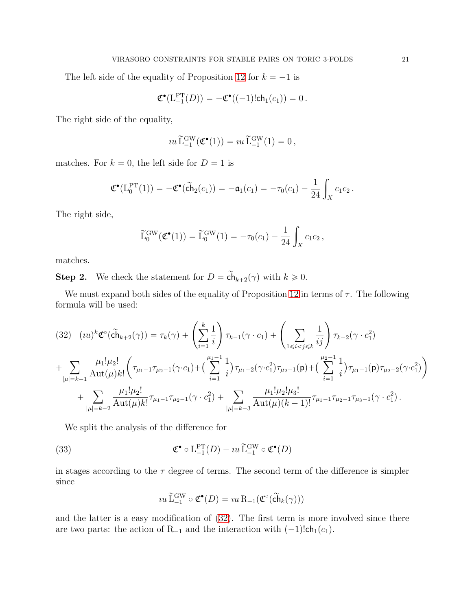The left side of the equality of Proposition [12](#page-18-1) for  $k = -1$  is

$$
\mathfrak{C}^{\bullet}(\mathsf{L}_{-1}^{\mathrm{PT}}(D)) = -\mathfrak{C}^{\bullet}((-1)!\mathsf{ch}_1(c_1)) = 0.
$$

The right side of the equality,

$$
u\,\widetilde{\mathcal{L}}_{-1}^{\mathrm{GW}}(\mathfrak{C}^\bullet(1)) = u\,\widetilde{\mathcal{L}}_{-1}^{\mathrm{GW}}(1) = 0\,,
$$

matches. For  $k = 0$ , the left side for  $D = 1$  is

$$
\mathfrak{C}^{\bullet}(L_0^{PT}(1)) = -\mathfrak{C}^{\bullet}(\tilde{ch}_2(c_1)) = -\mathfrak{a}_1(c_1) = -\tau_0(c_1) - \frac{1}{24} \int_X c_1 c_2.
$$

The right side,

$$
\widetilde{L}_0^{\text{GW}}(\mathfrak{C}^\bullet(1)) = \widetilde{L}_0^{\text{GW}}(1) = -\tau_0(c_1) - \frac{1}{24} \int_X c_1 c_2,
$$

matches.

**Step 2.** We check the statement for  $D = \widetilde{\mathsf{ch}}_{k+2}(\gamma)$  with  $k \geq 0$ .

We must expand both sides of the equality of Proposition [12](#page-18-1) in terms of  $\tau$ . The following formula will be used:

<span id="page-20-0"></span>
$$
(32) (iu)^{k} \mathfrak{C}^{\circ}(\widetilde{ch}_{k+2}(\gamma)) = \tau_{k}(\gamma) + \left(\sum_{i=1}^{k} \frac{1}{i}\right) \tau_{k-1}(\gamma \cdot c_{1}) + \left(\sum_{1 \leq i < j \leq k} \frac{1}{ij}\right) \tau_{k-2}(\gamma \cdot c_{1}^{2})
$$
\n
$$
+ \sum_{|\mu|=k-1} \frac{\mu_{1}! \mu_{2}!}{\mathrm{Aut}(\mu)k!} \left(\tau_{\mu_{1}-1}\tau_{\mu_{2}-1}(\gamma \cdot c_{1}) + \left(\sum_{i=1}^{\mu_{1}-1} \frac{1}{i}\right) \tau_{\mu_{1}-2}(\gamma \cdot c_{1}^{2}) \tau_{\mu_{2}-1}(\mathsf{p}) + \left(\sum_{i=1}^{\mu_{2}-1} \frac{1}{i}\right) \tau_{\mu_{1}-1}(\mathsf{p}) \tau_{\mu_{2}-2}(\gamma \cdot c_{1}^{2})\right)
$$
\n
$$
+ \sum_{|\mu|=k-2} \frac{\mu_{1}! \mu_{2}!}{\mathrm{Aut}(\mu)k!} \tau_{\mu_{1}-1} \tau_{\mu_{2}-1}(\gamma \cdot c_{1}^{2}) + \sum_{|\mu|=k-3} \frac{\mu_{1}! \mu_{2}! \mu_{3}!}{\mathrm{Aut}(\mu)(k-1)!} \tau_{\mu_{1}-1} \tau_{\mu_{2}-1} \tau_{\mu_{3}-1}(\gamma \cdot c_{1}^{2}).
$$

We split the analysis of the difference for

(33) 
$$
\mathfrak{C}^{\bullet} \circ L_{-1}^{\mathrm{PT}}(D) - i u \widetilde{L}_{-1}^{\mathrm{GW}} \circ \mathfrak{C}^{\bullet}(D)
$$

in stages according to the  $\tau$  degree of terms. The second term of the difference is simpler since

<span id="page-20-1"></span>
$$
iu \widetilde{\mathcal{L}}^{GW}_{-1} \circ \mathfrak{C}^\bullet(D) = iu \mathcal{R}_{-1}(\mathfrak{C}^\circ(\widetilde{\mathbf{ch}}_k(\gamma)))
$$

and the latter is a easy modification of [\(32\)](#page-20-0). The first term is more involved since there are two parts: the action of  $R_{-1}$  and the interaction with  $(-1)!$ ch<sub>1</sub> $(c_1)$ .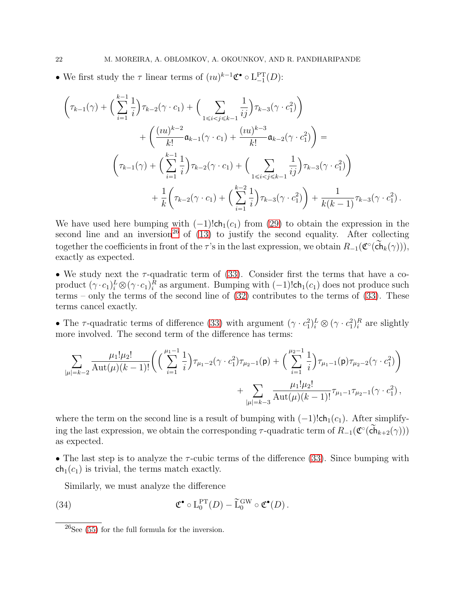• We first study the  $\tau$  linear terms of  $(uu)^{k-1}\mathfrak{C}^{\bullet} \circ L_{-1}^{PT}(D)$ :

$$
\left(\tau_{k-1}(\gamma) + \left(\sum_{i=1}^{k-1} \frac{1}{i}\right) \tau_{k-2}(\gamma \cdot c_1) + \left(\sum_{1 \le i < j \le k-1} \frac{1}{ij}\right) \tau_{k-3}(\gamma \cdot c_1^2)\right) \n+ \left(\frac{(iu)^{k-2}}{k!} \mathfrak{a}_{k-1}(\gamma \cdot c_1) + \frac{(iu)^{k-3}}{k!} \mathfrak{a}_{k-2}(\gamma \cdot c_1^2)\right) = \n\left(\tau_{k-1}(\gamma) + \left(\sum_{i=1}^{k-1} \frac{1}{i}\right) \tau_{k-2}(\gamma \cdot c_1) + \left(\sum_{1 \le i < j \le k-1} \frac{1}{ij}\right) \tau_{k-3}(\gamma \cdot c_1^2)\right) \n+ \frac{1}{k} \left(\tau_{k-2}(\gamma \cdot c_1) + \left(\sum_{i=1}^{k-2} \frac{1}{i}\right) \tau_{k-3}(\gamma \cdot c_1^2)\right) + \frac{1}{k(k-1)} \tau_{k-3}(\gamma \cdot c_1^2).
$$

We have used here bumping with  $(-1)!$ ch<sub>1</sub> $(c_1)$  from [\(29\)](#page-19-3) to obtain the expression in the second line and an inversion<sup>[26](#page-21-0)</sup> of  $(13)$  to justify the second equality. After collecting together the coefficients in front of the  $\tau$ 's in the last expression, we obtain  $R_{-1}(\mathfrak{C}^{\circ}(\tilde{ch}_k(\gamma))),$ exactly as expected.

• We study next the  $\tau$ -quadratic term of [\(33\)](#page-20-1). Consider first the terms that have a coproduct  $(\gamma \cdot c_1)_i^L \otimes (\gamma \cdot c_1)_i^R$  as argument. Bumping with  $(-1)!$ ch<sub>1</sub> $(c_1)$  does not produce such terms – only the terms of the second line of  $(32)$  contributes to the terms of  $(33)$ . These terms cancel exactly.

• The  $\tau$ -quadratic terms of difference [\(33\)](#page-20-1) with argument  $(\gamma \cdot c_1^2)_i^L \otimes (\gamma \cdot c_1^2)_i^R$  are slightly more involved. The second term of the difference has terms:

$$
\sum_{|\mu|=k-2} \frac{\mu_1! \mu_2!}{\mathrm{Aut}(\mu)(k-1)!} \bigg( \Big( \sum_{i=1}^{\mu_1-1} \frac{1}{i} \Big) \tau_{\mu_1-2}(\gamma \cdot c_1^2) \tau_{\mu_2-1}(\mathsf{p}) + \Big( \sum_{i=1}^{\mu_2-1} \frac{1}{i} \Big) \tau_{\mu_1-1}(\mathsf{p}) \tau_{\mu_2-2}(\gamma \cdot c_1^2) \bigg) + \sum_{|\mu|=k-3} \frac{\mu_1! \mu_2!}{\mathrm{Aut}(\mu)(k-1)!} \tau_{\mu_1-1} \tau_{\mu_2-1}(\gamma \cdot c_1^2) ,
$$

where the term on the second line is a result of bumping with  $(-1)!$ ch<sub>1</sub> $(c_1)$ . After simplifying the last expression, we obtain the corresponding  $\tau$ -quadratic term of  $R_{-1}(\mathfrak{C}^{\circ}(\tilde{ch}_{k+2}(\gamma)))$ as expected.

• The last step is to analyze the  $\tau$ -cubic terms of the difference [\(33\)](#page-20-1). Since bumping with  $ch_1(c_1)$  is trivial, the terms match exactly.

<span id="page-21-1"></span>Similarly, we must analyze the difference

(34) 
$$
\mathfrak{C}^{\bullet} \circ L_0^{\text{PT}}(D) - \widetilde{L}_0^{\text{GW}} \circ \mathfrak{C}^{\bullet}(D).
$$

<span id="page-21-0"></span> $26$ See [\(55\)](#page-30-0) for the full formula for the inversion.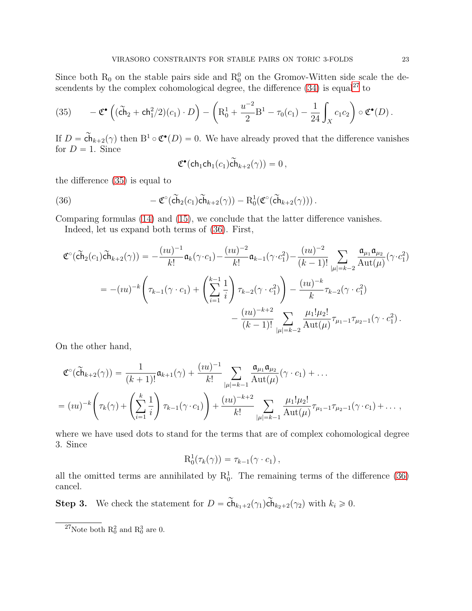Since both  $R_0$  on the stable pairs side and  $R_0^0$  on the Gromov-Witten side scale the descendents by the complex cohomological degree, the difference  $(34)$  is equal<sup>[27](#page-22-0)</sup> to

<span id="page-22-1"></span>(35) 
$$
-\mathfrak{C}^{\bullet}\left((\widetilde{\mathsf{ch}}_2 + \mathsf{ch}_1^2/2)(c_1) \cdot D\right) - \left(R_0^1 + \frac{u^{-2}}{2}B^1 - \tau_0(c_1) - \frac{1}{24} \int_X c_1 c_2\right) \circ \mathfrak{C}^{\bullet}(D).
$$

If  $D = \widetilde{\mathsf{ch}}_{k+2}(\gamma)$  then  $B^1 \circ \mathfrak{C}^\bullet(D) = 0$ . We have already proved that the difference vanishes for  $D = 1$ . Since

<span id="page-22-2"></span>
$$
\mathfrak{C}^{\bullet}(\mathsf{ch}_1\mathsf{ch}_1(c_1)\widetilde{\mathsf{ch}}_{k+2}(\gamma))=0\,,
$$

the difference [\(35\)](#page-22-1) is equal to

(36) 
$$
-\mathfrak{C}^{\circ}(\widetilde{\mathsf{ch}}_2(c_1)\widetilde{\mathsf{ch}}_{k+2}(\gamma)) - \mathrm{R}_0^1(\mathfrak{C}^{\circ}(\widetilde{\mathsf{ch}}_{k+2}(\gamma))).
$$

Comparing formulas [\(14\)](#page-9-0) and [\(15\)](#page-9-4), we conclude that the latter difference vanishes.

Indeed, let us expand both terms of [\(36\)](#page-22-2). First,

$$
\mathfrak{C}^{\circ}(\tilde{ch}_{2}(c_{1})\tilde{ch}_{k+2}(\gamma)) = -\frac{(iu)^{-1}}{k!}\mathfrak{a}_{k}(\gamma \cdot c_{1}) - \frac{(iu)^{-2}}{k!}\mathfrak{a}_{k-1}(\gamma \cdot c_{1}^{2}) - \frac{(iu)^{-2}}{(k-1)!} \sum_{|\mu|=k-2} \frac{\mathfrak{a}_{\mu_{1}}\mathfrak{a}_{\mu_{2}}}{\mathrm{Aut}(\mu)}(\gamma \cdot c_{1}^{2})
$$
  
=  $-(iu)^{-k} \left(\tau_{k-1}(\gamma \cdot c_{1}) + \left(\sum_{i=1}^{k-1} \frac{1}{i}\right) \tau_{k-2}(\gamma \cdot c_{1}^{2})\right) - \frac{(iu)^{-k}}{k} \tau_{k-2}(\gamma \cdot c_{1}^{2})$   
 $-\frac{(iu)^{-k+2}}{(k-1)!} \sum_{|\mu|=k-2} \frac{\mu_{1}! \mu_{2}!}{\mathrm{Aut}(\mu)} \tau_{\mu_{1}-1} \tau_{\mu_{2}-1}(\gamma \cdot c_{1}^{2}).$ 

On the other hand,

$$
\mathfrak{C}^{\circ}(\tilde{ch}_{k+2}(\gamma)) = \frac{1}{(k+1)!} \mathfrak{a}_{k+1}(\gamma) + \frac{(iu)^{-1}}{k!} \sum_{|\mu|=k-1} \frac{\mathfrak{a}_{\mu_1} \mathfrak{a}_{\mu_2}}{\mathrm{Aut}(\mu)} (\gamma \cdot c_1) + \dots
$$
  
=  $(iu)^{-k} \left( \tau_k(\gamma) + \left( \sum_{i=1}^k \frac{1}{i} \right) \tau_{k-1}(\gamma \cdot c_1) \right) + \frac{(iu)^{-k+2}}{k!} \sum_{|\mu|=k-1} \frac{\mu_1! \mu_2!}{\mathrm{Aut}(\mu)} \tau_{\mu_1-1} \tau_{\mu_2-1}(\gamma \cdot c_1) + \dots,$ 

where we have used dots to stand for the terms that are of complex cohomological degree 3. Since

$$
\mathrm{R}_0^1(\tau_k(\gamma)) = \tau_{k-1}(\gamma \cdot c_1),
$$

all the omitted terms are annihilated by  $R_0^1$ . The remaining terms of the difference [\(36\)](#page-22-2) cancel.

**Step 3.** We check the statement for  $D = \widetilde{\mathsf{ch}}_{k_1+2}(\gamma_1)\widetilde{\mathsf{ch}}_{k_2+2}(\gamma_2)$  with  $k_i \geq 0$ .

<span id="page-22-0"></span><sup>&</sup>lt;sup>27</sup>Note both  $R_0^2$  and  $R_0^3$  are 0.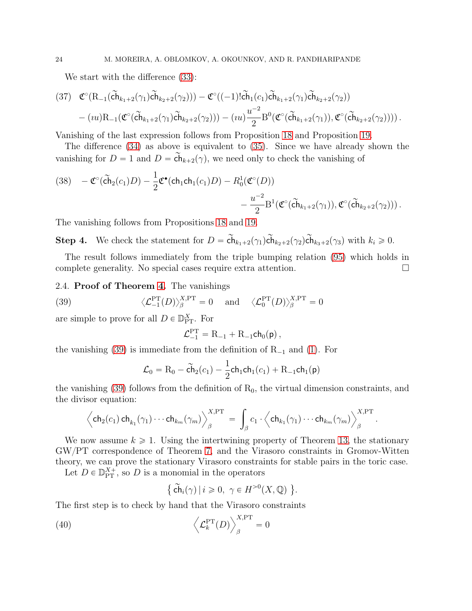We start with the difference [\(33\)](#page-20-1):

$$
(37) \quad \mathfrak{C}^{\circ}(\mathrm{R}_{-1}(\tilde{\mathrm{ch}}_{k_{1}+2}(\gamma_{1})\tilde{\mathrm{ch}}_{k_{2}+2}(\gamma_{2}))) - \mathfrak{C}^{\circ}((-1)!\tilde{\mathrm{ch}}_{1}(c_{1})\tilde{\mathrm{ch}}_{k_{1}+2}(\gamma_{1})\tilde{\mathrm{ch}}_{k_{2}+2}(\gamma_{2})) - (iu)\mathrm{R}_{-1}(\mathfrak{C}^{\circ}(\tilde{\mathrm{ch}}_{k_{1}+2}(\gamma_{1})\tilde{\mathrm{ch}}_{k_{2}+2}(\gamma_{2}))) - (iu)\frac{u^{-2}}{2}\mathrm{B}^{0}(\mathfrak{C}^{\circ}(\tilde{\mathrm{ch}}_{k_{1}+2}(\gamma_{1})), \mathfrak{C}^{\circ}(\tilde{\mathrm{ch}}_{k_{2}+2}(\gamma_{2}))) ).
$$

Vanishing of the last expression follows from Proposition [18](#page-41-1) and Proposition [19.](#page-42-0)

The difference [\(34\)](#page-21-1) as above is equivalent to [\(35\)](#page-22-1). Since we have already shown the vanishing for  $D = 1$  and  $D = \widetilde{\mathsf{ch}}_{k+2}(\gamma)$ , we need only to check the vanishing of

(38) 
$$
-\mathfrak{C}^{\circ}(\widetilde{\mathbf{ch}}_2(c_1)D) - \frac{1}{2}\mathfrak{C}^{\bullet}(\mathbf{ch}_1\mathbf{ch}_1(c_1)D) - R_0^1(\mathfrak{C}^{\circ}(D)) - \frac{u^{-2}}{2}\mathrm{B}^1(\mathfrak{C}^{\circ}(\widetilde{\mathbf{ch}}_{k_1+2}(\gamma_1)), \mathfrak{C}^{\circ}(\widetilde{\mathbf{ch}}_{k_2+2}(\gamma_2))).
$$

The vanishing follows from Propositions [18](#page-41-1) and [19.](#page-42-0)

Step 4. We check the statement for  $D = \tilde{\mathsf{ch}}_{k_1+2}(\gamma_1)\tilde{\mathsf{ch}}_{k_2+2}(\gamma_2)\tilde{\mathsf{ch}}_{k_3+2}(\gamma_3)$  with  $k_i \geq 0$ .

The result follows immediately from the triple bumping relation [\(95\)](#page-44-1) which holds in complete generality. No special cases require extra attention.

#### <span id="page-23-0"></span>2.4. Proof of Theorem [4.](#page-4-0) The vanishings

(39) 
$$
\langle \mathcal{L}_{-1}^{PT}(D) \rangle_{\beta}^{X,PT} = 0
$$
 and  $\langle \mathcal{L}_{0}^{PT}(D) \rangle_{\beta}^{X,PT} = 0$ 

are simple to prove for all  $D \in \mathbb{D}_{\text{PT}}^X$ . For

<span id="page-23-1"></span>
$$
\mathcal{L}_{-1}^{\rm PT} = {\rm R}_{-1} + {\rm R}_{-1} {\sf ch}_0({\sf p})\,,
$$

the vanishing [\(39\)](#page-23-1) is immediate from the definition of  $R_{-1}$  and [\(1\)](#page-1-3). For

$$
\mathcal{L}_0 = R_0 - \tilde{ch}_2(c_1) - \frac{1}{2} \text{ch}_1 \text{ch}_1(c_1) + R_{-1} \text{ch}_1(\text{p})
$$

the vanishing  $(39)$  follows from the definition of  $R_0$ , the virtual dimension constraints, and the divisor equation:

$$
\left\langle \mathsf{ch}_2(c_1)\,\mathsf{ch}_{k_1}(\gamma_1)\cdots\mathsf{ch}_{k_m}(\gamma_m) \right\rangle_{\beta}^{X,\operatorname{PT}}\;=\;\int_{\beta} c_1\cdot \left\langle \mathsf{ch}_{k_1}(\gamma_1)\cdots\mathsf{ch}_{k_m}(\gamma_m) \right\rangle_{\beta}^{X,\operatorname{PT}}
$$

.

We now assume  $k \geq 1$ . Using the intertwining property of Theorem [13,](#page-18-0) the stationary GW{PT correspondence of Theorem [7,](#page-9-3) and the Virasoro constraints in Gromov-Witten theory, we can prove the stationary Virasoro constraints for stable pairs in the toric case.

Let  $D \in \mathbb{D}_{\text{PT}}^{X+}$ , so D is a monomial in the operators

<span id="page-23-2"></span>
$$
\{\ \widetilde{\mathsf{ch}}_i(\gamma) \ | \ i \geqslant 0, \ \gamma \in H^{>0}(X, \mathbb{Q}) \ \}.
$$

The first step is to check by hand that the Virasoro constraints

(40) 
$$
\left\langle \mathcal{L}_k^{\text{PT}}(D) \right\rangle_{\beta}^{X,\text{PT}} = 0
$$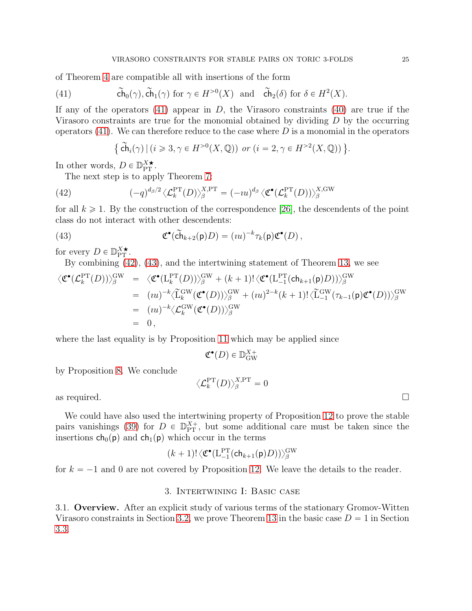of Theorem [4](#page-4-0) are compatible all with insertions of the form

(41) 
$$
\tilde{\mathsf{ch}}_0(\gamma), \tilde{\mathsf{ch}}_1(\gamma) \text{ for } \gamma \in H^{>0}(X) \text{ and } \tilde{\mathsf{ch}}_2(\delta) \text{ for } \delta \in H^2(X).
$$

If any of the operators  $(41)$  appear in D, the Virasoro constraints  $(40)$  are true if the Virasoro constraints are true for the monomial obtained by dividing  $D$  by the occurring operators  $(41)$ . We can therefore reduce to the case where D is a monomial in the operators

<span id="page-24-3"></span><span id="page-24-2"></span><span id="page-24-1"></span>
$$
\{\widetilde{\mathsf{ch}}_i(\gamma) \mid (i \geqslant 3, \gamma \in H^{>0}(X, \mathbb{Q})) \text{ or } (i = 2, \gamma \in H^{>2}(X, \mathbb{Q}))\}.
$$

In other words,  $D \in \mathbb{D}_{\text{PT}}^{X \star}$ .

The next step is to apply Theorem [7:](#page-9-3)

(42) 
$$
(-q)^{d_{\beta}/2} \langle \mathcal{L}_k^{\text{PT}}(D) \rangle_{\beta}^{X,\text{PT}} = (-iu)^{d_{\beta}} \langle \mathfrak{C}^{\bullet}(\mathcal{L}_k^{\text{PT}}(D)) \rangle_{\beta}^{X,\text{GW}}
$$

for all  $k \geq 1$ . By the construction of the correspondence [\[26\]](#page-64-8), the descendents of the point class do not interact with other descendents:

(43) 
$$
\mathfrak{C}^{\bullet}(\widetilde{\mathbf{ch}}_{k+2}(\mathsf{p})D) = (iu)^{-k} \tau_k(\mathsf{p}) \mathfrak{C}^{\bullet}(D),
$$

for every  $D \in \mathbb{D}_{\text{PT}}^{X \star}$ .

By combining [\(42\)](#page-24-2), [\(43\)](#page-24-3), and the intertwining statement of Theorem [13,](#page-18-0) we see

$$
\langle \mathfrak{C}^{\bullet}(\mathcal{L}_{k}^{\mathrm{PT}}(D)) \rangle_{\beta}^{\mathrm{GW}} = \langle \mathfrak{C}^{\bullet}(\mathrm{L}_{k}^{\mathrm{PT}}(D)) \rangle_{\beta}^{\mathrm{GW}} + (k+1)! \langle \mathfrak{C}^{\bullet}(\mathrm{L}_{-1}^{\mathrm{PT}}(\mathsf{ch}_{k+1}(\mathsf{p})D)) \rangle_{\beta}^{\mathrm{GW}} \n= (uu)^{-k} \langle \widetilde{\mathrm{L}}_{k}^{\mathrm{GW}}(\mathfrak{C}^{\bullet}(D)) \rangle_{\beta}^{\mathrm{GW}} + (uu)^{2-k}(k+1)! \langle \widetilde{\mathrm{L}}_{-1}^{\mathrm{GW}}(\tau_{k-1}(\mathsf{p})\mathfrak{C}^{\bullet}(D)) \rangle_{\beta}^{\mathrm{GW}} \n= (uu)^{-k} \langle \mathcal{L}_{k}^{\mathrm{GW}}(\mathfrak{C}^{\bullet}(D)) \rangle_{\beta}^{\mathrm{GW}} \n= 0,
$$

where the last equality is by Proposition [11](#page-17-3) which may be applied since

$$
\mathfrak{C}^\bullet(D) \in \mathbb{D}_{\text{GW}}^{X+}
$$

by Proposition [8.](#page-10-3) We conclude

$$
\langle \mathcal{L}^{\rm PT}_k(D)\rangle^{\rm X,PT}_\beta=0
$$

as required.  $\Box$ 

We could have also used the intertwining property of Proposition [12](#page-18-1) to prove the stable pairs vanishings [\(39\)](#page-23-1) for  $D \in \mathbb{D}_{PT}^{X+}$ , but some additional care must be taken since the insertions  $ch_0(p)$  and  $ch_1(p)$  which occur in the terms

$$
(k+1)!\langle \mathfrak{C}^{\bullet}(\mathrm{L}^{\mathrm{PT}}_{-1}(\mathsf{ch}_{k+1}(\mathsf{p})D)) \rangle^{\mathrm{GW}}_{\beta}
$$

<span id="page-24-0"></span>for  $k = -1$  and 0 are not covered by Proposition [12.](#page-18-1) We leave the details to the reader.

#### 3. Intertwining I: Basic case

3.1. Overview. After an explicit study of various terms of the stationary Gromov-Witten Virasoro constraints in Section [3.2,](#page-25-0) we prove Theorem [13](#page-18-0) in the basic case  $D = 1$  in Section [3.3.](#page-26-1)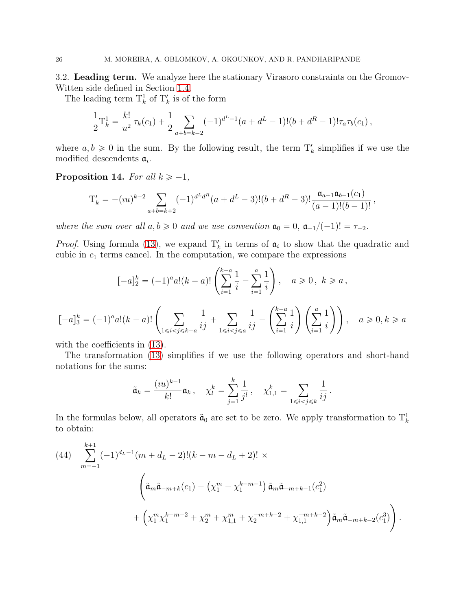<span id="page-25-0"></span>3.2. Leading term. We analyze here the stationary Virasoro constraints on the Gromov-Witten side defined in Section [1.4.](#page-15-5)

The leading term  $\mathcal{T}_{k}^{1}$  of  $\mathcal{T}_{k}'$  is of the form

$$
\frac{1}{2}T_k^1 = \frac{k!}{u^2}\tau_k(c_1) + \frac{1}{2}\sum_{a+b=k-2}(-1)^{d^L-1}(a+d^L-1)!(b+d^R-1)!\tau_a\tau_b(c_1),
$$

where  $a, b \ge 0$  in the sum. By the following result, the term  $T'_k$  simplifies if we use the modified descendents  $a_i$ .

<span id="page-25-2"></span>Proposition 14. For all  $k \ge -1$ ,

$$
T'_{k} = -(iu)^{k-2} \sum_{a+b=k+2} (-1)^{d^{L}d^{R}} (a+d^{L}-3)!(b+d^{R}-3)!\frac{\mathfrak{a}_{a-1}\mathfrak{a}_{b-1}(c_{1})}{(a-1)!(b-1)!},
$$

where the sum over all  $a, b \ge 0$  and we use convention  $\mathfrak{a}_0 = 0$ ,  $\mathfrak{a}_{-1}/(-1)! = \tau_{-2}$ .

*Proof.* Using formula [\(13\)](#page-8-3), we expand  $T'_{k}$  in terms of  $a_{i}$  to show that the quadratic and cubic in  $c_1$  terms cancel. In the computation, we compare the expressions

$$
[-a]_2^k = (-1)^a a!(k-a)!\left(\sum_{i=1}^{k-a} \frac{1}{i} - \sum_{i=1}^a \frac{1}{i}\right), \quad a \ge 0, \ k \ge a,
$$
  

$$
[-a]_3^k = (-1)^a a!(k-a)!\left(\sum_{1 \le i < j \le k-a} \frac{1}{ij} + \sum_{1 \le i < j \le a} \frac{1}{ij} - \left(\sum_{i=1}^{k-a} \frac{1}{i}\right)\left(\sum_{i=1}^a \frac{1}{i}\right)\right), \quad a \ge 0, k \ge a
$$

with the coefficients in  $(13)$ .

The transformation [\(13\)](#page-8-3) simplifies if we use the following operators and short-hand notations for the sums:

$$
\tilde{\mathfrak{a}}_k = \frac{(iu)^{k-1}}{k!} \mathfrak{a}_k, \quad \chi_l^k = \sum_{j=1}^k \frac{1}{j^l}, \quad \chi_{1,1}^k = \sum_{1 \le i < j \le k} \frac{1}{ij}.
$$

In the formulas below, all operators  $\tilde{\mathfrak{a}}_0$  are set to be zero. We apply transformation to  $T_k^1$ to obtain:

<span id="page-25-1"></span>(44) 
$$
\sum_{m=-1}^{k+1} (-1)^{d_L-1} (m + d_L - 2)!(k - m - d_L + 2)! \times
$$

$$
\left(\tilde{a}_m \tilde{a}_{-m+k}(c_1) - \left(\chi_1^m - \chi_1^{k-m-1}\right) \tilde{a}_m \tilde{a}_{-m+k-1}(c_1^2) + \left(\chi_1^m \chi_1^{k-m-2} + \chi_2^m + \chi_{1,1}^m + \chi_2^{-m+k-2} + \chi_{1,1}^{-m+k-2}\right) \tilde{a}_m \tilde{a}_{-m+k-2}(c_1^3)\right).
$$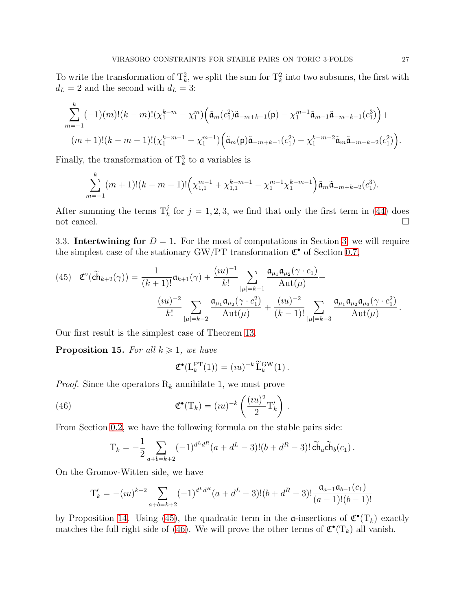To write the transformation of  $\mathcal{T}_k^2$ , we split the sum for  $\mathcal{T}_k^2$  into two subsums, the first with  $d_L = 2$  and the second with  $d_L = 3$ :

$$
\sum_{m=-1}^{k} (-1)(m)!(k-m)!(\chi_{1}^{k-m}-\chi_{1}^{m}) (\tilde{a}_{m}(c_{1}^{2})\tilde{a}_{-m+k-1}(p)-\chi_{1}^{m-1}\tilde{a}_{m-1}\tilde{a}_{-m-k-1}(c_{1}^{3})) + (m+1)!(k-m-1)!(\chi_{1}^{k-m-1}-\chi_{1}^{m-1}) (\tilde{a}_{m}(p)\tilde{a}_{-m+k-1}(c_{1}^{2})-\chi_{1}^{k-m-2}\tilde{a}_{m}\tilde{a}_{-m-k-2}(c_{1}^{2})).
$$

Finally, the transformation of  $\mathcal{T}_{k}^{3}$  to **a** variables is

$$
\sum_{m=-1}^{k} (m+1)!(k-m-1)!\left(\chi_{1,1}^{m-1}+\chi_{1,1}^{k-m-1}-\chi_{1}^{m-1}\chi_{1}^{k-m-1}\right)\tilde{\mathfrak{a}}_{m}\tilde{\mathfrak{a}}_{-m+k-2}(c_{1}^{3}).
$$

After summing the terms  $T_k^j$  for  $j = 1, 2, 3$ , we find that only the first term in [\(44\)](#page-25-1) does not cancel.

<span id="page-26-1"></span>3.3. Intertwining for  $D = 1$ . For the most of computations in Section [3,](#page-24-0) we will require the simplest case of the stationary GW/PT transformation  $\mathfrak{C}^\bullet$  of Section [0.7,](#page-8-4)

<span id="page-26-2"></span>(45) 
$$
\mathfrak{C}^{\circ}(\tilde{ch}_{k+2}(\gamma)) = \frac{1}{(k+1)!} \mathfrak{a}_{k+1}(\gamma) + \frac{(iu)^{-1}}{k!} \sum_{|\mu|=k-1} \frac{\mathfrak{a}_{\mu_1} \mathfrak{a}_{\mu_2}(\gamma \cdot c_1)}{\mathrm{Aut}(\mu)} + \frac{(iu)^{-2}}{k!} \sum_{|\mu|=k-2} \frac{\mathfrak{a}_{\mu_1} \mathfrak{a}_{\mu_2}(\gamma \cdot c_1^2)}{\mathrm{Aut}(\mu)} + \frac{(iu)^{-2}}{(k-1)!} \sum_{|\mu|=k-3} \frac{\mathfrak{a}_{\mu_1} \mathfrak{a}_{\mu_2} \mathfrak{a}_{\mu_3}(\gamma \cdot c_1^2)}{\mathrm{Aut}(\mu)}.
$$

Our first result is the simplest case of Theorem [13.](#page-18-0)

<span id="page-26-0"></span>**Proposition 15.** For all  $k \geq 1$ , we have

<span id="page-26-3"></span>
$$
\mathfrak{C}^{\bullet}(\mathcal{L}_{k}^{\mathrm{PT}}(1)) = (iu)^{-k} \widetilde{\mathcal{L}}_{k}^{\mathrm{GW}}(1).
$$

.

*Proof.* Since the operators  $R_k$  annihilate 1, we must prove

(46) 
$$
\mathfrak{C}^{\bullet}(\mathrm{T}_k) = (iu)^{-k} \left( \frac{(iu)^2}{2} \mathrm{T}'_k \right)
$$

From Section [0.2,](#page-2-2) we have the following formula on the stable pairs side:

$$
T_k = -\frac{1}{2} \sum_{a+b=k+2} (-1)^{d^L d^R} (a + d^L - 3)!(b + d^R - 3)!\,\widetilde{\text{Ch}}_a \widetilde{\text{Ch}}_b(c_1)\,.
$$

On the Gromov-Witten side, we have

$$
T'_{k} = -(iu)^{k-2} \sum_{a+b=k+2} (-1)^{d^{L}d^{R}} (a+d^{L}-3)!(b+d^{R}-3)!\frac{\mathfrak{a}_{a-1}\mathfrak{a}_{b-1}(c_{1})}{(a-1)!(b-1)!}
$$

by Proposition [14.](#page-25-2) Using [\(45\)](#page-26-2), the quadratic term in the  $\mathfrak{a}\text{-}\text{insertions}$  of  $\mathfrak{C}^{\bullet}(\mathrm{T}_k)$  exactly matches the full right side of [\(46\)](#page-26-3). We will prove the other terms of  $\mathfrak{C}^{\bullet}(\mathrm{T}_k)$  all vanish.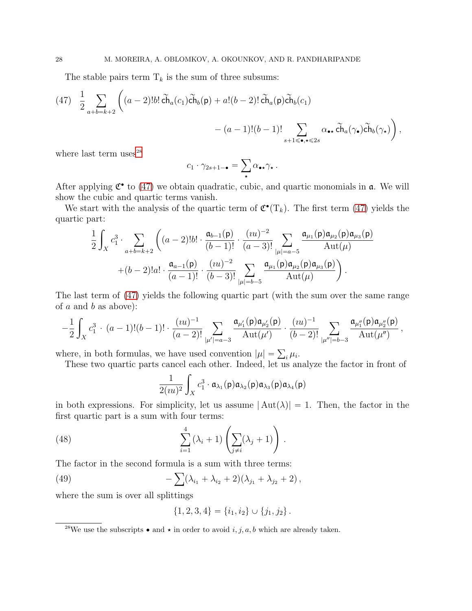The stable pairs term  $T_k$  is the sum of three subsums:

<span id="page-27-1"></span>
$$
(47) \quad \frac{1}{2} \sum_{a+b=k+2} \left( (a-2)!b! \widetilde{\text{ch}}_a(c_1) \widetilde{\text{ch}}_b(p) + a! (b-2)! \widetilde{\text{ch}}_a(p) \widetilde{\text{ch}}_b(c_1) - (a-1)! (b-1)! \sum_{s+1 \leq \bullet, s \leq 2s} \alpha_{\bullet \star} \widetilde{\text{ch}}_a(\gamma_{\bullet}) \widetilde{\text{ch}}_b(\gamma_{\star}) \right),
$$

where last term uses $^{28}$  $^{28}$  $^{28}$ 

$$
c_1 \cdot \gamma_{2s+1-\bullet} = \sum_{\star} \alpha_{\bullet \star} \gamma_{\star} \, .
$$

After applying  $\mathfrak{C}^{\bullet}$  to [\(47\)](#page-27-1) we obtain quadratic, cubic, and quartic monomials in  $\mathfrak{a}$ . We will show the cubic and quartic terms vanish.

We start with the analysis of the quartic term of  $\mathfrak{C}^{\bullet}(\mathrm{T}_k)$ . The first term [\(47\)](#page-27-1) yields the quartic part:

$$
\frac{1}{2} \int_{X} c_{1}^{3} \cdot \sum_{a+b=k+2} \left( (a-2)!b! \cdot \frac{\mathfrak{a}_{b-1}(\mathsf{p})}{(b-1)!} \cdot \frac{(iu)^{-2}}{(a-3)!} \sum_{|\mu|=a-5} \frac{\mathfrak{a}_{\mu_{1}}(\mathsf{p})\mathfrak{a}_{\mu_{2}}(\mathsf{p})\mathfrak{a}_{\mu_{3}}(\mathsf{p})}{\mathrm{Aut}(\mu)} + (b-2)!a! \cdot \frac{\mathfrak{a}_{a-1}(\mathsf{p})}{(a-1)!} \cdot \frac{(iu)^{-2}}{(b-3)!} \sum_{|\mu|=b-5} \frac{\mathfrak{a}_{\mu_{1}}(\mathsf{p})\mathfrak{a}_{\mu_{2}}(\mathsf{p})\mathfrak{a}_{\mu_{3}}(\mathsf{p})}{\mathrm{Aut}(\mu)} \right).
$$

The last term of [\(47\)](#page-27-1) yields the following quartic part (with the sum over the same range of  $a$  and  $b$  as above):

$$
-\frac{1}{2}\int_X c_1^3 \, \cdot \, (a-1)!(b-1)! \cdot \frac{(iu)^{-1}}{(a-2)!} \sum_{|\mu'|=a-3} \frac{\mathfrak{a}_{\mu'_1}(\mathsf{p})\mathfrak{a}_{\mu'_2}(\mathsf{p})}{\mathrm{Aut}(\mu')} \cdot \frac{(iu)^{-1}}{(b-2)!} \sum_{|\mu''|=b-3} \frac{\mathfrak{a}_{\mu''_1}(\mathsf{p})\mathfrak{a}_{\mu''_2}(\mathsf{p})}{\mathrm{Aut}(\mu'')} \, ,
$$

where, in both formulas, we have used convention  $|\mu| = \sum_i \mu_i$ .

These two quartic parts cancel each other. Indeed, let us analyze the factor in front of

<span id="page-27-2"></span>
$$
\frac{1}{2(uu)^2}\int_X c_1^3\cdot \mathfrak{a}_{\lambda_1}(\mathsf{p})\mathfrak{a}_{\lambda_2}(\mathsf{p})\mathfrak{a}_{\lambda_3}(\mathsf{p})\mathfrak{a}_{\lambda_4}(\mathsf{p})
$$

in both expressions. For simplicity, let us assume  $|\text{Aut}(\lambda)| = 1$ . Then, the factor in the first quartic part is a sum with four terms:

(48) 
$$
\sum_{i=1}^{4} (\lambda_i + 1) \left( \sum_{j \neq i} (\lambda_j + 1) \right).
$$

The factor in the second formula is a sum with three terms:

(49) 
$$
- \sum (\lambda_{i_1} + \lambda_{i_2} + 2)(\lambda_{j_1} + \lambda_{j_2} + 2),
$$

where the sum is over all splittings

<span id="page-27-3"></span>
$$
\{1,2,3,4\} = \{i_1,i_2\} \cup \{j_1,j_2\}.
$$

<span id="page-27-0"></span><sup>&</sup>lt;sup>28</sup>We use the subscripts  $\bullet$  and  $\star$  in order to avoid *i*, *j*, *a*, *b* which are already taken.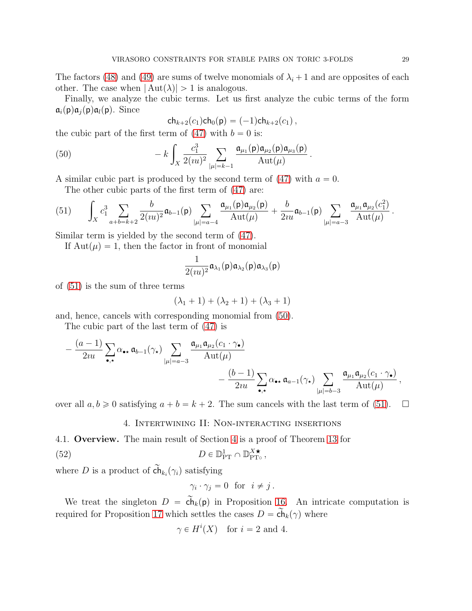The factors [\(48\)](#page-27-2) and [\(49\)](#page-27-3) are sums of twelve monomials of  $\lambda_i + 1$  and are opposites of each other. The case when  $|\text{Aut}(\lambda)| > 1$  is analogous.

Finally, we analyze the cubic terms. Let us first analyze the cubic terms of the form  $\mathfrak{a}_i(\mathsf{p})\mathfrak{a}_i(\mathsf{p})\mathfrak{a}_i(\mathsf{p})$ . Since

<span id="page-28-2"></span>
$$
ch_{k+2}(c_1)ch_0(p) = (-1)ch_{k+2}(c_1),
$$

the cubic part of the first term of  $(47)$  with  $b = 0$  is:

(50) 
$$
- k \int_X \frac{c_1^3}{2(uu)^2} \sum_{|\mu|=k-1} \frac{\mathfrak{a}_{\mu_1}(\mathsf{p}) \mathfrak{a}_{\mu_2}(\mathsf{p}) \mathfrak{a}_{\mu_3}(\mathsf{p})}{\mathrm{Aut}(\mu)}.
$$

A similar cubic part is produced by the second term of  $(47)$  with  $a = 0$ . The other cubic parts of the first term of [\(47\)](#page-27-1) are:

<span id="page-28-1"></span>(51) 
$$
\int_X c_1^3 \sum_{a+b=k+2} \frac{b}{2(uu)^2} \mathfrak{a}_{b-1}(\mathfrak{p}) \sum_{|\mu|=a-4} \frac{\mathfrak{a}_{\mu_1}(\mathfrak{p}) \mathfrak{a}_{\mu_2}(\mathfrak{p})}{\mathrm{Aut}(\mu)} + \frac{b}{2u\mathfrak{a}} \mathfrak{a}_{b-1}(\mathfrak{p}) \sum_{|\mu|=a-3} \frac{\mathfrak{a}_{\mu_1} \mathfrak{a}_{\mu_2}(c_1^2)}{\mathrm{Aut}(\mu)}.
$$

Similar term is yielded by the second term of [\(47\)](#page-27-1).

If  $Aut(\mu) = 1$ , then the factor in front of monomial

$$
\frac{1}{2(uu)^2}\mathfrak{a}_{\lambda_1}(\mathsf{p})\mathfrak{a}_{\lambda_2}(\mathsf{p})\mathfrak{a}_{\lambda_3}(\mathsf{p})
$$

of [\(51\)](#page-28-1) is the sum of three terms

$$
(\lambda_1 + 1) + (\lambda_2 + 1) + (\lambda_3 + 1)
$$

and, hence, cancels with corresponding monomial from [\(50\)](#page-28-2).

The cubic part of the last term of [\(47\)](#page-27-1) is

$$
-\frac{(a-1)}{2iu}\sum_{\bullet,\star}\alpha_{\bullet\star}\,\mathfrak{a}_{b-1}(\gamma_{\star})\sum_{|\mu|=a-3}\frac{\mathfrak{a}_{\mu_1}\mathfrak{a}_{\mu_2}(c_1\cdot\gamma_{\bullet})}{\mathrm{Aut}(\mu)}\\-\frac{(b-1)}{2iu}\sum_{\bullet,\star}\alpha_{\bullet\star}\,\mathfrak{a}_{a-1}(\gamma_{\star})\sum_{|\mu|=b-3}\frac{\mathfrak{a}_{\mu_1}\mathfrak{a}_{\mu_2}(c_1\cdot\gamma_{\bullet})}{\mathrm{Aut}(\mu)},
$$

<span id="page-28-0"></span>over all  $a, b \ge 0$  satisfying  $a + b = k + 2$ . The sum cancels with the last term of [\(51\)](#page-28-1).  $\Box$ 

#### 4. Intertwining II: Non-interacting insertions

4.1. Overview. The main result of Section [4](#page-28-0) is a proof of Theorem [13](#page-18-0) for (52)  $D \in \mathbb{D}_{\text{PT}}^1 \cap \mathbb{D}_{\text{PT}}^{\chi^\star}$  $_{\rm PT\circ}^{\rm X}$  ,

where D is a product of  $\mathsf{ch}_{k_i}(\gamma_i)$  satisfying

<span id="page-28-3"></span>
$$
\gamma_i \cdot \gamma_j = 0 \text{ for } i \neq j.
$$

We treat the singleton  $D = \widetilde{\mathsf{ch}}_k(p)$  in Proposition [16.](#page-29-0) An intricate computation is required for Proposition [17](#page-29-1) which settles the cases  $D = c\tilde{h}_k(\gamma)$  where

$$
\gamma \in H^i(X) \quad \text{for } i = 2 \text{ and } 4.
$$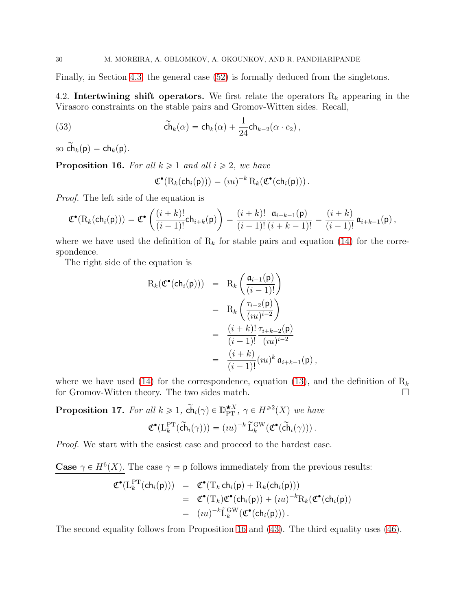Finally, in Section [4.3,](#page-40-0) the general case [\(52\)](#page-28-3) is formally deduced from the singletons.

4.2. Intertwining shift operators. We first relate the operators  $R_k$  appearing in the Virasoro constraints on the stable pairs and Gromov-Witten sides. Recall,

(53) 
$$
\widetilde{\mathsf{ch}}_k(\alpha) = \mathsf{ch}_k(\alpha) + \frac{1}{24} \mathsf{ch}_{k-2}(\alpha \cdot c_2),
$$

so  $\widetilde{\mathsf{ch}}_k(\mathsf{p}) = \mathsf{ch}_k(\mathsf{p})$ .

<span id="page-29-0"></span>**Proposition 16.** For all  $k \geq 1$  and all  $i \geq 2$ , we have

<span id="page-29-2"></span>
$$
\mathfrak{C}^{\bullet}(\mathrm{R}_k(\mathsf{ch}_i(\mathsf{p}))) = (iu)^{-k} \mathrm{R}_k(\mathfrak{C}^{\bullet}(\mathsf{ch}_i(\mathsf{p}))) .
$$

Proof. The left side of the equation is

$$
\mathfrak{C}^{\bullet}(\mathrm{R}_k(\mathsf{ch}_i(\mathsf{p}))) = \mathfrak{C}^{\bullet}\left(\frac{(i+k)!}{(i-1)!}\mathsf{ch}_{i+k}(\mathsf{p})\right) = \frac{(i+k)!}{(i-1)!}\frac{\mathfrak{a}_{i+k-1}(\mathsf{p})}{(i+k-1)!} = \frac{(i+k)}{(i-1)!}\,\mathfrak{a}_{i+k-1}(\mathsf{p})\,,
$$

where we have used the definition of  $R_k$  for stable pairs and equation [\(14\)](#page-9-0) for the correspondence.

The right side of the equation is

$$
R_k(\mathfrak{C}^{\bullet}(\mathsf{ch}_i(\mathsf{p}))) = R_k \left( \frac{\mathfrak{a}_{i-1}(\mathsf{p})}{(i-1)!} \right)
$$
  
=  $R_k \left( \frac{\tau_{i-2}(\mathsf{p})}{(iu)^{i-2}} \right)$   
=  $\frac{(i+k)!}{(i-1)!} \frac{\tau_{i+k-2}(\mathsf{p})}{(iu)^{i-2}}$   
=  $\frac{(i+k)}{(i-1)!} (iu)^k \mathfrak{a}_{i+k-1}(\mathsf{p}),$ 

where we have used [\(14\)](#page-9-0) for the correspondence, equation [\(13\)](#page-8-3), and the definition of  $R_k$ for Gromov-Witten theory. The two sides match.

<span id="page-29-1"></span>**Proposition 17.** For all  $k \geq 1$ ,  $\tilde{ch}_i(\gamma) \in \mathbb{D}_{\text{PT}}^{*X}$ ,  $\gamma \in H^{\geq 2}(X)$  we have

$$
\mathfrak{C}^\bullet(\mathrm{L}_k^{\mathrm{PT}}(\widetilde{\mathsf{ch}}_i(\gamma))) = (iu)^{-k} \widetilde{\mathrm{L}}_k^{\mathrm{GW}}(\mathfrak{C}^\bullet(\widetilde{\mathsf{ch}}_i(\gamma))) .
$$

Proof. We start with the easiest case and proceed to the hardest case.

**Case**  $\gamma \in H^6(X)$ . The case  $\gamma = \mathsf{p}$  follows immediately from the previous results:

$$
\mathfrak{C}^{\bullet}(\mathcal{L}_{k}^{\mathrm{PT}}(\mathsf{ch}_{i}(\mathsf{p}))) = \mathfrak{C}^{\bullet}(\mathcal{T}_{k} \mathsf{ch}_{i}(\mathsf{p}) + \mathcal{R}_{k}(\mathsf{ch}_{i}(\mathsf{p})))
$$
  
\n
$$
= \mathfrak{C}^{\bullet}(\mathcal{T}_{k})\mathfrak{C}^{\bullet}(\mathsf{ch}_{i}(\mathsf{p})) + (iu)^{-k}\mathcal{R}_{k}(\mathfrak{C}^{\bullet}(\mathsf{ch}_{i}(\mathsf{p})))
$$
  
\n
$$
= (iu)^{-k}\tilde{\mathcal{L}}_{k}^{\mathrm{GW}}(\mathfrak{C}^{\bullet}(\mathsf{ch}_{i}(\mathsf{p}))).
$$

The second equality follows from Proposition [16](#page-29-0) and [\(43\)](#page-24-3). The third equality uses [\(46\)](#page-26-3).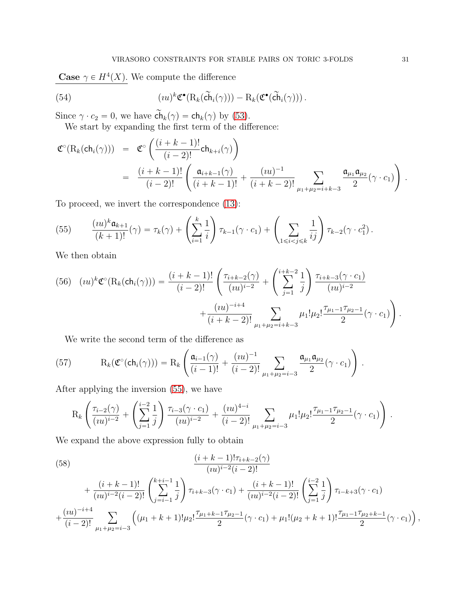**Case**  $\gamma \in H^4(X)$ . We compute the difference

(54) 
$$
(iu)^{k} \mathfrak{C}^{\bullet} (\mathcal{R}_{k}(\widetilde{\mathbf{ch}}_{i}(\gamma))) - \mathcal{R}_{k}(\mathfrak{C}^{\bullet}(\widetilde{\mathbf{ch}}_{i}(\gamma))).
$$

Since  $\gamma \cdot c_2 = 0$ , we have  $\mathsf{ch}_k(\gamma) = \mathsf{ch}_k(\gamma)$  by [\(53\)](#page-29-2).

<span id="page-30-1"></span>We start by expanding the first term of the difference:

$$
\mathfrak{C}^{\circ}(\mathrm{R}_{k}(\mathrm{ch}_{i}(\gamma))) = \mathfrak{C}^{\circ}\left(\frac{(i+k-1)!}{(i-2)!}\mathrm{ch}_{k+i}(\gamma)\right)
$$
  
= 
$$
\frac{(i+k-1)!}{(i-2)!}\left(\frac{\mathfrak{a}_{i+k-1}(\gamma)}{(i+k-1)!} + \frac{(iu)^{-1}}{(i+k-2)!}\sum_{\mu_{1}+\mu_{2}=i+k-3} \frac{\mathfrak{a}_{\mu_{1}}\mathfrak{a}_{\mu_{2}}}{2}(\gamma \cdot c_{1})\right).
$$

To proceed, we invert the correspondence [\(13\)](#page-8-3):

<span id="page-30-0"></span>(55) 
$$
\frac{(iu)^k \mathfrak{a}_{k+1}}{(k+1)!}(\gamma) = \tau_k(\gamma) + \left(\sum_{i=1}^k \frac{1}{i}\right) \tau_{k-1}(\gamma \cdot c_1) + \left(\sum_{1 \le i < j \le k} \frac{1}{ij}\right) \tau_{k-2}(\gamma \cdot c_1^2).
$$

We then obtain

<span id="page-30-2"></span>
$$
(56) \quad (iu)^{k} \mathfrak{C}^{\circ}(\mathrm{R}_{k}(\mathrm{ch}_{i}(\gamma))) = \frac{(i+k-1)!}{(i-2)!} \left( \frac{\tau_{i+k-2}(\gamma)}{(iu)^{i-2}} + \left( \sum_{j=1}^{i+k-2} \frac{1}{j} \right) \frac{\tau_{i+k-3}(\gamma \cdot c_{1})}{(iu)^{i-2}} + \frac{(iu)^{-i+4}}{(i+k-2)!} \sum_{\mu_{1}+\mu_{2}=i+k-3} \mu_{1}! \mu_{2}! \frac{\tau_{\mu_{1}-1} \tau_{\mu_{2}-1}}{2} (\gamma \cdot c_{1}) \right).
$$

<span id="page-30-4"></span>We write the second term of the difference as

(57) 
$$
R_k(\mathfrak{C}^{\circ}(\mathsf{ch}_i(\gamma))) = R_k \left( \frac{\mathfrak{a}_{i-1}(\gamma)}{(i-1)!} + \frac{(iu)^{-1}}{(i-2)!} \sum_{\mu_1 + \mu_2 = i-3} \frac{\mathfrak{a}_{\mu_1} \mathfrak{a}_{\mu_2}}{2} (\gamma \cdot c_1) \right).
$$

After applying the inversion [\(55\)](#page-30-0), we have

$$
R_k \left( \frac{\tau_{i-2}(\gamma)}{(iu)^{i-2}} + \left( \sum_{j=1}^{i-2} \frac{1}{j} \right) \frac{\tau_{i-3}(\gamma \cdot c_1)}{(iu)^{i-2}} + \frac{(iu)^{4-i}}{(i-2)!} \sum_{\mu_1+\mu_2=i-3} \mu_1! \mu_2! \frac{\tau_{\mu_1-1} \tau_{\mu_2-1}}{2} (\gamma \cdot c_1) \right).
$$

We expand the above expression fully to obtain

<span id="page-30-3"></span>(58)  
\n
$$
\frac{(i+k-1)!\tau_{i+k-2}(\gamma)}{(iu)^{i-2}(i-2)!} + \frac{(i+k-1)!}{(iu)^{i-2}(i-2)!} \left(\sum_{j=i-1}^{k+i-1} \frac{1}{j}\right) \tau_{i+k-3}(\gamma \cdot c_1) + \frac{(i+k-1)!}{(iu)^{i-2}(i-2)!} \left(\sum_{j=1}^{i-2} \frac{1}{j}\right) \tau_{i-k+3}(\gamma \cdot c_1) + \frac{(iu)^{-i+4}}{(i-2)!} \sum_{\mu_1+\mu_2=i-3} \left( (\mu_1+k+1)!\mu_2! \frac{\tau_{\mu_1+k-1}\tau_{\mu_2-1}}{2}(\gamma \cdot c_1) + \mu_1! (\mu_2+k+1)! \frac{\tau_{\mu_1-1}\tau_{\mu_2+k-1}}{2}(\gamma \cdot c_1) \right),
$$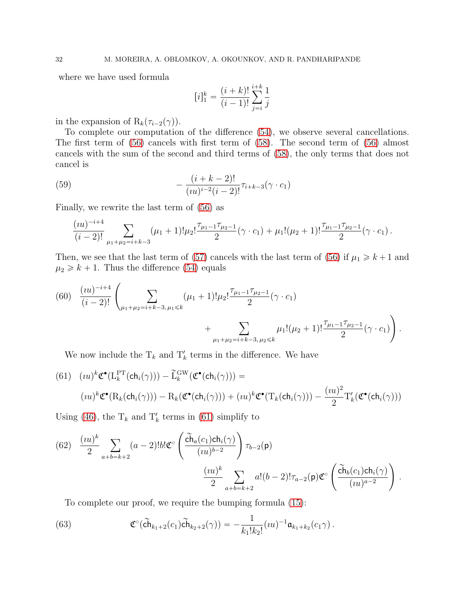where we have used formula

<span id="page-31-3"></span>
$$
[i]_1^k = \frac{(i+k)!}{(i-1)!} \sum_{j=i}^{i+k} \frac{1}{j}
$$

in the expansion of  $R_k(\tau_{i-2}(\gamma)).$ 

To complete our computation of the difference [\(54\)](#page-30-1), we observe several cancellations. The first term of [\(56\)](#page-30-2) cancels with first term of [\(58\)](#page-30-3). The second term of [\(56\)](#page-30-2) almost cancels with the sum of the second and third terms of [\(58\)](#page-30-3), the only terms that does not cancel is

(59) 
$$
-\frac{(i+k-2)!}{(iu)^{i-2}(i-2)!}\tau_{i+k-3}(\gamma \cdot c_1)
$$

Finally, we rewrite the last term of [\(56\)](#page-30-2) as

$$
\frac{(iu)^{-i+4}}{(i-2)!}\sum_{\mu_1+\mu_2=i+k-3}(\mu_1+1)!\mu_2!\frac{\tau_{\mu_1-1}\tau_{\mu_2-1}}{2}(\gamma\cdot c_1)+\mu_1!(\mu_2+1)!\frac{\tau_{\mu_1-1}\tau_{\mu_2-1}}{2}(\gamma\cdot c_1).
$$

Then, we see that the last term of [\(57\)](#page-30-4) cancels with the last term of [\(56\)](#page-30-2) if  $\mu_1 \ge k+1$  and  $\mu_2 \geq k + 1$ . Thus the difference [\(54\)](#page-30-1) equals

<span id="page-31-2"></span>(60) 
$$
\frac{(iu)^{-i+4}}{(i-2)!} \left( \sum_{\mu_1+\mu_2=i+k-3,\,\mu_1\leq k} (\mu_1+1)! \mu_2! \frac{\tau_{\mu_1-1}\tau_{\mu_2-1}}{2} (\gamma \cdot c_1) + \sum_{\mu_1+\mu_2=i+k-3,\,\mu_2\leq k} \mu_1! (\mu_2+1)! \frac{\tau_{\mu_1-1}\tau_{\mu_2-1}}{2} (\gamma \cdot c_1) \right).
$$

We now include the  $T_k$  and  $T'_k$  terms in the difference. We have

<span id="page-31-0"></span>(61) 
$$
(iu)^{k} \mathfrak{C}^{\bullet}(\mathcal{L}_{k}^{\mathcal{PT}}(\mathsf{ch}_{i}(\gamma))) - \widetilde{\mathcal{L}}_{k}^{\mathcal{GW}}(\mathfrak{C}^{\bullet}(\mathsf{ch}_{i}(\gamma))) =
$$

$$
(iu)^{k} \mathfrak{C}^{\bullet}(\mathcal{R}_{k}(\mathsf{ch}_{i}(\gamma))) - \mathcal{R}_{k}(\mathfrak{C}^{\bullet}(\mathsf{ch}_{i}(\gamma))) + (iu)^{k} \mathfrak{C}^{\bullet}(\mathcal{T}_{k}(\mathsf{ch}_{i}(\gamma))) - \frac{(iu)^{2}}{2} \mathcal{T}'_{k}(\mathfrak{C}^{\bullet}(\mathsf{ch}_{i}(\gamma)))
$$

Using [\(46\)](#page-26-3), the  $T_k$  and  $T'_k$  terms in [\(61\)](#page-31-0) simplify to

<span id="page-31-1"></span>(62) 
$$
\frac{(iu)^k}{2} \sum_{a+b=k+2} (a-2)! b! \mathfrak{C}^{\circ} \left( \frac{\widetilde{ch}_a(c_1) ch_i(\gamma)}{(iu)^{b-2}} \right) \tau_{b-2}(\mathsf{p})
$$

$$
\frac{(iu)^k}{2} \sum_{a+b=k+2} a! (b-2)! \tau_{a-2}(\mathsf{p}) \mathfrak{C}^{\circ} \left( \frac{\widetilde{ch}_b(c_1) ch_i(\gamma)}{(iu)^{a-2}} \right) .
$$

To complete our proof, we require the bumping formula [\(15\)](#page-9-4):

(63) 
$$
\mathfrak{C}^{\circ}(\widetilde{\mathbf{ch}}_{k_1+2}(c_1)\widetilde{\mathbf{ch}}_{k_2+2}(\gamma)) = -\frac{1}{k_1!k_2!}(iu)^{-1}\mathfrak{a}_{k_1+k_2}(c_1\gamma).
$$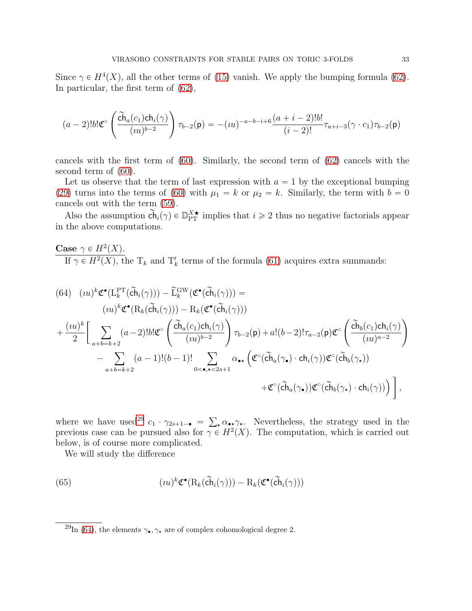Since  $\gamma \in H^4(X)$ , all the other terms of [\(15\)](#page-9-4) vanish. We apply the bumping formula [\(62\)](#page-31-1). In particular, the first term of [\(62\)](#page-31-1),

$$
(a-2)!b!\mathfrak{C}^{\circ}\left(\frac{\tilde{\mathbf{ch}}_a(c_1)\mathbf{ch}_i(\gamma)}{(iu)^{b-2}}\right)\tau_{b-2}(\mathbf{p}) = -(iu)^{-a-b-i+6}\frac{(a+i-2)!b!}{(i-2)!}\tau_{a+i-3}(\gamma \cdot c_1)\tau_{b-2}(\mathbf{p})
$$

cancels with the first term of [\(60\)](#page-31-2). Similarly, the second term of [\(62\)](#page-31-1) cancels with the second term of [\(60\)](#page-31-2).

Let us observe that the term of last expression with  $a = 1$  by the exceptional bumping [\(29\)](#page-19-3) turns into the terms of [\(60\)](#page-31-2) with  $\mu_1 = k$  or  $\mu_2 = k$ . Similarly, the term with  $b = 0$ cancels out with the term [\(59\)](#page-31-3).

Also the assumption  $\tilde{\ch}_i(\gamma) \in \mathbb{D}_{\text{PT}}^{X\star}$  implies that  $i \geq 2$  thus no negative factorials appear in the above computations.

Case  $\gamma \in H^2(X)$ . If  $\gamma \in H^2(X)$ , the T<sub>k</sub> and T<sub>k</sub> terms of the formula [\(61\)](#page-31-0) acquires extra summands:

<span id="page-32-1"></span>(64) 
$$
(\iota u)^{k} \mathfrak{C}^{\bullet}(\mathbf{L}_{k}^{\mathbf{PT}}(\tilde{\mathbf{ch}}_{i}(\gamma))) - \tilde{\mathbf{L}}_{k}^{\mathbf{GW}}(\mathfrak{C}^{\bullet}(\tilde{\mathbf{ch}}_{i}(\gamma))) =
$$
  
\n $(\iota u)^{k} \mathfrak{C}^{\bullet}(\mathbf{R}_{k}(\tilde{\mathbf{ch}}_{i}(\gamma))) - \mathbf{R}_{k}(\mathfrak{C}^{\bullet}(\tilde{\mathbf{ch}}_{i}(\gamma)))$   
\n $+ \frac{(\iota u)^{k}}{2} \Bigg[ \sum_{a+b=k+2} (a-2)! b! \mathfrak{C}^{\circ} \left( \frac{\tilde{\mathbf{ch}}_{a}(c_{1}) \mathbf{ch}_{i}(\gamma)}{(\iota u)^{b-2}} \right) \tau_{b-2}(\mathbf{p}) + a!(b-2)! \tau_{a-2}(\mathbf{p}) \mathfrak{C}^{\circ} \left( \frac{\tilde{\mathbf{ch}}_{b}(c_{1}) \mathbf{ch}_{i}(\gamma)}{(\iota u)^{a-2}} \right)$   
\n $- \sum_{a+b=k+2} (a-1)!(b-1)! \sum_{0 < \bullet, \bullet < 2s+1} \alpha_{\bullet \bullet} \left( \mathfrak{C}^{\circ}(\tilde{\mathbf{ch}}_{a}(\gamma_{\bullet}) \cdot \mathbf{ch}_{i}(\gamma)) \mathfrak{C}^{\circ}(\tilde{\mathbf{ch}}_{b}(\gamma_{\star})) \right)$   
\n $+ \mathfrak{C}^{\circ}(\tilde{\mathbf{ch}}_{a}(\gamma_{\bullet})) \mathfrak{C}^{\circ}(\tilde{\mathbf{ch}}_{b}(\gamma_{\star}) \cdot \mathbf{ch}_{i}(\gamma))) \Bigg],$ 

where we have used<sup>[29](#page-32-0)</sup>  $c_1 \cdot \gamma_{2s+1} = \sum_{\mathbf{x}} \alpha_{\mathbf{x}} \gamma_{\mathbf{x}}$ . Nevertheless, the strategy used in the previous case can be pursued also for  $\gamma \in H^2(X)$ . The computation, which is carried out below, is of course more complicated.

<span id="page-32-2"></span>We will study the difference

(65) 
$$
(iu)^{k} \mathfrak{C}^{\bullet}(\mathrm{R}_{k}(\widetilde{\mathrm{ch}}_{i}(\gamma))) - \mathrm{R}_{k}(\mathfrak{C}^{\bullet}(\widetilde{\mathrm{ch}}_{i}(\gamma)))
$$

<span id="page-32-0"></span> $^{29}{\rm In}$  [\(64\)](#page-32-1), the elements  $\gamma_\bullet, \gamma_\star$  are of complex cohomological degree 2.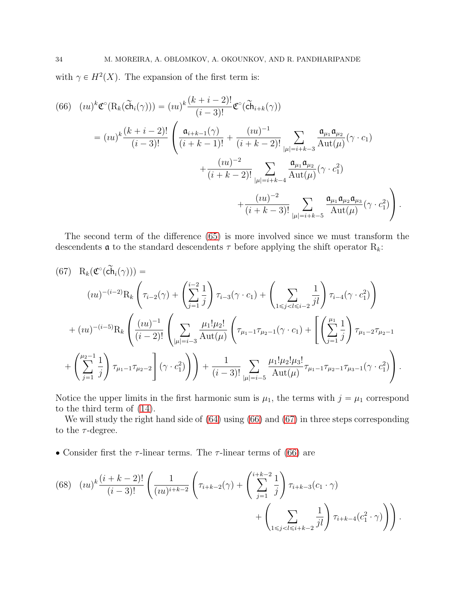with  $\gamma \in H^2(X)$ . The expansion of the first term is:

<span id="page-33-0"></span>
$$
(66) \quad (iu)^{k} \mathfrak{C}^{\circ}(\mathcal{R}_{k}(\tilde{\mathbf{ch}}_{i}(\gamma))) = (iu)^{k} \frac{(k+i-2)!}{(i-3)!} \mathfrak{C}^{\circ}(\tilde{\mathbf{ch}}_{i+k}(\gamma))
$$
\n
$$
= (iu)^{k} \frac{(k+i-2)!}{(i-3)!} \left( \frac{\mathfrak{a}_{i+k-1}(\gamma)}{(i+k-1)!} + \frac{(iu)^{-1}}{(i+k-2)!} \sum_{|\mu|=i+k-3} \frac{\mathfrak{a}_{\mu_{1}} \mathfrak{a}_{\mu_{2}}}{\mathrm{Aut}(\mu)} (\gamma \cdot c_{1}) + \frac{(iu)^{-2}}{(i+k-2)!} \sum_{|\mu|=i+k-4} \frac{\mathfrak{a}_{\mu_{1}} \mathfrak{a}_{\mu_{2}}}{\mathrm{Aut}(\mu)} (\gamma \cdot c_{1}^{2}) + \frac{(iu)^{-2}}{(i+k-3)!} \sum_{|\mu|=i+k-5} \frac{\mathfrak{a}_{\mu_{1}} \mathfrak{a}_{\mu_{2}} \mathfrak{a}_{\mu_{3}}}{\mathrm{Aut}(\mu)} (\gamma \cdot c_{1}^{2}) \right).
$$

The second term of the difference [\(65\)](#page-32-2) is more involved since we must transform the descendents  $\alpha$  to the standard descendents  $\tau$  before applying the shift operator  $R_k$ :

<span id="page-33-1"></span>
$$
(67) \quad R_k(\mathfrak{C}^{\circ}(\tilde{ch}_i(\gamma))) =
$$
\n
$$
(iu)^{-(i-2)}R_k\left(\tau_{i-2}(\gamma) + \left(\sum_{j=1}^{i-2} \frac{1}{j}\right)\tau_{i-3}(\gamma \cdot c_1) + \left(\sum_{1 \le j < l \le i-2} \frac{1}{jl}\right)\tau_{i-4}(\gamma \cdot c_1^2)\right)
$$
\n
$$
+ (iu)^{-(i-5)}R_k\left(\frac{(iu)^{-1}}{(i-2)!}\left(\sum_{|\mu|=i-3} \frac{\mu_1!\mu_2!}{\mathrm{Aut}(\mu)}\left(\tau_{\mu_1-1}\tau_{\mu_2-1}(\gamma \cdot c_1) + \left[\left(\sum_{j=1}^{\mu_1} \frac{1}{j}\right)\tau_{\mu_1-2}\tau_{\mu_2-1} + \left(\sum_{j=1}^{\mu_2-1} \frac{1}{j}\right)\tau_{\mu_1-1}\tau_{\mu_2-2}\right](\gamma \cdot c_1^2)\right)\right) + \frac{1}{(i-3)!} \sum_{|\mu|=i-5} \frac{\mu_1!\mu_2!\mu_3!}{\mathrm{Aut}(\mu)}\tau_{\mu_1-1}\tau_{\mu_2-1}\tau_{\mu_3-1}(\gamma \cdot c_1^2)\right).
$$

Notice the upper limits in the first harmonic sum is  $\mu_1$ , the terms with  $j = \mu_1$  correspond to the third term of [\(14\)](#page-9-0).

We will study the right hand side of  $(64)$  using  $(66)$  and  $(67)$  in three steps corresponding to the  $\tau$ -degree.

• Consider first the  $\tau$ -linear terms. The  $\tau$ -linear terms of [\(66\)](#page-33-0) are

<span id="page-33-2"></span>(68) 
$$
(\imath u)^k \frac{(i+k-2)!}{(i-3)!} \left( \frac{1}{(\imath u)^{i+k-2}} \left( \tau_{i+k-2}(\gamma) + \left( \sum_{j=1}^{i+k-2} \frac{1}{j} \right) \tau_{i+k-3}(\mathbf{c}_1 \cdot \gamma) + \left( \sum_{1 \leq j < l \leq i+k-2} \frac{1}{jl} \right) \tau_{i+k-4}(\mathbf{c}_1^2 \cdot \gamma) \right) \right).
$$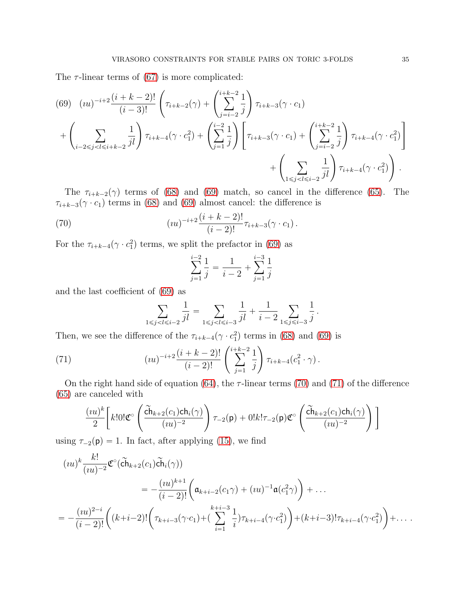The  $\tau$ -linear terms of [\(67\)](#page-33-1) is more complicated:

<span id="page-34-0"></span>
$$
(69) (iu)^{-i+2} \frac{(i+k-2)!}{(i-3)!} \left( \tau_{i+k-2}(\gamma) + \left( \sum_{j=i-2}^{i+k-2} \frac{1}{j} \right) \tau_{i+k-3}(\gamma \cdot c_1) + \left( \sum_{j=i-2}^{i+k-2} \frac{1}{j} \right) \tau_{i+k-4}(\gamma \cdot c_1^2) + \left( \sum_{j=1}^{i-2} \frac{1}{j} \right) \left[ \tau_{i+k-3}(\gamma \cdot c_1) + \left( \sum_{j=i-2}^{i+k-2} \frac{1}{j} \right) \tau_{i+k-4}(\gamma \cdot c_1^2) \right] + \left( \sum_{1 \le j < l \le i-2} \frac{1}{j l} \right) \tau_{i+k-4}(\gamma \cdot c_1^2) \right).
$$

The  $\tau_{i+k-2}(\gamma)$  terms of [\(68\)](#page-33-2) and [\(69\)](#page-34-0) match, so cancel in the difference [\(65\)](#page-32-2). The  $\tau_{i+k-3}(\gamma \cdot c_1)$  terms in [\(68\)](#page-33-2) and [\(69\)](#page-34-0) almost cancel: the difference is

(70) 
$$
(iu)^{-i+2} \frac{(i+k-2)!}{(i-2)!} \tau_{i+k-3}(\gamma \cdot c_1).
$$

For the  $\tau_{i+k-4}(\gamma \cdot c_1^2)$  terms, we split the prefactor in [\(69\)](#page-34-0) as

<span id="page-34-1"></span>
$$
\sum_{j=1}^{i-2} \frac{1}{j} = \frac{1}{i-2} + \sum_{j=1}^{i-3} \frac{1}{j}
$$

and the last coefficient of [\(69\)](#page-34-0) as

<span id="page-34-2"></span>
$$
\sum_{1 \leq j < l \leq i-2} \frac{1}{jl} = \sum_{1 \leq j < l \leq i-3} \frac{1}{jl} + \frac{1}{i-2} \sum_{1 \leq j \leq i-3} \frac{1}{j}.
$$

Then, we see the difference of the  $\tau_{i+k-4}(\gamma \cdot c_1^2)$  terms in [\(68\)](#page-33-2) and [\(69\)](#page-34-0) is

(71) 
$$
(iu)^{-i+2} \frac{(i+k-2)!}{(i-2)!} \left(\sum_{j=1}^{i+k-2} \frac{1}{j}\right) \tau_{i+k-4}(c_1^2 \cdot \gamma).
$$

On the right hand side of equation [\(64\)](#page-32-1), the  $\tau$ -linear terms [\(70\)](#page-34-1) and [\(71\)](#page-34-2) of the difference [\(65\)](#page-32-2) are canceled with

$$
\frac{(iu)^k}{2}\bigg[k!0!\mathfrak{C}^\circ\left(\frac{\widetilde{\mathrm{ch}}_{k+2}(c_1)\mathrm{ch}_i(\gamma)}{(iu)^{-2}}\right)\tau_{-2}(\mathsf{p})+0!k!\tau_{-2}(\mathsf{p})\mathfrak{C}^\circ\left(\frac{\widetilde{\mathrm{ch}}_{k+2}(c_1)\mathrm{ch}_i(\gamma)}{(iu)^{-2}}\right)\bigg]
$$

using  $\tau_{-2}(\mathbf{p}) = 1$ . In fact, after applying [\(15\)](#page-9-4), we find

$$
(iu)^k \frac{k!}{(iu)^{-2}} \mathfrak{C}^{\circ}(\tilde{ch}_{k+2}(c_1)\tilde{ch}_i(\gamma))
$$
  
=  $-\frac{(iu)^{k+1}}{(i-2)!} \left( \mathfrak{a}_{k+i-2}(c_1\gamma) + (iu)^{-1} \mathfrak{a}(c_1^2\gamma) \right) + \dots$   
=  $-\frac{(iu)^{2-i}}{(i-2)!} \left( (k+i-2)! \left( \tau_{k+i-3}(\gamma \cdot c_1) + (\sum_{i=1}^{k+i-3} \frac{1}{i}) \tau_{k+i-4}(\gamma \cdot c_1^2) \right) + (k+i-3)! \tau_{k+i-4}(\gamma \cdot c_1^2) \right) + \dots$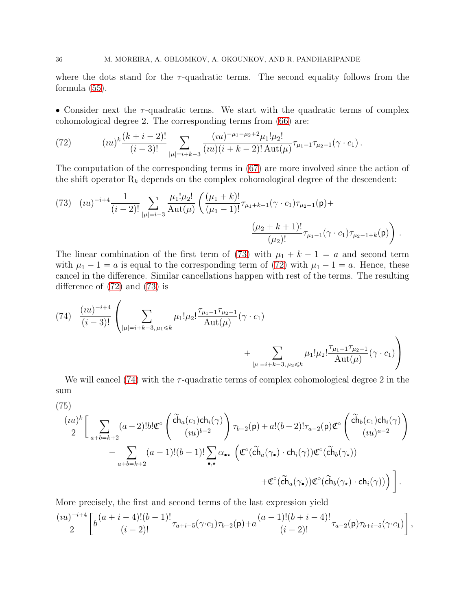where the dots stand for the  $\tau$ -quadratic terms. The second equality follows from the formula [\(55\)](#page-30-0).

• Consider next the  $\tau$ -quadratic terms. We start with the quadratic terms of complex cohomological degree 2. The corresponding terms from [\(66\)](#page-33-0) are:

<span id="page-35-1"></span>(72) 
$$
(iu)^k \frac{(k+i-2)!}{(i-3)!} \sum_{|\mu|=i+k-3} \frac{(iu)^{-\mu_1-\mu_2+2} \mu_1! \mu_2!}{(iu)(i+k-2)! \operatorname{Aut}(\mu)} \tau_{\mu_1-1} \tau_{\mu_2-1}(\gamma \cdot c_1).
$$

The computation of the corresponding terms in [\(67\)](#page-33-1) are more involved since the action of the shift operator  $R_k$  depends on the complex cohomological degree of the descendent:

<span id="page-35-0"></span>(73) 
$$
(iu)^{-i+4} \frac{1}{(i-2)!} \sum_{|\mu|=i-3} \frac{\mu_1! \mu_2!}{\text{Aut}(\mu)} \left( \frac{(\mu_1+k)!}{(\mu_1-1)!} \tau_{\mu_1+k-1}(\gamma \cdot c_1) \tau_{\mu_2-1}(\mathsf{p}) + \frac{(\mu_2+k+1)!}{(\mu_2)!} \tau_{\mu_1-1}(\gamma \cdot c_1) \tau_{\mu_2-1+k}(\mathsf{p}) \right).
$$

The linear combination of the first term of [\(73\)](#page-35-0) with  $\mu_1 + k - 1 = a$  and second term with  $\mu_1 - 1 = a$  is equal to the corresponding term of [\(72\)](#page-35-1) with  $\mu_1 - 1 = a$ . Hence, these cancel in the difference. Similar cancellations happen with rest of the terms. The resulting difference of [\(72\)](#page-35-1) and [\(73\)](#page-35-0) is

<span id="page-35-2"></span>(74) 
$$
\frac{(iu)^{-i+4}}{(i-3)!} \left( \sum_{|\mu|=i+k-3, \mu_1 \leq k} \mu_1! \mu_2! \frac{\tau_{\mu_1-1} \tau_{\mu_2-1}}{\mathrm{Aut}(\mu)} (\gamma \cdot c_1) + \sum_{|\mu|=i+k-3, \mu_2 \leq k} \mu_1! \mu_2! \frac{\tau_{\mu_1-1} \tau_{\mu_2-1}}{\mathrm{Aut}(\mu)} (\gamma \cdot c_1) \right)
$$

We will cancel [\(74\)](#page-35-2) with the  $\tau$ -quadratic terms of complex cohomological degree 2 in the sum

<span id="page-35-3"></span>
$$
(75)
$$

$$
\frac{(iu)^k}{2} \Bigg[ \sum_{a+b=k+2} (a-2)! b! \mathfrak{C}^{\circ} \left( \frac{\widetilde{\mathrm{ch}}_a(c_1) \mathrm{ch}_i(\gamma)}{(iu)^{b-2}} \right) \tau_{b-2}(\mathsf{p}) + a! (b-2)! \tau_{a-2}(\mathsf{p}) \mathfrak{C}^{\circ} \left( \frac{\widetilde{\mathrm{ch}}_b(c_1) \mathrm{ch}_i(\gamma)}{(iu)^{a-2}} \right) \\ - \sum_{a+b=k+2} (a-1)! (b-1)! \sum_{\bullet,\star} \alpha_{\bullet\star} \left( \mathfrak{C}^{\circ} (\widetilde{\mathrm{ch}}_a(\gamma_\bullet) \cdot \mathrm{ch}_i(\gamma)) \mathfrak{C}^{\circ} (\widetilde{\mathrm{ch}}_b(\gamma_\star)) \right. \\ \left. + \mathfrak{C}^{\circ} (\widetilde{\mathrm{ch}}_a(\gamma_\bullet)) \mathfrak{C}^{\circ} (\widetilde{\mathrm{ch}}_b(\gamma_\star) \cdot \mathrm{ch}_i(\gamma)) \right) \Bigg] \, .
$$

More precisely, the first and second terms of the last expression yield

$$
\frac{(iu)^{-i+4}}{2}\bigg[b\frac{(a+i-4)!(b-1)!}{(i-2)!}\tau_{a+i-5}(\gamma \cdot c_1)\tau_{b-2}(\mathsf{p})+a\frac{(a-1)!(b+i-4)!}{(i-2)!}\tau_{a-2}(\mathsf{p})\tau_{b+i-5}(\gamma \cdot c_1)\bigg]
$$

,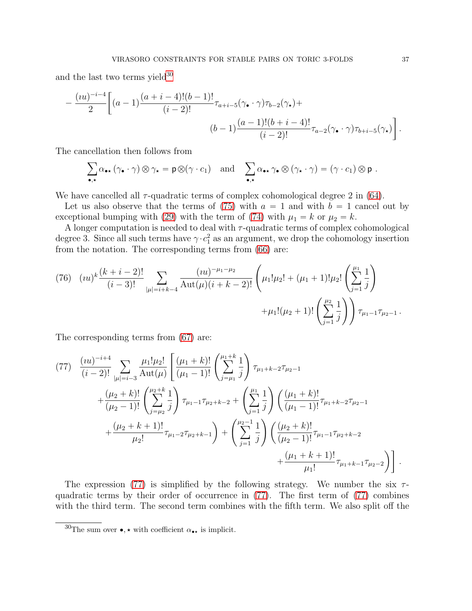and the last two terms yield $30$ 

$$
-\frac{(iu)^{-i-4}}{2}\bigg[(a-1)\frac{(a+i-4)!(b-1)!}{(i-2)!}\tau_{a+i-5}(\gamma_{\bullet}\cdot\gamma)\tau_{b-2}(\gamma_{\star})+
$$

$$
(b-1)\frac{(a-1)!(b+i-4)!}{(i-2)!}\tau_{a-2}(\gamma_{\bullet}\cdot\gamma)\tau_{b+i-5}(\gamma_{\star})\bigg].
$$

The cancellation then follows from

$$
\sum_{\bullet,\star}\alpha_{\bullet\star}\left(\gamma_\bullet\cdot\gamma\right)\otimes\gamma_\star=\mathsf{p}\otimes\left(\gamma\cdot c_1\right)\quad\text{and}\quad\sum_{\bullet,\star}\alpha_{\bullet\star}\,\gamma_\bullet\otimes\left(\gamma_\star\cdot\gamma\right)=\left(\gamma\cdot c_1\right)\otimes\mathsf{p}\;.
$$

We have cancelled all  $\tau$ -quadratic terms of complex cohomological degree 2 in [\(64\)](#page-32-1).

Let us also observe that the terms of [\(75\)](#page-35-3) with  $a = 1$  and with  $b = 1$  cancel out by exceptional bumping with [\(29\)](#page-19-3) with the term of [\(74\)](#page-35-2) with  $\mu_1 = k$  or  $\mu_2 = k$ .

A longer computation is needed to deal with  $\tau$ -quadratic terms of complex cohomological degree 3. Since all such terms have  $\gamma \cdot c_1^2$  as an argument, we drop the cohomology insertion from the notation. The corresponding terms from [\(66\)](#page-33-0) are:

<span id="page-36-2"></span>(76) 
$$
(iu)^k \frac{(k+i-2)!}{(i-3)!} \sum_{|\mu|=i+k-4} \frac{(iu)^{-\mu_1-\mu_2}}{\mathrm{Aut}(\mu)(i+k-2)!} \left(\mu_1!\mu_2! + (\mu_1+1)!\mu_2! \left(\sum_{j=1}^{\mu_1} \frac{1}{j}\right) + \mu_1!(\mu_2+1)! \left(\sum_{j=1}^{\mu_2} \frac{1}{j}\right)\right) \tau_{\mu_1-1} \tau_{\mu_2-1}.
$$

The corresponding terms from [\(67\)](#page-33-1) are:

<span id="page-36-1"></span>
$$
(77) \frac{(iu)^{-i+4}}{(i-2)!} \sum_{|\mu|=i-3} \frac{\mu_1! \mu_2!}{\text{Aut}(\mu)} \left[ \frac{(\mu_1+k)!}{(\mu_1-1)!} \left( \sum_{j=\mu_1}^{\mu_1+k} \frac{1}{j} \right) \tau_{\mu_1+k-2} \tau_{\mu_2-1} + \frac{(\mu_2+k)!}{(\mu_2-1)!} \left( \sum_{j=\mu_2}^{\mu_2+k} \frac{1}{j} \right) \tau_{\mu_1-1} \tau_{\mu_2+k-2} + \left( \sum_{j=1}^{\mu_1} \frac{1}{j} \right) \left( \frac{(\mu_1+k)!}{(\mu_1-1)!} \tau_{\mu_1+k-2} \tau_{\mu_2-1} + \frac{(\mu_2+k+1)!}{\mu_2!} \tau_{\mu_1-2} \tau_{\mu_2+k-1} \right) + \left( \sum_{j=1}^{\mu_2-1} \frac{1}{j} \right) \left( \frac{(\mu_2+k)!}{(\mu_2-1)!} \tau_{\mu_1-1} \tau_{\mu_2+k-2} + \frac{(\mu_1+k+1)!}{\mu_1!} \tau_{\mu_1+k-1} \tau_{\mu_2-2} \right) \right].
$$

The expression [\(77\)](#page-36-1) is simplified by the following strategy. We number the six  $\tau$ quadratic terms by their order of occurrence in [\(77\)](#page-36-1). The first term of [\(77\)](#page-36-1) combines with the third term. The second term combines with the fifth term. We also split off the

<span id="page-36-0"></span> $^{30}\mathrm{The}$  sum over  $\bullet,\star$  with coefficient  $\alpha_{\bullet\star}$  is implicit.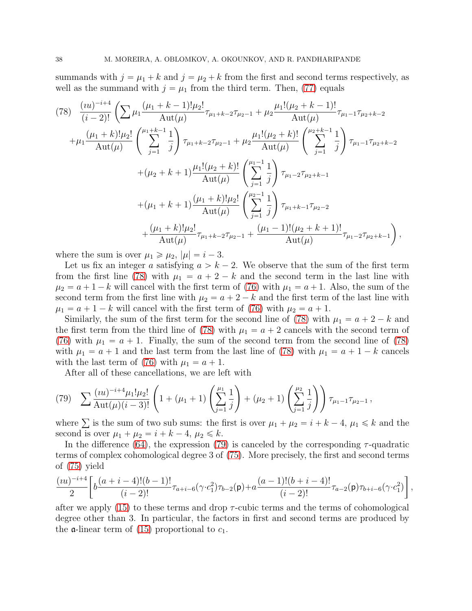summands with  $j = \mu_1 + k$  and  $j = \mu_2 + k$  from the first and second terms respectively, as well as the summand with  $j = \mu_1$  from the third term. Then, [\(77\)](#page-36-1) equals

<span id="page-37-0"></span>
$$
(78) \frac{(iu)^{-i+4}}{(i-2)!} \left( \sum \mu_1 \frac{(\mu_1 + k - 1)! \mu_2!}{\text{Aut}(\mu)} \tau_{\mu_1 + k - 2} \tau_{\mu_2 - 1} + \mu_2 \frac{\mu_1! (\mu_2 + k - 1)!}{\text{Aut}(\mu)} \tau_{\mu_1 - 1} \tau_{\mu_2 + k - 2} \n+ \mu_1 \frac{(\mu_1 + k)! \mu_2!}{\text{Aut}(\mu)} \left( \sum_{j=1}^{\mu_1 + k - 1} \frac{1}{j} \right) \tau_{\mu_1 + k - 2} \tau_{\mu_2 - 1} + \mu_2 \frac{\mu_1! (\mu_2 + k)!}{\text{Aut}(\mu)} \left( \sum_{j=1}^{\mu_2 + k - 1} \frac{1}{j} \right) \tau_{\mu_1 - 1} \tau_{\mu_2 + k - 2} \n+ (\mu_2 + k + 1) \frac{\mu_1! (\mu_2 + k)!}{\text{Aut}(\mu)} \left( \sum_{j=1}^{\mu_1 - 1} \frac{1}{j} \right) \tau_{\mu_1 - 2} \tau_{\mu_2 + k - 1} \n+ (\mu_1 + k + 1) \frac{(\mu_1 + k)! \mu_2!}{\text{Aut}(\mu)} \left( \sum_{j=1}^{\mu_2 - 1} \frac{1}{j} \right) \tau_{\mu_1 + k - 1} \tau_{\mu_2 - 2} \n+ \frac{(\mu_1 + k)! \mu_2!}{\text{Aut}(\mu)} \tau_{\mu_1 + k - 2} \tau_{\mu_2 - 1} + \frac{(\mu_1 - 1)! (\mu_2 + k + 1)!}{\text{Aut}(\mu)} \tau_{\mu_1 - 2} \tau_{\mu_2 + k - 1} \right),
$$

where the sum is over  $\mu_1 \ge \mu_2$ ,  $|\mu| = i - 3$ .

Let us fix an integer a satisfying  $a > k - 2$ . We observe that the sum of the first term from the first line [\(78\)](#page-37-0) with  $\mu_1 = a + 2 - k$  and the second term in the last line with  $\mu_2 = a + 1 - k$  will cancel with the first term of [\(76\)](#page-36-2) with  $\mu_1 = a + 1$ . Also, the sum of the second term from the first line with  $\mu_2 = a + 2 - k$  and the first term of the last line with  $\mu_1 = a + 1 - k$  will cancel with the first term of [\(76\)](#page-36-2) with  $\mu_2 = a + 1$ .

Similarly, the sum of the first term for the second line of [\(78\)](#page-37-0) with  $\mu_1 = a + 2 - k$  and the first term from the third line of [\(78\)](#page-37-0) with  $\mu_1 = a + 2$  cancels with the second term of [\(76\)](#page-36-2) with  $\mu_1 = a + 1$ . Finally, the sum of the second term from the second line of [\(78\)](#page-37-0) with  $\mu_1 = a + 1$  and the last term from the last line of [\(78\)](#page-37-0) with  $\mu_1 = a + 1 - k$  cancels with the last term of [\(76\)](#page-36-2) with  $\mu_1 = a + 1$ .

After all of these cancellations, we are left with

<span id="page-37-1"></span>(79) 
$$
\sum \frac{(iu)^{-i+4}\mu_1!\mu_2!}{\text{Aut}(\mu)(i-3)!} \left(1+(\mu_1+1)\left(\sum_{j=1}^{\mu_1}\frac{1}{j}\right)+(\mu_2+1)\left(\sum_{j=1}^{\mu_2}\frac{1}{j}\right)\right)\tau_{\mu_1-1}\tau_{\mu_2-1},
$$

where  $\sum$  is the sum of two sub sums: the first is over  $\mu_1 + \mu_2 = i + k - 4$ ,  $\mu_1 \leq k$  and the second is over  $\mu_1 + \mu_2 = i + k - 4, \mu_2 \leq k$ .

In the difference [\(64\)](#page-32-1), the expression [\(79\)](#page-37-1) is canceled by the corresponding  $\tau$ -quadratic terms of complex cohomological degree 3 of [\(75\)](#page-35-3). More precisely, the first and second terms of [\(75\)](#page-35-3) yield

$$
\frac{(iu)^{-i+4}}{2}\bigg[b\frac{(a+i-4)!(b-1)!}{(i-2)!}\tau_{a+i-6}(\gamma\cdot c_1^2)\tau_{b-2}(\mathsf{p})+a\frac{(a-1)!(b+i-4)!}{(i-2)!}\tau_{a-2}(\mathsf{p})\tau_{b+i-6}(\gamma\cdot c_1^2)\bigg]\,,
$$

after we apply  $(15)$  to these terms and drop  $\tau$ -cubic terms and the terms of cohomological degree other than 3. In particular, the factors in first and second terms are produced by the **a**-linear term of [\(15\)](#page-9-4) proportional to  $c_1$ .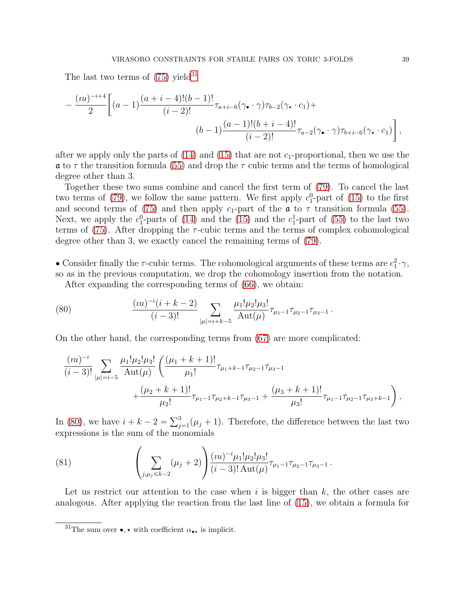The last two terms of  $(75)$  yield<sup>[31](#page-38-0)</sup>

$$
-\frac{(iu)^{-i+4}}{2}\bigg[(a-1)\frac{(a+i-4)!(b-1)!}{(i-2)!}\tau_{a+i-6}(\gamma_{\bullet}\cdot\gamma)\tau_{b-2}(\gamma_{\star}\cdot c_{1})+\n\\ (b-1)\frac{(a-1)!(b+i-4)!}{(i-2)!}\tau_{a-2}(\gamma_{\bullet}\cdot\gamma)\tau_{b+i-6}(\gamma_{\star}\cdot c_{1})\bigg],
$$

after we apply only the parts of  $(14)$  and  $(15)$  that are not  $c_1$ -proportional, then we use the  $\alpha$  to  $\tau$  the transition formula [\(55\)](#page-30-0) and drop the  $\tau$  cubic terms and the terms of homological degree other than 3.

Together these two sums combine and cancel the first term of [\(79\)](#page-37-1). To cancel the last two terms of [\(79\)](#page-37-1), we follow the same pattern. We first apply  $c_1^0$ -part of [\(15\)](#page-9-4) to the first and second terms of [\(75\)](#page-35-3) and then apply  $c_1$ -part of the  $\alpha$  to  $\tau$  transition formula [\(55\)](#page-30-0). Next, we apply the  $c_1^0$ -parts of [\(14\)](#page-9-0) and the [\(15\)](#page-9-4) and the  $c_1^1$ -part of [\(55\)](#page-30-0) to the last two terms of [\(75\)](#page-35-3). After dropping the  $\tau$ -cubic terms and the terms of complex cohomological degree other than 3, we exactly cancel the remaining terms of [\(79\)](#page-37-1).

• Consider finally the  $\tau$ -cubic terms. The cohomological arguments of these terms are  $c_1^2 \cdot \gamma$ , so as in the previous computation, we drop the cohomology insertion from the notation.

<span id="page-38-1"></span>After expanding the corresponding terms of [\(66\)](#page-33-0), we obtain:

(80) 
$$
\frac{(iu)^{-i}(i+k-2)}{(i-3)!}\sum_{|\mu|=i+k-5}\frac{\mu_1!\mu_2!\mu_3!}{\mathrm{Aut}(\mu)}\tau_{\mu_1-1}\tau_{\mu_2-1}\tau_{\mu_3-1}.
$$

On the other hand, the corresponding terms from [\(67\)](#page-33-1) are more complicated:

$$
\frac{(iu)^{-i}}{(i-3)!} \sum_{|\mu|=i-5} \frac{\mu_1! \mu_2! \mu_3!}{\text{Aut}(\mu)} \left( \frac{(\mu_1 + k + 1)!}{\mu_1!} \tau_{\mu_1 + k - 1} \tau_{\mu_2 - 1} \tau_{\mu_3 - 1} + \frac{(\mu_2 + k + 1)!}{\mu_2!} \tau_{\mu_1 - 1} \tau_{\mu_2 + k - 1} \tau_{\mu_3 - 1} + \frac{(\mu_3 + k + 1)!}{\mu_3!} \tau_{\mu_1 - 1} \tau_{\mu_2 - 1} \tau_{\mu_3 + k - 1} \right),
$$

In [\(80\)](#page-38-1), we have  $i + k - 2 = \sum_{j=1}^{3} (\mu_j + 1)$ . Therefore, the difference between the last two expressions is the sum of the monomials

<span id="page-38-2"></span>(81) 
$$
\left(\sum_{j,\mu_j\leq k-2}(\mu_j+2)\right)\frac{(iu)^{-i}\mu_1!\mu_2!\mu_3!}{(i-3)!\,\mathrm{Aut}(\mu)}\tau_{\mu_1-1}\tau_{\mu_2-1}\tau_{\mu_3-1}.
$$

Let us restrict our attention to the case when i is bigger than  $k$ , the other cases are analogous. After applying the reaction from the last line of [\(15\)](#page-9-4), we obtain a formula for

<span id="page-38-0"></span><sup>&</sup>lt;sup>31</sup>The sum over  $\bullet, \star$  with coefficient  $\alpha_{\bullet\star}$  is implicit.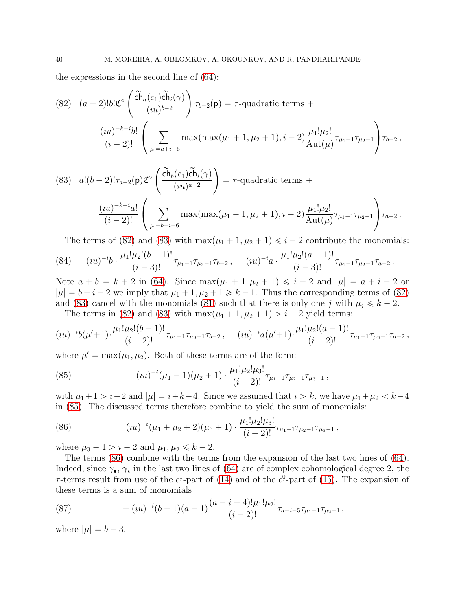the expressions in the second line of [\(64\)](#page-32-1):

<span id="page-39-0"></span>(82) 
$$
(a-2)!b!\mathfrak{C}^{\circ}\left(\frac{\widetilde{ch}_a(c_1)\widetilde{ch}_i(\gamma)}{(iu)^{b-2}}\right)\tau_{b-2}(\mathsf{p}) = \tau
$$
-quadratic terms +  

$$
\frac{(iu)^{-k-i}b!}{(i-2)!}\left(\sum_{|\mu|=a+i-6} \max(\max(\mu_1+1,\mu_2+1),i-2)\frac{\mu_1!\mu_2!}{\mathrm{Aut}(\mu)}\tau_{\mu_1-1}\tau_{\mu_2-1}\right)\tau_{b-2},
$$

<span id="page-39-1"></span>(83) 
$$
a!(b-2)!\tau_{a-2}(\mathbf{p})\mathfrak{C}^{\circ}\left(\frac{\widetilde{\mathbf{ch}}_{b}(c_{1})\widetilde{\mathbf{ch}}_{i}(\gamma)}{(iu)^{a-2}}\right) = \tau
$$
-quadratic terms +  

$$
\frac{(iu)^{-k-i}a!}{(i-2)!}\left(\sum_{|\mu|=b+i-6} \max(\max(\mu_{1}+1,\mu_{2}+1),i-2)\frac{\mu_{1}!\mu_{2}!}{\mathrm{Aut}(\mu)}\tau_{\mu_{1}-1}\tau_{\mu_{2}-1}\right)\tau_{a-2}.
$$

The terms of [\(82\)](#page-39-0) and [\(83\)](#page-39-1) with  $\max(\mu_1 + 1, \mu_2 + 1) \leq i - 2$  contribute the monomials:

$$
(84) \qquad (iu)^{-i}b \cdot \frac{\mu_1!\mu_2!(b-1)!}{(i-3)!}\tau_{\mu_1-1}\tau_{\mu_2-1}\tau_{b-2}\,, \qquad (iu)^{-i}a \cdot \frac{\mu_1!\mu_2!(a-1)!}{(i-3)!}\tau_{\mu_1-1}\tau_{\mu_2-1}\tau_{a-2}\,.
$$

Note  $a + b = k + 2$  in [\(64\)](#page-32-1). Since  $\max(\mu_1 + 1, \mu_2 + 1) \leq i - 2$  and  $|\mu| = a + i - 2$  or  $|\mu| = b + i - 2$  we imply that  $\mu_1 + 1, \mu_2 + 1 \ge k - 1$ . Thus the corresponding terms of [\(82\)](#page-39-0) and [\(83\)](#page-39-1) cancel with the monomials [\(81\)](#page-38-2) such that there is only one j with  $\mu_i \leq k - 2$ .

The terms in [\(82\)](#page-39-0) and [\(83\)](#page-39-1) with  $\max(\mu_1 + 1, \mu_2 + 1) > i - 2$  yield terms:

$$
(iu)^{-i}b(\mu'+1)\cdot\frac{\mu_1!\mu_2!(b-1)!}{(i-2)!}\tau_{\mu_1-1}\tau_{\mu_2-1}\tau_{b-2}\,,\quad (iu)^{-i}a(\mu'+1)\cdot\frac{\mu_1!\mu_2!(a-1)!}{(i-2)!}\tau_{\mu_1-1}\tau_{\mu_2-1}\tau_{a-2}\,,
$$

where  $\mu' = \max(\mu_1, \mu_2)$ . Both of these terms are of the form:

<span id="page-39-2"></span>(85) 
$$
(iu)^{-i}(\mu_1+1)(\mu_2+1)\cdot\frac{\mu_1!\mu_2!\mu_3!}{(i-2)!}\tau_{\mu_1-1}\tau_{\mu_2-1}\tau_{\mu_3-1},
$$

with  $\mu_1+1 > i-2$  and  $|\mu| = i+k-4$ . Since we assumed that  $i > k$ , we have  $\mu_1+\mu_2 < k-4$ in [\(85\)](#page-39-2). The discussed terms therefore combine to yield the sum of monomials:

<span id="page-39-3"></span>(86) 
$$
(iu)^{-i}(\mu_1 + \mu_2 + 2)(\mu_3 + 1) \cdot \frac{\mu_1!\mu_2!\mu_3!}{(i-2)!}\tau_{\mu_1 - 1}\tau_{\mu_2 - 1}\tau_{\mu_3 - 1},
$$

where  $\mu_3 + 1 > i - 2$  and  $\mu_1, \mu_2 \le k - 2$ .

The terms [\(86\)](#page-39-3) combine with the terms from the expansion of the last two lines of [\(64\)](#page-32-1). Indeed, since  $\gamma_{\bullet}$ ,  $\gamma_{\star}$  in the last two lines of [\(64\)](#page-32-1) are of complex cohomological degree 2, the  $\tau$ -terms result from use of the  $c_1^1$ -part of [\(14\)](#page-9-0) and of the  $c_1^0$ -part of [\(15\)](#page-9-4). The expansion of these terms is a sum of monomials

<span id="page-39-4"></span>(87) 
$$
-(iu)^{-i}(b-1)(a-1)\frac{(a+i-4)! \mu_1! \mu_2!}{(i-2)!} \tau_{a+i-5} \tau_{\mu_1-1} \tau_{\mu_2-1},
$$

where  $|\mu| = b - 3$ .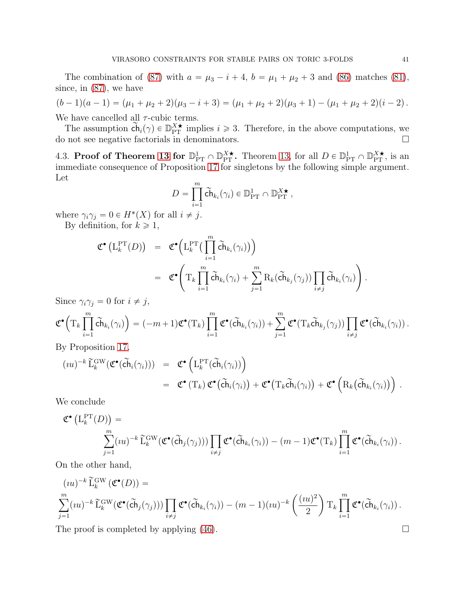The combination of [\(87\)](#page-39-4) with  $a = \mu_3 - i + 4$ ,  $b = \mu_1 + \mu_2 + 3$  and [\(86\)](#page-39-3) matches [\(81\)](#page-38-2), since, in [\(87\)](#page-39-4), we have

$$
(b-1)(a-1) = (\mu_1 + \mu_2 + 2)(\mu_3 - i + 3) = (\mu_1 + \mu_2 + 2)(\mu_3 + 1) - (\mu_1 + \mu_2 + 2)(i - 2).
$$
  
We have a  
enoc

We have cancelled all  $\tau$ -cubic terms.

The assumption  $\widetilde{\mathsf{ch}}_i(\gamma) \in \mathbb{D}_{\mathrm{PT}}^{X\star}$  implies  $i \geq 3$ . Therefore, in the above computations, we do not see negative factorials in denominators.  $\hfill \Box$ 

<span id="page-40-0"></span>4.3. Proof of Theorem [13](#page-18-0) for  $\mathbb{D}_{PT}^1 \cap \mathbb{D}_{PT}^{X\star}$ . Theorem [13,](#page-18-0) for all  $D \in \mathbb{D}_{PT}^1 \cap \mathbb{D}_{PT}^{X\star}$ , is an immediate consequence of Proposition [17](#page-29-1) for singletons by the following simple argument. Let

$$
D = \prod_{i=1}^m \widetilde{\mathsf{ch}}_{k_i}(\gamma_i) \in \mathbb{D}_{\mathrm{PT}}^1 \cap \mathbb{D}_{\mathrm{PT}}^{X \star},
$$

where  $\gamma_i \gamma_j = 0 \in H^*(X)$  for all  $i \neq j$ .

By definition, for  $k \geq 1$ ,

$$
\mathfrak{C}^{\bullet}\left(\mathcal{L}_{k}^{\mathrm{PT}}(D)\right) = \mathfrak{C}^{\bullet}\left(\mathcal{L}_{k}^{\mathrm{PT}}\left(\prod_{i=1}^{m} \widetilde{\mathsf{ch}}_{k_{i}}(\gamma_{i})\right)\right)
$$
\n
$$
= \mathfrak{C}^{\bullet}\left(\mathrm{T}_{k}\prod_{i=1}^{m} \widetilde{\mathsf{ch}}_{k_{i}}(\gamma_{i}) + \sum_{j=1}^{m} \mathrm{R}_{k}(\widetilde{\mathsf{ch}}_{k_{j}}(\gamma_{j}))\prod_{i \neq j} \widetilde{\mathsf{ch}}_{k_{i}}(\gamma_{i})\right).
$$

Since  $\gamma_i \gamma_j = 0$  for  $i \neq j$ ,

$$
\mathfrak{C}^{\bullet}\Big(\mathrm{T}_k\prod\limits_{i=1}^{m}\tilde{\mathrm{ch}}_{k_i}(\gamma_i)\Big)=(-m+1)\mathfrak{C}^{\bullet}(\mathrm{T}_k)\prod\limits_{i=1}^{m}\mathfrak{C}^{\bullet}(\tilde{\mathrm{ch}}_{k_i}(\gamma_i))+\sum\limits_{j=1}^{m}\mathfrak{C}^{\bullet}(\mathrm{T}_k\tilde{\mathrm{ch}}_{k_j}(\gamma_j))\prod\limits_{i\neq j}\mathfrak{C}^{\bullet}(\tilde{\mathrm{ch}}_{k_i}(\gamma_i))\,.
$$

By Proposition [17,](#page-29-1)

$$
(iu)^{-k} \widetilde{\mathbf{L}}_k^{\text{GW}}(\mathfrak{C}^{\bullet}(\widetilde{\mathbf{ch}}_i(\gamma_i))) = \mathfrak{C}^{\bullet} (\mathbf{L}_k^{\text{PT}}(\widetilde{\mathbf{ch}}_i(\gamma_i)))
$$
  

$$
= \mathfrak{C}^{\bullet} (\mathbf{T}_k) \mathfrak{C}^{\bullet}(\widetilde{\mathbf{ch}}_i(\gamma_i)) + \mathfrak{C}^{\bullet} (\mathbf{T}_k \widetilde{\mathbf{ch}}_i(\gamma_i)) + \mathfrak{C}^{\bullet} (\mathbf{R}_k(\widetilde{\mathbf{ch}}_{k_i}(\gamma_i))) .
$$

We conclude

$$
\mathfrak{C}^{\bullet}\left(\mathcal{L}_{k}^{\mathrm{PT}}(D)\right) = \sum_{j=1}^{m} (iu)^{-k} \widetilde{\mathcal{L}}_{k}^{\mathrm{GW}}(\mathfrak{C}^{\bullet}(\widetilde{\mathrm{Ch}}_{j}(\gamma_{j}))) \prod_{i \neq j} \mathfrak{C}^{\bullet}(\widetilde{\mathrm{Ch}}_{k_{i}}(\gamma_{i})) - (m-1) \mathfrak{C}^{\bullet}(\mathcal{T}_{k}) \prod_{i=1}^{m} \mathfrak{C}^{\bullet}(\widetilde{\mathrm{Ch}}_{k_{i}}(\gamma_{i})) .
$$

On the other hand,

$$
(iu)^{-k} \widetilde{\mathcal{L}}_k^{\text{GW}}(\mathfrak{C}^{\bullet}(D)) =
$$
  

$$
\sum_{j=1}^m (iu)^{-k} \widetilde{\mathcal{L}}_k^{\text{GW}}(\mathfrak{C}^{\bullet}(\widetilde{\mathbf{ch}}_j(\gamma_j))) \prod_{i \neq j} \mathfrak{C}^{\bullet}(\widetilde{\mathbf{ch}}_{k_i}(\gamma_i)) - (m-1)(iu)^{-k} \left(\frac{(iu)^2}{2}\right) \mathrm{T}_k \prod_{i=1}^m \mathfrak{C}^{\bullet}(\widetilde{\mathbf{ch}}_{k_i}(\gamma_i)).
$$

The proof is completed by applying  $(46)$ .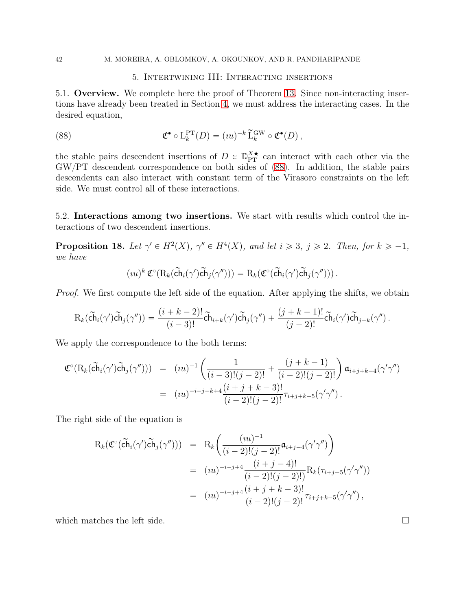#### <span id="page-41-2"></span>5. Intertwining III: Interacting insertions

<span id="page-41-0"></span>5.1. Overview. We complete here the proof of Theorem [13.](#page-18-0) Since non-interacting insertions have already been treated in Section [4,](#page-28-0) we must address the interacting cases. In the desired equation,

(88) 
$$
\mathfrak{C}^{\bullet} \circ \mathcal{L}_{k}^{\mathrm{PT}}(D) = (iu)^{-k} \widetilde{\mathcal{L}}_{k}^{\mathrm{GW}} \circ \mathfrak{C}^{\bullet}(D),
$$

the stable pairs descendent insertions of  $D \in \mathbb{D}_{PT}^{X\star}$  can interact with each other via the GW{PT descendent correspondence on both sides of [\(88\)](#page-41-2). In addition, the stable pairs descendents can also interact with constant term of the Virasoro constraints on the left side. We must control all of these interactions.

5.2. Interactions among two insertions. We start with results which control the interactions of two descendent insertions.

<span id="page-41-1"></span>**Proposition 18.** Let  $\gamma' \in H^2(X)$ ,  $\gamma'' \in H^4(X)$ , and let  $i \geq 3$ ,  $j \geq 2$ . Then, for  $k \geq -1$ , we have

$$
(iu)^k \mathfrak{C}^{\circ}(\mathrm{R}_k(\widetilde{\mathrm{ch}}_i(\gamma')\widetilde{\mathrm{ch}}_j(\gamma''))) = \mathrm{R}_k(\mathfrak{C}^{\circ}(\widetilde{\mathrm{ch}}_i(\gamma')\widetilde{\mathrm{ch}}_j(\gamma''))).
$$

Proof. We first compute the left side of the equation. After applying the shifts, we obtain

$$
\mathrm{R}_k(\widetilde{\mathrm{ch}}_i(\gamma')\widetilde{\mathrm{ch}}_j(\gamma''))=\frac{(i+k-2)!}{(i-3)!}\widetilde{\mathrm{ch}}_{i+k}(\gamma')\widetilde{\mathrm{ch}}_j(\gamma'')+\frac{(j+k-1)!}{(j-2)!}\widetilde{\mathrm{ch}}_i(\gamma')\widetilde{\mathrm{ch}}_{j+k}(\gamma'')\,.
$$

We apply the correspondence to the both terms:

$$
\mathfrak{C}^{\circ}(\mathrm{R}_{k}(\tilde{\mathrm{ch}}_{i}(\gamma')\tilde{\mathrm{ch}}_{j}(\gamma''))) = (iu)^{-1} \left( \frac{1}{(i-3)!(j-2)!} + \frac{(j+k-1)}{(i-2)!(j-2)!} \right) \mathfrak{a}_{i+j+k-4}(\gamma'\gamma'') \n= (iu)^{-i-j-k+4} \frac{(i+j+k-3)!}{(i-2)!(j-2)!} \tau_{i+j+k-5}(\gamma'\gamma'').
$$

The right side of the equation is

$$
R_k(\mathfrak{C}^{\circ}(\tilde{ch}_i(\gamma')\tilde{ch}_j(\gamma'')) = R_k\bigg(\frac{(iu)^{-1}}{(i-2)!(j-2)!}\mathfrak{a}_{i+j-4}(\gamma'\gamma'')\bigg)
$$
  

$$
= (iu)^{-i-j+4}\frac{(i+j-4)!}{(i-2)!(j-2)!}R_k(\tau_{i+j-5}(\gamma'\gamma''))
$$
  

$$
= (iu)^{-i-j+4}\frac{(i+j+k-3)!}{(i-2)!(j-2)!}\tau_{i+j+k-5}(\gamma'\gamma''),
$$

which matches the left side.  $\square$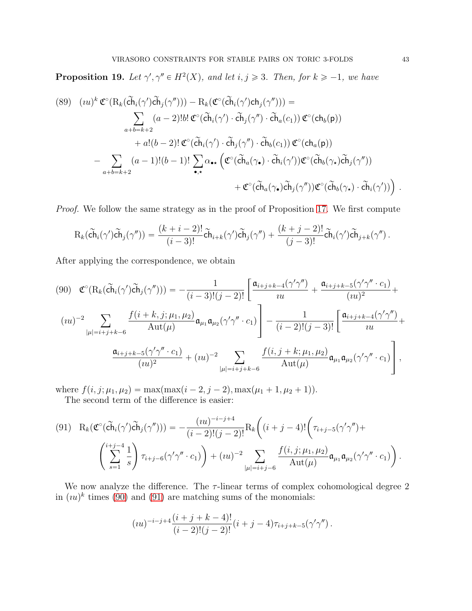<span id="page-42-0"></span>**Proposition 19.** Let  $\gamma', \gamma'' \in H^2(X)$ , and let  $i, j \geq 3$ . Then, for  $k \geq -1$ , we have

<span id="page-42-3"></span>(89) 
$$
(iu)^{k} \mathfrak{C}^{\circ}(\mathrm{R}_{k}(\tilde{\mathrm{ch}}_{i}(\gamma')\tilde{\mathrm{ch}}_{j}(\gamma'')))-\mathrm{R}_{k}(\mathfrak{C}^{\circ}(\tilde{\mathrm{ch}}_{i}(\gamma')\mathrm{ch}_{j}(\gamma'')))=\sum_{a+b=k+2} (a-2)!b! \mathfrak{C}^{\circ}(\tilde{\mathrm{ch}}_{i}(\gamma')\cdot\tilde{\mathrm{ch}}_{j}(\gamma'')\cdot\tilde{\mathrm{ch}}_{a}(c_{1})) \mathfrak{C}^{\circ}(\mathrm{ch}_{b}(p))+a!(b-2)! \mathfrak{C}^{\circ}(\tilde{\mathrm{ch}}_{i}(\gamma')\cdot\tilde{\mathrm{ch}}_{j}(\gamma'')\cdot\tilde{\mathrm{ch}}_{b}(c_{1})) \mathfrak{C}^{\circ}(\mathrm{ch}_{a}(p))-\sum_{a+b=k+2} (a-1)!(b-1)! \sum_{\bullet,\star} \alpha_{\bullet\star} (\mathfrak{C}^{\circ}(\tilde{\mathrm{ch}}_{a}(\gamma_{\bullet})\cdot\tilde{\mathrm{ch}}_{i}(\gamma'))\mathfrak{C}^{\circ}(\tilde{\mathrm{ch}}_{b}(\gamma_{\star})\tilde{\mathrm{ch}}_{j}(\gamma''))+ \mathfrak{C}^{\circ}(\tilde{\mathrm{ch}}_{a}(\gamma_{\bullet})\tilde{\mathrm{ch}}_{j}(\gamma''))\mathfrak{C}^{\circ}(\tilde{\mathrm{ch}}_{b}(\gamma_{\star})\cdot\tilde{\mathrm{ch}}_{i}(\gamma'))).
$$

Proof. We follow the same strategy as in the proof of Proposition [17.](#page-29-1) We first compute

$$
\mathrm{R}_k(\widetilde{\mathrm{ch}}_i(\gamma')\widetilde{\mathrm{ch}}_j(\gamma''))=\frac{(k+i-2)!}{(i-3)!}\widetilde{\mathrm{ch}}_{i+k}(\gamma')\widetilde{\mathrm{ch}}_j(\gamma'')+\frac{(k+j-2)!}{(j-3)!}\widetilde{\mathrm{ch}}_i(\gamma')\widetilde{\mathrm{ch}}_{j+k}(\gamma'')\,.
$$

After applying the correspondence, we obtain

<span id="page-42-1"></span>
$$
(90) \quad \mathfrak{C}^{\circ}(\mathrm{R}_{k}(\tilde{\mathrm{ch}}_{i}(\gamma')\tilde{\mathrm{ch}}_{j}(\gamma''))) = -\frac{1}{(i-3)!(j-2)!} \left[ \frac{\mathfrak{a}_{i+j+k-4}(\gamma'\gamma'')}{uu} + \frac{\mathfrak{a}_{i+j+k-5}(\gamma'\gamma'' \cdot c_{1})}{(iu)^{2}} + \frac{(iu)^{2}}{(iu)^{2}} \right]
$$

$$
(uu)^{-2} \sum_{|\mu|=i+j+k-6} \frac{f(i+k,j;\mu_{1},\mu_{2})}{\mathrm{Aut}(\mu)} \mathfrak{a}_{\mu_{1}} \mathfrak{a}_{\mu_{2}}(\gamma'\gamma'' \cdot c_{1}) - \frac{1}{(i-2)!(j-3)!} \left[ \frac{\mathfrak{a}_{i+j+k-4}(\gamma'\gamma'')}{uu} + \frac{\mathfrak{a}_{i+j+k-5}(\gamma'\gamma'' \cdot c_{1})}{(iu)^{2}} + (uu)^{-2} \sum_{|\mu|=i+j+k-6} \frac{f(i,j+k;\mu_{1},\mu_{2})}{\mathrm{Aut}(\mu)} \mathfrak{a}_{\mu_{1}} \mathfrak{a}_{\mu_{2}}(\gamma'\gamma'' \cdot c_{1}) \right],
$$

where  $f(i, j; \mu_1, \mu_2) = \max(\max(i - 2, j - 2), \max(\mu_1 + 1, \mu_2 + 1)).$ The second term of the difference is easier:

<span id="page-42-2"></span>
$$
(91) \quad R_k(\mathfrak{C}^{\circ}(\tilde{ch}_i(\gamma')\tilde{ch}_j(\gamma''))) = -\frac{(iu)^{-i-j+4}}{(i-2)!(j-2)!}R_k\bigg((i+j-4)!\bigg(\tau_{i+j-5}(\gamma'\gamma'') + \bigg(\sum_{s=1}^{i+j-4} \frac{1}{s}\bigg)\tau_{i+j-6}(\gamma'\gamma'' \cdot c_1)\bigg) + (iu)^{-2} \sum_{|\mu|=i+j-6} \frac{f(i,j;\mu_1,\mu_2)}{\mathrm{Aut}(\mu)}\mathfrak{a}_{\mu_1}\mathfrak{a}_{\mu_2}(\gamma'\gamma'' \cdot c_1)\bigg).
$$

We now analyze the difference. The  $\tau$ -linear terms of complex cohomological degree 2 in  $(u_k)^k$  times [\(90\)](#page-42-1) and [\(91\)](#page-42-2) are matching sums of the monomials:

$$
(iu)^{-i-j+4}\frac{(i+j+k-4)!}{(i-2)!(j-2)!}(i+j-4)\tau_{i+j+k-5}(\gamma'\gamma'').
$$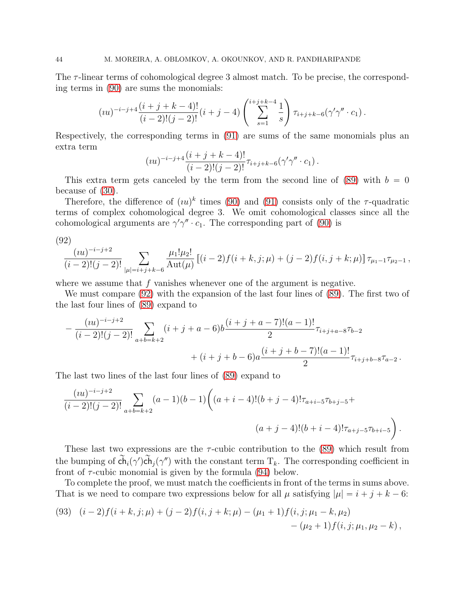The  $\tau$ -linear terms of cohomological degree 3 almost match. To be precise, the corresponding terms in [\(90\)](#page-42-1) are sums the monomials:

$$
(iu)^{-i-j+4}\frac{(i+j+k-4)!}{(i-2)!(j-2)!}(i+j-4)\left(\sum_{s=1}^{i+j+k-4}\frac{1}{s}\right)\tau_{i+j+k-6}(\gamma'\gamma''\cdot c_1).
$$

Respectively, the corresponding terms in [\(91\)](#page-42-2) are sums of the same monomials plus an extra term

$$
(iu)^{-i-j+4}\frac{(i+j+k-4)!}{(i-2)!(j-2)!}\tau_{i+j+k-6}(\gamma'\gamma'' \cdot c_1).
$$

This extra term gets canceled by the term from the second line of  $(89)$  with  $b = 0$ because of [\(30\)](#page-19-1).

Therefore, the difference of  $(uu)^k$  times [\(90\)](#page-42-1) and [\(91\)](#page-42-2) consists only of the  $\tau$ -quadratic terms of complex cohomological degree 3. We omit cohomological classes since all the cohomological arguments are  $\gamma' \gamma'' \cdot c_1$ . The corresponding part of [\(90\)](#page-42-1) is

<span id="page-43-0"></span>(92)

$$
\frac{(iu)^{-i-j+2}}{(i-2)!(j-2)!} \sum_{|\mu|=i+j+k-6} \frac{\mu_1! \mu_2!}{\mathrm{Aut}(\mu)} \left[ (i-2)f(i+k,j;\mu) + (j-2)f(i,j+k;\mu) \right] \tau_{\mu_1-1} \tau_{\mu_2-1},
$$

where we assume that  $f$  vanishes whenever one of the argument is negative.

We must compare [\(92\)](#page-43-0) with the expansion of the last four lines of [\(89\)](#page-42-3). The first two of the last four lines of [\(89\)](#page-42-3) expand to

$$
-\frac{(iu)^{-i-j+2}}{(i-2)!(j-2)!} \sum_{a+b=k+2} (i+j+a-6)b \frac{(i+j+a-7)!(a-1)!}{2} \tau_{i+j+a-8} \tau_{b-2} + (i+j+b-6)a \frac{(i+j+b-7)!(a-1)!}{2} \tau_{i+j+b-8} \tau_{a-2}.
$$

The last two lines of the last four lines of [\(89\)](#page-42-3) expand to

$$
\frac{(iu)^{-i-j+2}}{(i-2)!(j-2)!} \sum_{a+b=k+2} (a-1)(b-1) \bigg( (a+i-4)!(b+j-4)! \tau_{a+i-5} \tau_{b+j-5} +
$$
  

$$
(a+j-4)!(b+i-4)!\tau_{a+j-5} \tau_{b+i-5} \bigg).
$$

These last two expressions are the  $\tau$ -cubic contribution to the [\(89\)](#page-42-3) which result from the bumping of  $ch_i(\gamma')ch_j(\gamma'')$  with the constant term  $T_k$ . The corresponding coefficient in front of  $\tau$ -cubic monomial is given by the formula [\(94\)](#page-44-2) below.

To complete the proof, we must match the coefficients in front of the terms in sums above. That is we need to compare two expressions below for all  $\mu$  satisfying  $|\mu| = i + j + k - 6$ :

<span id="page-43-1"></span>(93) 
$$
(i-2) f(i+k, j; \mu) + (j-2) f(i, j+k; \mu) - (\mu_1 + 1) f(i, j; \mu_1 - k, \mu_2)
$$
  
-  $(\mu_2 + 1) f(i, j; \mu_1, \mu_2 - k)$ ,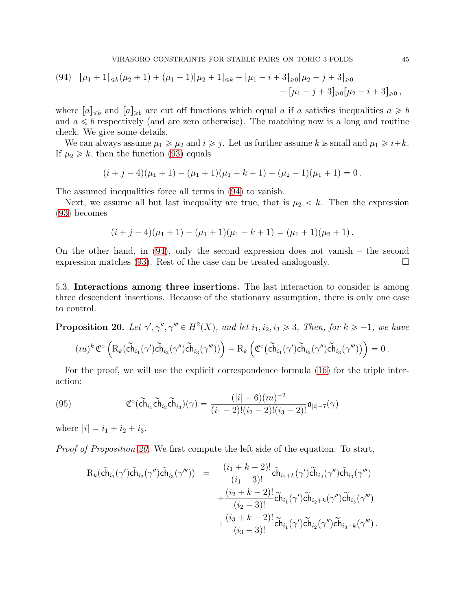<span id="page-44-2"></span>
$$
(94) \quad [\mu_1 + 1]_{\leq k}(\mu_2 + 1) + (\mu_1 + 1)[\mu_2 + 1]_{\leq k} - [\mu_1 - i + 3]_{\geq 0}[\mu_2 - j + 3]_{\geq 0} - [\mu_1 - j + 3]_{\geq 0}[\mu_2 - i + 3]_{\geq 0},
$$

where  $[a]_{\leq b}$  and  $[a]_{\geq b}$  are cut off functions which equal a if a satisfies inequalities  $a \geq b$ and  $a \leq b$  respectively (and are zero otherwise). The matching now is a long and routine check. We give some details.

We can always assume  $\mu_1 \ge \mu_2$  and  $i \ge j$ . Let us further assume k is small and  $\mu_1 \ge i+k$ . If  $\mu_2 \geq k$ , then the function [\(93\)](#page-43-1) equals

$$
(i+j-4)(\mu_1+1)-(\mu_1+1)(\mu_1-k+1)-(\mu_2-1)(\mu_1+1)=0.
$$

The assumed inequalities force all terms in [\(94\)](#page-44-2) to vanish.

Next, we assume all but last inequality are true, that is  $\mu_2 < k$ . Then the expression [\(93\)](#page-43-1) becomes

$$
(i+j-4)(\mu_1+1)-(\mu_1+1)(\mu_1-k+1)=(\mu_1+1)(\mu_2+1).
$$

On the other hand, in [\(94\)](#page-44-2), only the second expression does not vanish – the second expression matches [\(93\)](#page-43-1). Rest of the case can be treated analogously.  $\Box$ 

5.3. Interactions among three insertions. The last interaction to consider is among three descendent insertions. Because of the stationary assumption, there is only one case to control.

<span id="page-44-0"></span>**Proposition 20.** Let  $\gamma', \gamma'', \gamma''' \in H^2(X)$ , and let  $i_1, i_2, i_3 \geq 3$ , Then, for  $k \geq -1$ , we have

$$
( \imath u )^k \, \mathfrak{C}^{\circ} \left( \mathrm{R}_k (\tilde{\mathrm{ch}}_{i_1}(\gamma') \tilde{\mathrm{ch}}_{i_2}(\gamma'') \tilde{\mathrm{ch}}_{i_3}(\gamma''') \big) \right) - \mathrm{R}_k \left( \mathfrak{C}^{\circ} \big( \tilde{\mathrm{ch}}_{i_1}(\gamma') \tilde{\mathrm{ch}}_{i_2}(\gamma'') \tilde{\mathrm{ch}}_{i_3}(\gamma''') \big) \right) = 0 \, .
$$

For the proof, we will use the explicit correspondence formula [\(16\)](#page-9-1) for the triple interaction:

<span id="page-44-1"></span>(95) 
$$
\mathfrak{C}^{\circ}(\widetilde{\mathbf{ch}}_{i_1}\widetilde{\mathbf{ch}}_{i_2}\widetilde{\mathbf{ch}}_{i_3})(\gamma) = \frac{(|i|-6)(iu)^{-2}}{(i_1-2)!(i_2-2)!(i_3-2)!}\mathfrak{a}_{|i|-7}(\gamma)
$$

where  $|i| = i_1 + i_2 + i_3$ .

Proof of Proposition [20.](#page-44-0) We first compute the left side of the equation. To start,

$$
R_{k}(\tilde{ch}_{i_{1}}(\gamma')\tilde{ch}_{i_{2}}(\gamma'')\tilde{ch}_{i_{3}}(\gamma''')) = \frac{(i_{1} + k - 2)!}{(i_{1} - 3)!}\tilde{ch}_{i_{1}+k}(\gamma')\tilde{ch}_{i_{2}}(\gamma'')\tilde{ch}_{i_{3}}(\gamma''') + \frac{(i_{2} + k - 2)!}{(i_{2} - 3)!}\tilde{ch}_{i_{1}}(\gamma')\tilde{ch}_{i_{2}+k}(\gamma'')\tilde{ch}_{i_{3}}(\gamma''') + \frac{(i_{3} + k - 2)!}{(i_{3} - 3)!}\tilde{ch}_{i_{1}}(\gamma')\tilde{ch}_{i_{2}}(\gamma'')\tilde{ch}_{i_{3}+k}(\gamma''').
$$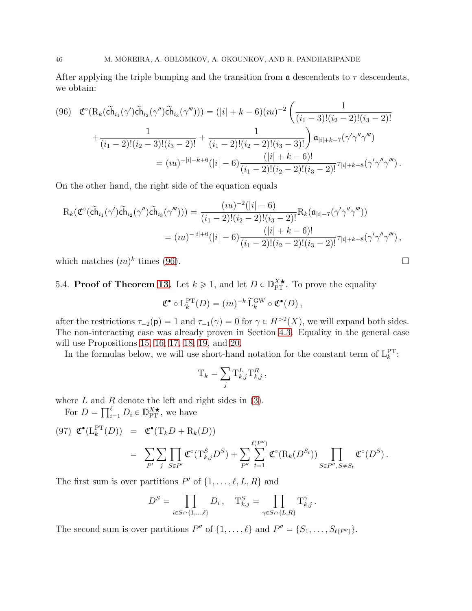After applying the triple bumping and the transition from  $\alpha$  descendents to  $\tau$  descendents, we obtain:

<span id="page-45-0"></span>
$$
(96) \quad \mathfrak{C}^{\circ}(\mathrm{R}_{k}(\tilde{\mathrm{ch}}_{i_{1}}(\gamma')\tilde{\mathrm{ch}}_{i_{2}}(\gamma'')\tilde{\mathrm{ch}}_{i_{3}}(\gamma''))) = (|i| + k - 6)(iu)^{-2} \left(\frac{1}{(i_{1} - 3)!(i_{2} - 2)!(i_{3} - 2)!} + \frac{1}{(i_{1} - 2)!(i_{2} - 3)!(i_{3} - 2)!} + \frac{1}{(i_{1} - 2)!(i_{2} - 2)!(i_{2} - 2)!(i_{3} - 3)!}\right) \mathfrak{a}_{|i| + k - 7}(\gamma'\gamma''\gamma''') = (iu)^{-|i| - k + 6}(|i| - 6)\frac{(|i| + k - 6)!}{(i_{1} - 2)!(i_{2} - 2)!(i_{3} - 2)!}\tau_{|i| + k - 8}(\gamma'\gamma''\gamma''').
$$

On the other hand, the right side of the equation equals

$$
R_k(\mathfrak{C}^{\circ}(\tilde{ch}_{i_1}(\gamma')\tilde{ch}_{i_2}(\gamma'')\tilde{ch}_{i_3}(\gamma''))) = \frac{(iu)^{-2}(|i|-6)}{(i_1-2)!(i_2-2)!(i_3-2)!}R_k(\mathfrak{a}_{|i|-7}(\gamma'\gamma''\gamma'''))
$$
  

$$
= (iu)^{-|i|+6}(|i|-6)\frac{(|i|+k-6)!}{(i_1-2)!(i_2-2)!(i_3-2)!}\tau_{|i|+k-8}(\gamma'\gamma''\gamma'''),
$$

which matches  $(uu)^k$  times [\(96\)](#page-45-0).

# 5.4. **Proof of Theorem [13.](#page-18-0)** Let  $k \ge 1$ , and let  $D \in \mathbb{D}_{\text{PT}}^{X^{\star}}$ . To prove the equality

$$
\mathfrak{C}^{\bullet} \circ \mathcal{L}_{k}^{\mathrm{PT}}(D) = (iu)^{-k} \widetilde{\mathcal{L}}_{k}^{\mathrm{GW}} \circ \mathfrak{C}^{\bullet}(D) ,
$$

after the restrictions  $\tau_{-2}(\mathbf{p}) = 1$  and  $\tau_{-1}(\gamma) = 0$  for  $\gamma \in H^{>2}(X)$ , we will expand both sides. The non-interacting case was already proven in Section [4.3.](#page-40-0) Equality in the general case will use Propositions [15,](#page-26-0) [16,](#page-29-0) [17,](#page-29-1) [18,](#page-41-1) [19,](#page-42-0) and [20.](#page-44-0)

In the formulas below, we will use short-hand notation for the constant term of  $L_k^{\text{PT}}$ :

$$
\mathbf{T}_k = \sum_j \mathbf{T}_{k,j}^L \mathbf{T}_{k,j}^R,
$$

where  $L$  and  $R$  denote the left and right sides in  $(3)$ .

For  $D = \prod_{i=1}^{\ell} D_i \in \mathbb{D}_{\text{PT}}^{X \star}$ , we have

<span id="page-45-1"></span>
$$
(97) \mathfrak{C}^{\bullet}(\mathcal{L}_{k}^{\text{PT}}(D)) = \mathfrak{C}^{\bullet}(\mathcal{T}_{k}D + \mathcal{R}_{k}(D))
$$
  

$$
= \sum_{P'} \sum_{j} \prod_{S \in P'} \mathfrak{C}^{\circ}(\mathcal{T}_{k,j}^{S}D^{S}) + \sum_{P''} \sum_{t=1}^{\ell(P'')} \mathfrak{C}^{\circ}(\mathcal{R}_{k}(D^{S_{t}})) \prod_{S \in P'', S \neq S_{t}} \mathfrak{C}^{\circ}(D^{S}).
$$

The first sum is over partitions  $P'$  of  $\{1, \ldots, \ell, L, R\}$  and

$$
D^{S} = \prod_{i \in S \cap \{1, \dots, \ell\}} D_i, \quad T_{k,j}^{S} = \prod_{\gamma \in S \cap \{L,R\}} T_{k,j}^{\gamma}.
$$

The second sum is over partitions  $P''$  of  $\{1, \ldots, \ell\}$  and  $P'' = \{S_1, \ldots, S_{\ell(P'')}\}.$ 

$$
\Box
$$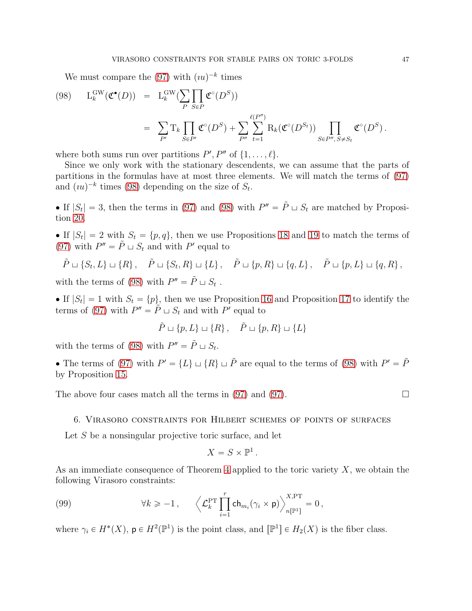<span id="page-46-1"></span>We must compare the  $(97)$  with  $(u<sup>{-k}</sup>$  times

(98) 
$$
L_k^{\text{GW}}(\mathfrak{C}^{\bullet}(D)) = L_k^{\text{GW}}(\sum_{P} \prod_{S \in P} \mathfrak{C}^{\circ}(D^S))
$$
  

$$
= \sum_{P'} T_k \prod_{S \in P'} \mathfrak{C}^{\circ}(D^S) + \sum_{P''} \sum_{t=1}^{\ell(P'')} R_k(\mathfrak{C}^{\circ}(D^{S_t})) \prod_{S \in P'', S \neq S_t} \mathfrak{C}^{\circ}(D^S).
$$

where both sums run over partitions  $P', P''$  of  $\{1, \ldots, \ell\}.$ 

Since we only work with the stationary descendents, we can assume that the parts of partitions in the formulas have at most three elements. We will match the terms of [\(97\)](#page-45-1) and  $(uu)^{-k}$  times [\(98\)](#page-46-1) depending on the size of  $S_t$ .

If  $|S_t| = 3$ , then the terms in [\(97\)](#page-45-1) and [\(98\)](#page-46-1) with  $P'' = \tilde{P} \sqcup S_t$  are matched by Proposition [20.](#page-44-0)

If  $|S_t| = 2$  with  $S_t = \{p, q\}$ , then we use Propositions [18](#page-41-1) and [19](#page-42-0) to match the terms of [\(97\)](#page-45-1) with  $P'' = \tilde{P} \sqcup S_t$  and with P' equal to

$$
\tilde{P} \sqcup \{S_t, L\} \sqcup \{R\}, \quad \tilde{P} \sqcup \{S_t, R\} \sqcup \{L\}, \quad \tilde{P} \sqcup \{p, R\} \sqcup \{q, L\}, \quad \tilde{P} \sqcup \{p, L\} \sqcup \{q, R\},
$$

with the terms of [\(98\)](#page-46-1) with  $P'' = \tilde{P} \sqcup S_t$ .

If  $|S_t| = 1$  with  $S_t = \{p\}$ , then we use Proposition [16](#page-29-0) and Proposition [17](#page-29-1) to identify the terms of [\(97\)](#page-45-1) with  $P'' = \tilde{P} \sqcup S_t$  and with P' equal to

$$
\tilde{P} \sqcup \{p, L\} \sqcup \{R\}, \quad \tilde{P} \sqcup \{p, R\} \sqcup \{L\}
$$

with the terms of [\(98\)](#page-46-1) with  $P'' = \tilde{P} \sqcup S_t$ .

• The terms of [\(97\)](#page-45-1) with  $P' = \{L\} \sqcup \{R\} \sqcup \tilde{P}$  are equal to the terms of [\(98\)](#page-46-1) with  $P' = \tilde{P}$ by Proposition [15.](#page-26-0)

<span id="page-46-0"></span>The above four cases match all the terms in [\(97\)](#page-45-1) and (97).  $\Box$ 

#### 6. Virasoro constraints for Hilbert schemes of points of surfaces

Let S be a nonsingular projective toric surface, and let

<span id="page-46-2"></span>
$$
X=S\times\mathbb{P}^1.
$$

As an immediate consequence of Theorem [4](#page-4-0) applied to the toric variety  $X$ , we obtain the following Virasoro constraints:

(99) 
$$
\forall k \geqslant -1, \qquad \left\langle \mathcal{L}_k^{\mathrm{PT}} \prod_{i=1}^r \mathrm{ch}_{m_i}(\gamma_i \times \mathsf{p}) \right\rangle_{n[\mathbb{P}^1]}^{X,\mathrm{PT}} = 0,
$$

where  $\gamma_i \in H^*(X)$ ,  $p \in H^2(\mathbb{P}^1)$  is the point class, and  $[\mathbb{P}^1] \in H_2(X)$  is the fiber class.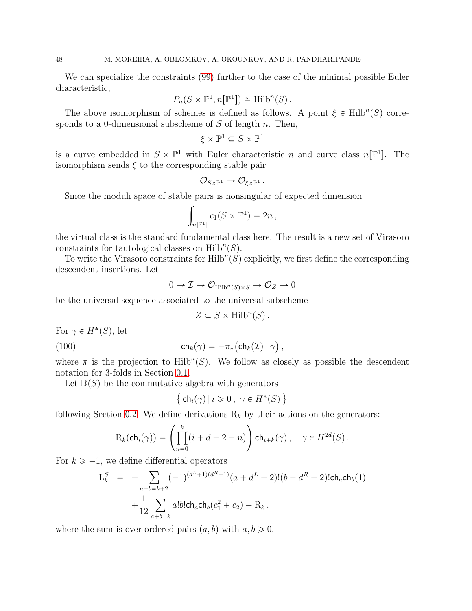We can specialize the constraints [\(99\)](#page-46-2) further to the case of the minimal possible Euler characteristic,

$$
P_n(S \times \mathbb{P}^1, n[\mathbb{P}^1]) \cong \text{Hilb}^n(S).
$$

The above isomorphism of schemes is defined as follows. A point  $\xi \in \text{Hilb}^n(S)$  corresponds to a 0-dimensional subscheme of  $S$  of length  $n$ . Then,

$$
\xi \times \mathbb{P}^1 \subseteq S \times \mathbb{P}^1
$$

is a curve embedded in  $S \times \mathbb{P}^1$  with Euler characteristic n and curve class  $n[\mathbb{P}^1]$ . The isomorphism sends  $\xi$  to the corresponding stable pair

$$
\mathcal{O}_{S \times \mathbb{P}^1} \to \mathcal{O}_{\xi \times \mathbb{P}^1} \, .
$$

Since the moduli space of stable pairs is nonsingular of expected dimension

$$
\int_{n[\mathbb{P}^1]} c_1(S \times \mathbb{P}^1) = 2n,
$$

the virtual class is the standard fundamental class here. The result is a new set of Virasoro constraints for tautological classes on  $\text{Hilb}^n(S)$ .

To write the Virasoro constraints for  $\mathrm{Hilb}^n(S)$  explicitly, we first define the corresponding descendent insertions. Let

$$
0 \to \mathcal{I} \to \mathcal{O}_{\text{Hilb}^n(S) \times S} \to \mathcal{O}_Z \to 0
$$

be the universal sequence associated to the universal subscheme

<span id="page-47-0"></span>
$$
Z \subset S \times \operatorname{Hilb}^n(S).
$$

For  $\gamma \in H^{\ast}(S)$ , let

(100) 
$$
\mathsf{ch}_k(\gamma) = -\pi_* \big(\mathsf{ch}_k(\mathcal{I}) \cdot \gamma\big) ,
$$

where  $\pi$  is the projection to  $\text{Hilb}^n(S)$ . We follow as closely as possible the descendent notation for 3-folds in Section [0.1.](#page-0-1)

Let  $\mathbb{D}(S)$  be the commutative algebra with generators

$$
\left\{\,\mathsf{ch}_i(\gamma)\,|\,i\geqslant 0\,,\,\,\gamma\in H^*(S)\,\right\}
$$

following Section [0.2.](#page-2-2) We define derivations  $R_k$  by their actions on the generators:

$$
\mathrm{R}_k(\mathsf{ch}_i(\gamma)) = \left(\prod_{n=0}^k (i+d-2+n)\right) \mathsf{ch}_{i+k}(\gamma)\,, \quad \gamma \in H^{2d}(S)\,.
$$

For  $k \geq -1$ , we define differential operators

$$
L_k^S = -\sum_{a+b=k+2} (-1)^{(d^L+1)(d^R+1)}(a+d^L-2)!(b+d^R-2)!ch_ach_b(1) + \frac{1}{12}\sum_{a+b=k} a!b!ch_ach_b(c_1^2+c_2) + R_k.
$$

where the sum is over ordered pairs  $(a, b)$  with  $a, b \geq 0$ .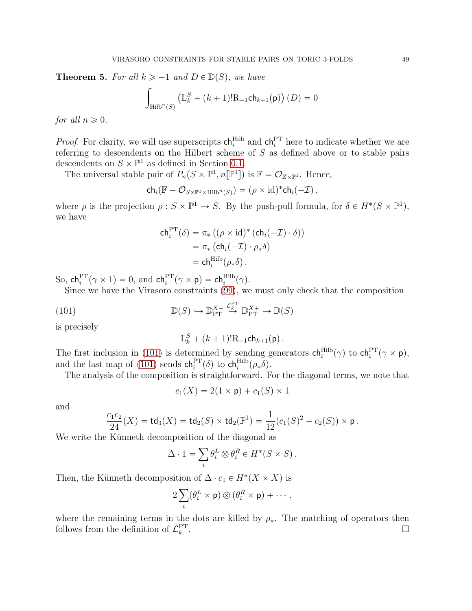**Theorem 5.** For all  $k \ge -1$  and  $D \in \mathbb{D}(S)$ , we have

$$
\int_{\mathrm{Hilb}^n(S)} \left( \mathrm{L}^S_k + (k+1)! \mathrm{R}_{-1} \mathrm{ch}_{k+1}(\mathsf{p}) \right) (D) = 0
$$

for all  $n \geqslant 0$ .

*Proof.* For clarity, we will use superscripts  $\mathsf{ch}_i^{\mathrm{Hilb}}$  and  $\mathsf{ch}_i^{\mathrm{PT}}$  here to indicate whether we are referring to descendents on the Hilbert scheme of S as defined above or to stable pairs descendents on  $S \times \mathbb{P}^1$  as defined in Section [0.1.](#page-0-1)

The universal stable pair of  $P_n(S \times \mathbb{P}^1, n[\mathbb{P}^1])$  is  $\mathbb{F} = \mathcal{O}_{Z \times \mathbb{P}^1}$ . Hence,

$$
\mathsf{ch}_i(\mathbb{F} - \mathcal{O}_{S \times \mathbb{P}^1 \times \mathrm{Hilb}^n(S)}) = (\rho \times \mathrm{id})^* \mathsf{ch}_i(-\mathcal{I}),
$$

where  $\rho$  is the projection  $\rho: S \times \mathbb{P}^1 \to S$ . By the push-pull formula, for  $\delta \in H^*(S \times \mathbb{P}^1)$ , we have

$$
\mathsf{ch}_{i}^{\mathrm{PT}}(\delta) = \pi_{*} ((\rho \times \mathrm{id})^{*} (\mathsf{ch}_{i}(-\mathcal{I}) \cdot \delta))
$$

$$
= \pi_{*} (\mathsf{ch}_{i}(-\mathcal{I}) \cdot \rho_{*} \delta)
$$

$$
= \mathsf{ch}_{i}^{\mathrm{Hilb}}(\rho_{*} \delta).
$$

So,  $\mathsf{ch}_i^{\mathrm{PT}}(\gamma \times 1) = 0$ , and  $\mathsf{ch}_i^{\mathrm{PT}}(\gamma \times \mathsf{p}) = \mathsf{ch}_i^{\mathrm{Hilb}}(\gamma)$ .

Since we have the Virasoro constraints [\(99\)](#page-46-2), we must only check that the composition

(101) 
$$
\mathbb{D}(S) \hookrightarrow \mathbb{D}_{\text{PT}}^{X+} \stackrel{\mathcal{L}_k^{\text{PT}}}{\longrightarrow} \mathbb{D}_{\text{PT}}^{X+} \longrightarrow \mathbb{D}(S)
$$

is precisely

<span id="page-48-0"></span>
$$
L_k^S + (k+1)!R_{-1}ch_{k+1}(p).
$$

The first inclusion in [\(101\)](#page-48-0) is determined by sending generators  $\mathsf{ch}_i^{\mathrm{Hilb}}(\gamma)$  to  $\mathsf{ch}_i^{\mathrm{PT}}(\gamma \times \mathsf{p})$ , and the last map of [\(101\)](#page-48-0) sends  $\mathsf{ch}_i^{\mathrm{PT}}(\delta)$  to  $\mathsf{ch}_i^{\mathrm{Hilb}}(\rho_*\delta)$ .

The analysis of the composition is straightforward. For the diagonal terms, we note that

$$
c_1(X) = 2(1 \times \mathsf{p}) + c_1(S) \times 1
$$

and

$$
\frac{c_1c_2}{24}(X) = \mathsf{td}_3(X) = \mathsf{td}_2(S) \times \mathsf{td}_2(\mathbb{P}^1) = \frac{1}{12}(c_1(S)^2 + c_2(S)) \times \mathsf{p}.
$$

We write the Künneth decomposition of the diagonal as

$$
\Delta \cdot 1 = \sum_{i} \theta_i^L \otimes \theta_i^R \in H^*(S \times S).
$$

Then, the Künneth decomposition of  $\Delta \cdot c_1 \in H^*(X \times X)$  is

$$
2\sum_i(\theta_i^L\times\mathsf{p})\otimes(\theta_i^R\times\mathsf{p})+\cdots,
$$

where the remaining terms in the dots are killed by  $\rho_{*}$ . The matching of operators then follows from the definition of  $\mathcal{L}_k^{\text{PT}}$ .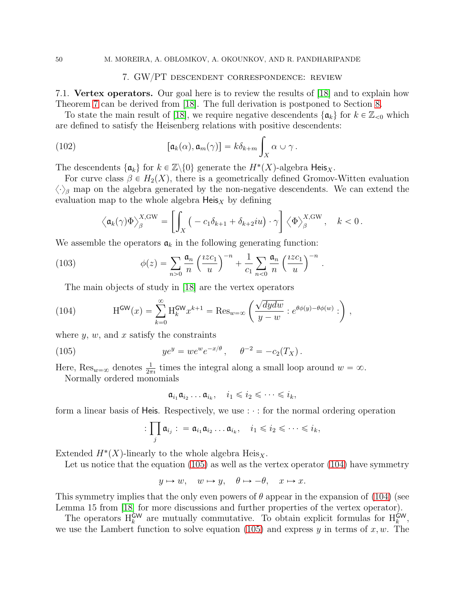#### <span id="page-49-1"></span>7. GW{PT descendent correspondence: review

<span id="page-49-4"></span><span id="page-49-0"></span>7.1. Vertex operators. Our goal here is to review the results of [\[18\]](#page-64-0) and to explain how Theorem [7](#page-9-3) can be derived from [\[18\]](#page-64-0). The full derivation is postponed to Section [8.](#page-54-0)

To state the main result of [\[18\]](#page-64-0), we require negative descendents  $\{\mathfrak{a}_k\}$  for  $k \in \mathbb{Z}_{\leq 0}$  which are defined to satisfy the Heisenberg relations with positive descendents:

(102) 
$$
[\mathfrak{a}_k(\alpha), \mathfrak{a}_m(\gamma)] = k \delta_{k+m} \int_X \alpha \cup \gamma.
$$

The descendents  $\{\mathfrak{a}_k\}$  for  $k \in \mathbb{Z}\backslash\{0\}$  generate the  $H^*(X)$ -algebra Heis<sub>X</sub>.

For curve class  $\beta \in H_2(X)$ , there is a geometrically defined Gromov-Witten evaluation  $\langle \cdot \rangle_{\beta}$  map on the algebra generated by the non-negative descendents. We can extend the evaluation map to the whole algebra  $\text{Heis}_X$  by defining

$$
\left\langle \mathfrak{a}_k(\gamma)\Phi \right\rangle_{\beta}^{X,\mathrm{GW}} = \left[ \int_X \left( -c_1 \delta_{k+1} + \delta_{k+2} i u \right) \cdot \gamma \right] \left\langle \Phi \right\rangle_{\beta}^{X,\mathrm{GW}}, \quad k < 0.
$$

.

We assemble the operators  $a_k$  in the following generating function:

(103) 
$$
\phi(z) = \sum_{n>0} \frac{\mathfrak{a}_n}{n} \left(\frac{izc_1}{u}\right)^{-n} + \frac{1}{c_1} \sum_{n<0} \frac{\mathfrak{a}_n}{n} \left(\frac{izc_1}{u}\right)^{-n}
$$

<span id="page-49-3"></span>The main objects of study in [\[18\]](#page-64-0) are the vertex operators

(104) 
$$
H^{\text{GW}}(x) = \sum_{k=0}^{\infty} H_k^{\text{GW}} x^{k+1} = \text{Res}_{w=\infty} \left( \frac{\sqrt{dydw}}{y-w} : e^{\theta \phi(y) - \theta \phi(w)} : \right),
$$

where  $y, w$ , and  $x$  satisfy the constraints

(105) 
$$
ye^y = we^we^{-x/\theta}, \quad \theta^{-2} = -c_2(T_X).
$$

Here,  $\text{Res}_{w=\infty}$  denotes  $\frac{1}{2\pi i}$  times the integral along a small loop around  $w = \infty$ .

Normally ordered monomials

<span id="page-49-2"></span> $\mathfrak{a}_{i_1}\mathfrak{a}_{i_2}\ldots \mathfrak{a}_{i_k}, \quad i_1\leqslant i_2\leqslant \cdots \leqslant i_k,$ 

form a linear basis of Heis. Respectively, we use  $\cdots$  for the normal ordering operation

$$
:\prod_j \mathfrak{a}_{i_j}:\;=\mathfrak{a}_{i_1}\mathfrak{a}_{i_2}\ldots \mathfrak{a}_{i_k},\quad i_1\leqslant i_2\leqslant\cdots\leqslant i_k,
$$

Extended  $H^*(X)$ -linearly to the whole algebra  $\text{Heis}_X$ .

Let us notice that the equation [\(105\)](#page-49-2) as well as the vertex operator [\(104\)](#page-49-3) have symmetry

$$
y \mapsto w, \quad w \mapsto y, \quad \theta \mapsto -\theta, \quad x \mapsto x.
$$

This symmetry implies that the only even powers of  $\theta$  appear in the expansion of [\(104\)](#page-49-3) (see Lemma 15 from [\[18\]](#page-64-0) for more discussions and further properties of the vertex operator).

The operators  $H_k^{\text{GW}}$  are mutually commutative. To obtain explicit formulas for  $H_k^{\text{GW}}$ , we use the Lambert function to solve equation [\(105\)](#page-49-2) and express y in terms of  $x, w$ . The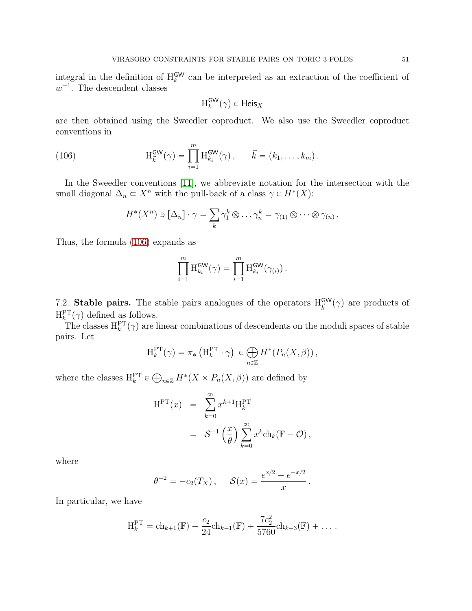integral in the definition of  $H_k^{\text{GW}}$  can be interpreted as an extraction of the coefficient of  $w^{-1}$ . The descendent classes

$$
\mathrm{H}_k^{\mathsf{GW}}(\gamma) \in \mathsf{Heis}_X
$$

are then obtained using the Sweedler coproduct. We also use the Sweedler coproduct conventions in

(106) 
$$
H_{\vec{k}}^{\text{GW}}(\gamma) = \prod_{i=1}^{m} H_{k_i}^{\text{GW}}(\gamma), \qquad \vec{k} = (k_1, ..., k_m).
$$

In the Sweedler conventions [\[11\]](#page-63-10), we abbreviate notation for the intersection with the small diagonal  $\Delta_n \subset X^n$  with the pull-back of a class  $\gamma \in H^*(X)$ :

<span id="page-50-0"></span>
$$
H^*(X^n) \ni [\Delta_n] \cdot \gamma = \sum_k \gamma_1^k \otimes \ldots \gamma_n^k = \gamma_{(1)} \otimes \cdots \otimes \gamma_{(n)}.
$$

Thus, the formula [\(106\)](#page-50-0) expands as

$$
\prod_{i=1}^m \mathrm{H}_{k_i}^{\mathsf{GW}}(\gamma) = \prod_{i=1}^m \mathrm{H}_{k_i}^{\mathsf{GW}}(\gamma_{(i)}) .
$$

7.2. Stable pairs. The stable pairs analogues of the operators  $H^{\text{GW}}_{\vec{k}}(\gamma)$  are products of  $H_k^{\text{PT}}(\gamma)$  defined as follows.

 $\sum_{k=1}^{k}$  (*t*) defined as follows.<br>The classes  $H_k^{PT}(\gamma)$  are linear combinations of descendents on the moduli spaces of stable pairs. Let

$$
\mathrm{H}_k^{\mathrm{PT}}(\gamma) = \pi_* \left( \mathrm{H}_k^{\mathrm{PT}} \cdot \gamma \right) \in \bigoplus_{n \in \mathbb{Z}} H^*(P_n(X, \beta)),
$$

where the classes  $H_k^{\text{PT}} \in \bigoplus_{n \in \mathbb{Z}} H^*(X \times P_n(X, \beta))$  are defined by

$$
H^{PT}(x) = \sum_{k=0}^{\infty} x^{k+1} H_k^{PT}
$$
  
=  $\mathcal{S}^{-1} \left(\frac{x}{\theta}\right) \sum_{k=0}^{\infty} x^k ch_k(\mathbb{F} - \mathcal{O}),$ 

where

$$
\theta^{-2} = -c_2(T_X), \quad \mathcal{S}(x) = \frac{e^{x/2} - e^{-x/2}}{x}.
$$

In particular, we have

$$
H_k^{\rm PT} = ch_{k+1}(\mathbb{F}) + \frac{c_2}{24}ch_{k-1}(\mathbb{F}) + \frac{7c_2^2}{5760}ch_{k-3}(\mathbb{F}) + \dots
$$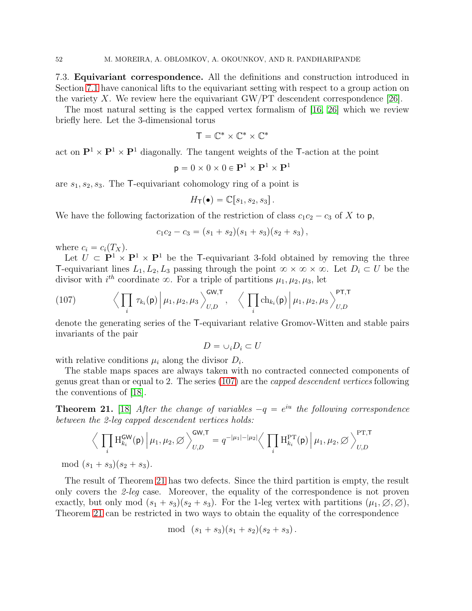7.3. Equivariant correspondence. All the definitions and construction introduced in Section [7.1](#page-49-4) have canonical lifts to the equivariant setting with respect to a group action on the variety X. We review here the equivariant  $\text{GW/PT}$  descendent correspondence [\[26\]](#page-64-8).

The most natural setting is the capped vertex formalism of [\[16,](#page-64-21) [26\]](#page-64-8) which we review briefly here. Let the 3-dimensional torus

$$
T=\mathbb{C}^*\times\mathbb{C}^*\times\mathbb{C}^*
$$

act on  $\mathbf{P}^1 \times \mathbf{P}^1 \times \mathbf{P}^1$  diagonally. The tangent weights of the T-action at the point

$$
\mathbf{p} = 0 \times 0 \times 0 \in \mathbf{P}^1 \times \mathbf{P}^1 \times \mathbf{P}^1
$$

are  $s_1, s_2, s_3$ . The T-equivariant cohomology ring of a point is

$$
H_{\mathsf{T}}(\bullet) = \mathbb{C}[s_1, s_2, s_3].
$$

We have the following factorization of the restriction of class  $c_1c_2 - c_3$  of X to p,

$$
c_1c_2-c_3=(s_1+s_2)(s_1+s_3)(s_2+s_3),
$$

where  $c_i = c_i(T_X)$ .

Let  $\hat{U} \subset \mathbf{P}^1 \times \mathbf{P}^1 \times \mathbf{P}^1$  be the T-equivariant 3-fold obtained by removing the three T-equivariant lines  $L_1, L_2, L_3$  passing through the point  $\infty \times \infty \times \infty$ . Let  $D_i \subset U$  be the divisor with  $i^{th}$  coordinate  $\infty$ . For a triple of partitions  $\mu_1, \mu_2, \mu_3$ , let

<span id="page-51-0"></span>(107) 
$$
\left\langle \prod_i \tau_{k_i}(\mathsf{p}) \middle| \mu_1, \mu_2, \mu_3 \right\rangle_{U,D}^{\mathsf{GW},\mathsf{T}}, \quad \left\langle \prod_i \mathrm{ch}_{k_i}(\mathsf{p}) \middle| \mu_1, \mu_2, \mu_3 \right\rangle_{U,D}^{\mathsf{PT},\mathsf{T}}
$$

denote the generating series of the T-equivariant relative Gromov-Witten and stable pairs invariants of the pair

$$
D=\cup_i D_i\subset U
$$

with relative conditions  $\mu_i$  along the divisor  $D_i$ .

The stable maps spaces are always taken with no contracted connected components of genus great than or equal to 2. The series [\(107\)](#page-51-0) are the capped descendent vertices following the conventions of [\[18\]](#page-64-0).

<span id="page-51-1"></span>**Theorem 21.** [\[18\]](#page-64-0) After the change of variables  $-q = e^{iu}$  the following correspondence between the 2-leg capped descendent vertices holds:

$$
\Big\langle \prod_i \mathcal{H}_{k_i}^{\mathsf{GW}}(\mathsf{p}) \Big| \mu_1, \mu_2, \varnothing \Big\rangle_{U,D}^{\mathsf{GW}, \mathsf{T}} = q^{-|\mu_1| - |\mu_2|} \Big\langle \prod_i \mathcal{H}_{k_i}^{\mathsf{PT}}(\mathsf{p}) \Big| \mu_1, \mu_2, \varnothing \Big\rangle_{U,D}^{\mathsf{PT}, \mathsf{T}}
$$
  
mod  $(s_1 + s_3)(s_2 + s_3)$ .

The result of Theorem [21](#page-51-1) has two defects. Since the third partition is empty, the result only covers the 2-leg case. Moreover, the equality of the correspondence is not proven exactly, but only mod  $(s_1 + s_3)(s_2 + s_3)$ . For the 1-leg vertex with partitions  $(\mu_1, \emptyset, \emptyset)$ , Theorem [21](#page-51-1) can be restricted in two ways to obtain the equality of the correspondence

$$
\mod (s_1 + s_3)(s_1 + s_2)(s_2 + s_3).
$$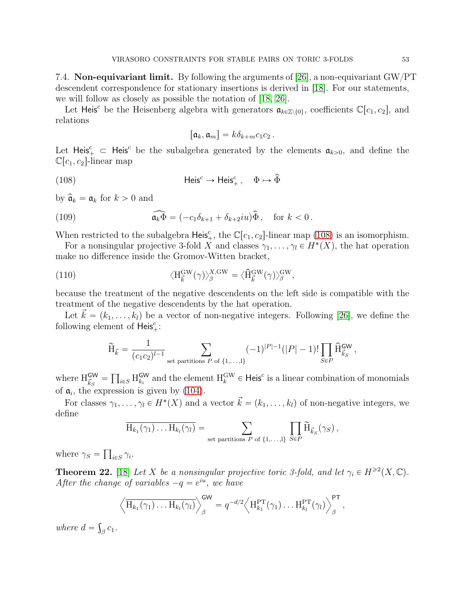7.4. **Non-equivariant limit.** By following the arguments of  $[26]$ , a non-equivariant GW/PT descendent correspondence for stationary insertions is derived in [\[18\]](#page-64-0). For our statements, we will follow as closely as possible the notation of [\[18,](#page-64-0) [26\]](#page-64-8).

Let Heis<sup>c</sup> be the Heisenberg algebra with generators  $\mathfrak{a}_{k\in\mathbb{Z}\setminus\{0\}}$ , coefficients  $\mathbb{C}[c_1, c_2]$ , and relations

<span id="page-52-2"></span><span id="page-52-0"></span>
$$
[\mathfrak{a}_k,\mathfrak{a}_m]=k\delta_{k+m}c_1c_2.
$$

Let Heis<sup>c</sup>  $\subset$  Heis<sup>c</sup> be the subalgebra generated by the elements  $a_{k>0}$ , and define the  $\mathbb{C}[c_1, c_2]$ -linear map

(108) 
$$
\mathsf{Heis}^c \to \mathsf{Heis}^c_+, \quad \Phi \mapsto \widehat{\Phi}
$$

by  $\hat{\mathfrak{a}}_k = \mathfrak{a}_k$  for  $k > 0$  and

(109) 
$$
\widehat{\mathfrak{a}_k \Phi} = (-c_1 \delta_{k+1} + \delta_{k+2} i u) \widehat{\Phi}, \quad \text{for } k < 0.
$$

When restricted to the subalgebra Heis<sup>c</sup><sub>+</sub>, the  $\mathbb{C}[c_1, c_2]$ -linear map [\(108\)](#page-52-0) is an isomorphism.

For a nonsingular projective 3-fold X and classes  $\gamma_1, \ldots, \gamma_l \in H^*(X)$ , the hat operation make no difference inside the Gromov-Witten bracket,

(110) 
$$
\langle H_{\vec{k}}^{\text{GW}}(\gamma) \rangle_{\beta}^{X,\text{GW}} = \langle \hat{H}_{\vec{k}}^{\text{GW}}(\gamma) \rangle_{\beta}^{\text{GW}},
$$

because the treatment of the negative descendents on the left side is compatible with the treatment of the negative descendents by the hat operation.

Let  $\vec{k} = (k_1, \ldots, k_l)$  be a vector of non-negative integers. Following [\[26\]](#page-64-8), we define the following element of  $\overline{\mathsf{Heis}}^c_+$ :

$$
\widetilde{H}_{\vec{k}} = \frac{1}{(c_1 c_2)^{l-1}} \sum_{\text{set partitions } P \text{ of } \{1, \ldots, l\}} (-1)^{|P|-1} (|P| - 1)! \prod_{S \in P} \widehat{H}_{\vec{k}_S}^{\mathsf{GW}},
$$

where  $H_{\vec{k}_S}^{\mathsf{GW}} = \prod_{i \in S} H_{k_i}^{\mathsf{GW}}$  and the element  $H_k^{\mathsf{GW}} \in \mathsf{Heis}^c$  is a linear combination of monomials of  $a_i$ , the expression is given by [\(104\)](#page-49-3).

For classes  $\gamma_1, \ldots, \gamma_l \in H^*(X)$  and a vector  $\vec{k} = (k_1, \ldots, k_l)$  of non-negative integers, we define

$$
\overline{H_{k_1}(\gamma_1)\dots H_{k_l}(\gamma_l)} = \sum_{\text{set partitions } P \text{ of } \{1,\dots,l\}} \prod_{S \in P} \widetilde{H}_{\vec{k}_S}(\gamma_S),
$$

where  $\gamma_S = \prod_{i \in S} \gamma_i$ .

<span id="page-52-1"></span>**Theorem 22.** [\[18\]](#page-64-0) Let X be a nonsingular projective toric 3-fold, and let  $\gamma_i \in H^{\geq 2}(X, \mathbb{C})$ . After the change of variables  $-q = e^{iu}$ , we have

$$
\left\langle \overline{\mathrm{H}_{k_1}(\gamma_1) \ldots \mathrm{H}_{k_l}(\gamma_l)} \right\rangle_{\beta}^{\mathsf{GW}} = q^{-d/2} \left\langle \mathrm{H}_{k_1}^{\mathsf{PT}}(\gamma_1) \ldots \mathrm{H}_{k_l}^{\mathsf{PT}}(\gamma_l) \right\rangle_{\beta}^{\mathsf{PT}},
$$

where  $d = \int_{\beta} c_1$ .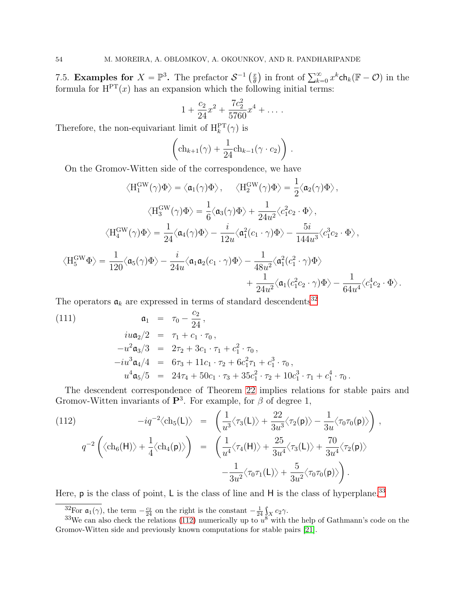7.5. **Examples for**  $X = \mathbb{P}^3$ . The prefactor  $S^{-1}(\frac{x}{\theta})$  $\frac{x}{\theta}$ ) in front of  $\sum_{k=0}^{\infty} x^k \text{ch}_k(\mathbb{F} - \mathcal{O})$  in the formula for  $H<sup>PT</sup>(x)$  has an expansion which the following initial terms:

$$
1 + \frac{c_2}{24}x^2 + \frac{7c_2^2}{5760}x^4 + \dots
$$

Therefore, the non-equivariant limit of  $H_k^{\text{PT}}(\gamma)$  is

$$
\left(\mathrm{ch}_{k+1}(\gamma) + \frac{1}{24}\mathrm{ch}_{k-1}(\gamma \cdot c_2)\right).
$$

On the Gromov-Witten side of the correspondence, we have

$$
\langle H_1^{\text{GW}}(\gamma)\Phi\rangle = \langle \mathfrak{a}_1(\gamma)\Phi \rangle, \quad \langle H_2^{\text{GW}}(\gamma)\Phi \rangle = \frac{1}{2} \langle \mathfrak{a}_2(\gamma)\Phi \rangle,
$$
  

$$
\langle H_3^{\text{GW}}(\gamma)\Phi \rangle = \frac{1}{6} \langle \mathfrak{a}_3(\gamma)\Phi \rangle + \frac{1}{24u^2} \langle c_1^2 c_2 \cdot \Phi \rangle,
$$
  

$$
\langle H_4^{\text{GW}}(\gamma)\Phi \rangle = \frac{1}{24} \langle \mathfrak{a}_4(\gamma)\Phi \rangle - \frac{i}{12u} \langle \mathfrak{a}_1^2(c_1 \cdot \gamma)\Phi \rangle - \frac{5i}{144u^3} \langle c_1^3 c_2 \cdot \Phi \rangle,
$$
  

$$
\langle H_5^{\text{GW}}\Phi \rangle = \frac{1}{120} \langle \mathfrak{a}_5(\gamma)\Phi \rangle - \frac{i}{24u} \langle \mathfrak{a}_1 \mathfrak{a}_2(c_1 \cdot \gamma)\Phi \rangle - \frac{1}{48u^2} \langle \mathfrak{a}_1^2(c_1^2 \cdot \gamma)\Phi \rangle - \frac{1}{64u^4} \langle c_1^4 c_2 \cdot \Phi \rangle.
$$

The operators  $a_k$  are expressed in terms of standard descendents<sup>[32](#page-53-0)</sup>

(111) 
$$
\mathfrak{a}_1 = \tau_0 - \frac{c_2}{24},
$$

$$
i u \mathfrak{a}_2 / 2 = \tau_1 + c_1 \cdot \tau_0,
$$

$$
-u^2 \mathfrak{a}_3 / 3 = 2 \tau_2 + 3 c_1 \cdot \tau_1 + c_1^2 \cdot \tau_0,
$$

$$
-i u^3 \mathfrak{a}_4 / 4 = 6 \tau_3 + 11 c_1 \cdot \tau_2 + 6 c_1^2 \tau_1 + c_1^3 \cdot \tau_0,
$$

$$
u^4 \mathfrak{a}_5 / 5 = 24 \tau_4 + 50 c_1 \cdot \tau_3 + 35 c_1^2 \cdot \tau_2 + 10 c_1^3 \cdot \tau_1 + c_1^4 \cdot \tau_0.
$$

The descendent correspondence of Theorem [22](#page-52-1) implies relations for stable pairs and Gromov-Witten invariants of  $\mathbf{P}^3$ . For example, for  $\beta$  of degree 1,

<span id="page-53-2"></span>(112) 
$$
-iq^{-2}\langle ch_5(\mathsf{L})\rangle = \left(\frac{1}{u^3}\langle \tau_3(\mathsf{L})\rangle + \frac{22}{3u^3}\langle \tau_2(\mathsf{p})\rangle - \frac{1}{3u}\langle \tau_0\tau_0(\mathsf{p})\rangle\right),
$$

$$
q^{-2}\left(\langle ch_6(\mathsf{H})\rangle + \frac{1}{4}\langle ch_4(\mathsf{p})\rangle\right) = \left(\frac{1}{u^4}\langle \tau_4(\mathsf{H})\rangle + \frac{25}{3u^4}\langle \tau_3(\mathsf{L})\rangle + \frac{70}{3u^4}\langle \tau_2(\mathsf{p})\rangle - \frac{1}{3u^2}\langle \tau_0\tau_1(\mathsf{L})\rangle + \frac{5}{3u^2}\langle \tau_0\tau_0(\mathsf{p})\rangle\right).
$$

Here,  $p$  is the class of point, L is the class of line and H is the class of hyperplane.<sup>[33](#page-53-1)</sup>

<span id="page-53-0"></span><sup>32</sup>For  $\mathfrak{a}_1(\gamma)$ , the term  $-\frac{c_2}{24}$  on the right is the constant  $-\frac{1}{24}\int_X c_2\gamma$ .

<span id="page-53-1"></span><sup>&</sup>lt;sup>33</sup>We can also check the relations [\(112\)](#page-53-2) numerically up to  $u^8$  with the help of Gathmann's code on the Gromov-Witten side and previously known computations for stable pairs [\[21\]](#page-64-2).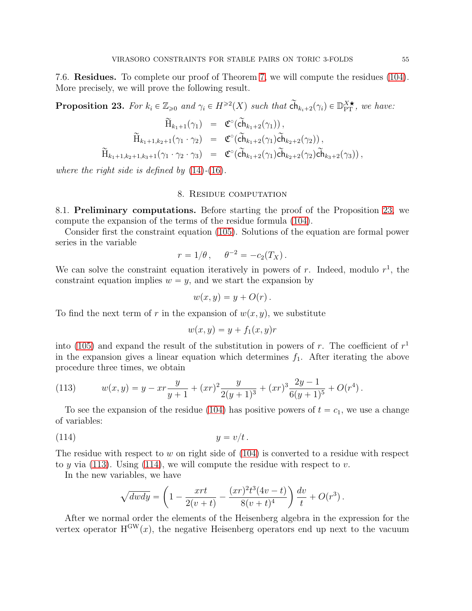7.6. Residues. To complete our proof of Theorem [7,](#page-9-3) we will compute the residues [\(104\)](#page-49-3). More precisely, we will prove the following result.

<span id="page-54-1"></span>**Proposition 23.** For  $k_i \in \mathbb{Z}_{\geqslant 0}$  and  $\gamma_i \in H^{\geqslant 2}(X)$  such that  $\widetilde{ch}_{k_i+2}(\gamma_i) \in \mathbb{D}_{\text{PT}}^{X \star}$ , we have:

$$
\widetilde{H}_{k_1+1}(\gamma_1) = \mathfrak{C}^\circ(\widetilde{ch}_{k_1+2}(\gamma_1)),
$$
\n
$$
\widetilde{H}_{k_1+1,k_2+1}(\gamma_1 \cdot \gamma_2) = \mathfrak{C}^\circ(\widetilde{ch}_{k_1+2}(\gamma_1)\widetilde{ch}_{k_2+2}(\gamma_2)),
$$
\n
$$
\widetilde{H}_{k_1+1,k_2+1,k_3+1}(\gamma_1 \cdot \gamma_2 \cdot \gamma_3) = \mathfrak{C}^\circ(\widetilde{ch}_{k_1+2}(\gamma_1)\widetilde{ch}_{k_2+2}(\gamma_2)\widetilde{ch}_{k_3+2}(\gamma_3)),
$$

<span id="page-54-0"></span>where the right side is defined by  $(14)-(16)$  $(14)-(16)$  $(14)-(16)$ .

### 8. Residue computation

<span id="page-54-4"></span>8.1. Preliminary computations. Before starting the proof of the Proposition [23,](#page-54-1) we compute the expansion of the terms of the residue formula [\(104\)](#page-49-3).

Consider first the constraint equation [\(105\)](#page-49-2). Solutions of the equation are formal power series in the variable

$$
r = 1/\theta \,, \quad \theta^{-2} = -c_2(T_X) \,.
$$

We can solve the constraint equation iteratively in powers of r. Indeed, modulo  $r<sup>1</sup>$ , the constraint equation implies  $w = y$ , and we start the expansion by

$$
w(x,y) = y + O(r).
$$

To find the next term of r in the expansion of  $w(x, y)$ , we substitute

<span id="page-54-3"></span>
$$
w(x, y) = y + f_1(x, y)r
$$

into [\(105\)](#page-49-2) and expand the result of the substitution in powers of r. The coefficient of  $r<sup>1</sup>$ in the expansion gives a linear equation which determines  $f_1$ . After iterating the above procedure three times, we obtain

<span id="page-54-2"></span>(113) 
$$
w(x,y) = y - xr\frac{y}{y+1} + (xr)^2 \frac{y}{2(y+1)^3} + (xr)^3 \frac{2y-1}{6(y+1)^5} + O(r^4).
$$

To see the expansion of the residue [\(104\)](#page-49-3) has positive powers of  $t = c_1$ , we use a change of variables:

$$
(114) \t\t y = v/t.
$$

The residue with respect to  $w$  on right side of  $(104)$  is converted to a residue with respect to y via [\(113\)](#page-54-2). Using [\(114\)](#page-54-3), we will compute the residue with respect to v.

In the new variables, we have

$$
\sqrt{dwdy} = \left(1 - \frac{xrt}{2(v+t)} - \frac{(xr)^{2}t^{3}(4v-t)}{8(v+t)^{4}}\right)\frac{dv}{t} + O(r^{3}).
$$

After we normal order the elements of the Heisenberg algebra in the expression for the vertex operator  $H^{GW}(x)$ , the negative Heisenberg operators end up next to the vacuum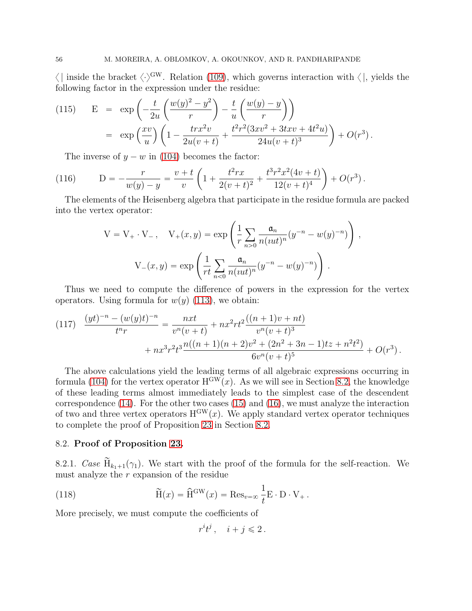$\langle \cdot \rangle^{\text{GW}}$ . Relation [\(109\)](#page-52-2), which governs interaction with  $\langle \cdot \rangle$ , yields the following factor in the expression under the residue:

<span id="page-55-1"></span>(115) 
$$
E = \exp\left(-\frac{t}{2u}\left(\frac{w(y)^2 - y^2}{r}\right) - \frac{t}{u}\left(\frac{w(y) - y}{r}\right)\right)
$$

$$
= \exp\left(\frac{xv}{u}\right)\left(1 - \frac{trx^2v}{2u(v+t)} + \frac{t^2r^2(3xv^2 + 3txv + 4t^2u)}{24u(v+t)^3}\right) + O(r^3).
$$

<span id="page-55-2"></span>The inverse of  $y - w$  in [\(104\)](#page-49-3) becomes the factor:

(116) 
$$
D = -\frac{r}{w(y) - y} = \frac{v + t}{v} \left( 1 + \frac{t^2 rx}{2(v + t)^2} + \frac{t^3 r^2 x^2 (4v + t)}{12(v + t)^4} \right) + O(r^3).
$$

The elements of the Heisenberg algebra that participate in the residue formula are packed into the vertex operator:

$$
V = V_{+} \cdot V_{-} , \quad V_{+}(x, y) = \exp \left( \frac{1}{r} \sum_{n>0} \frac{\mathfrak{a}_{n}}{n(u\omega t)^{n}} (y^{-n} - w(y)^{-n}) \right),
$$

$$
V_{-}(x, y) = \exp \left( \frac{1}{r \omega t} \sum_{n<0} \frac{\mathfrak{a}_{n}}{n(u\omega t)^{n}} (y^{-n} - w(y)^{-n}) \right).
$$

Thus we need to compute the difference of powers in the expression for the vertex operators. Using formula for  $w(y)$  [\(113\)](#page-54-2), we obtain:

<span id="page-55-3"></span>
$$
(117) \quad \frac{(yt)^{-n} - (w(y)t)^{-n}}{t^n r} = \frac{nxt}{v^n(v+t)} + nx^2rt^2\frac{((n+1)v + nt)}{v^n(v+t)^3} + nx^3r^2t^3\frac{n((n+1)(n+2)v^2 + (2n^2+3n-1)tz + n^2t^2)}{6v^n(v+t)^5} + O(r^3).
$$

The above calculations yield the leading terms of all algebraic expressions occurring in formula [\(104\)](#page-49-3) for the vertex operator  $H^{GW}(x)$ . As we will see in Section [8.2,](#page-55-0) the knowledge of these leading terms almost immediately leads to the simplest case of the descendent correspondence [\(14\)](#page-9-0). For the other two cases [\(15\)](#page-9-4) and [\(16\)](#page-9-1), we must analyze the interaction of two and three vertex operators  $H^{\text{GW}}(x)$ . We apply standard vertex operator techniques to complete the proof of Proposition [23](#page-54-1) in Section [8.2.](#page-55-0)

# <span id="page-55-5"></span><span id="page-55-0"></span>8.2. Proof of Proposition [23.](#page-54-1)

8.2.1. Case  $\widetilde{H}_{k_1+1}(\gamma_1)$ . We start with the proof of the formula for the self-reaction. We must analyze the  $r$  expansion of the residue

(118) 
$$
\widetilde{H}(x) = \widehat{H}^{GW}(x) = \text{Res}_{v=\infty} \frac{1}{t} E \cdot D \cdot V_{+}.
$$

More precisely, we must compute the coefficients of

<span id="page-55-4"></span> $r^i t^j$ ,  $i + j \leqslant 2$ .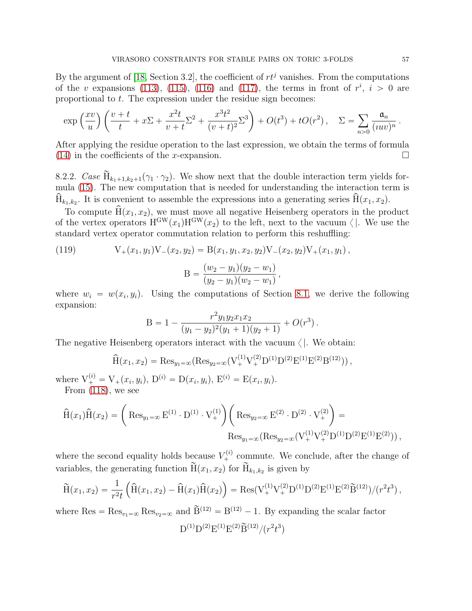By the argument of [\[18,](#page-64-0) Section 3.2], the coefficient of  $rt<sup>j</sup>$  vanishes. From the computations of the v expansions [\(113\)](#page-54-2), [\(115\)](#page-55-1), [\(116\)](#page-55-2) and [\(117\)](#page-55-3), the terms in front of  $r^i$ ,  $i > 0$  are proportional to t. The expression under the residue sign becomes:

$$
\exp\left(\frac{xv}{u}\right)\left(\frac{v+t}{t} + x\Sigma + \frac{x^2t}{v+t}\Sigma^2 + \frac{x^3t^2}{(v+t)^2}\Sigma^3\right) + O(t^3) + tO(r^2), \quad \Sigma = \sum_{n>0} \frac{\mathfrak{a}_n}{(uw)^n}.
$$

After applying the residue operation to the last expression, we obtain the terms of formula  $(14)$  in the coefficients of the x-expansion.

<span id="page-56-0"></span>8.2.2. Case  $\widetilde{H}_{k_1+1,k_2+1}(\gamma_1 \cdot \gamma_2)$ . We show next that the double interaction term yields formula [\(15\)](#page-9-4). The new computation that is needed for understanding the interaction term is  $H_{k_1,k_2}$ . It is convenient to assemble the expressions into a generating series  $H(x_1, x_2)$ .

To compute  $\hat{H}(x_1, x_2)$ , we must move all negative Heisenberg operators in the product of the vertex operators  $H^{\text{GW}}(x_1)H^{\text{GW}}(x_2)$  to the left, next to the vacuum  $\langle \cdot |$ . We use the standard vertex operator commutation relation to perform this reshuffling:

(119) 
$$
V_{+}(x_{1}, y_{1})V_{-}(x_{2}, y_{2}) = B(x_{1}, y_{1}, x_{2}, y_{2})V_{-}(x_{2}, y_{2})V_{+}(x_{1}, y_{1}),
$$

$$
(w_{2} - y_{1})(y_{2} - y_{1})
$$

$$
B = \frac{(w_2 - y_1)(y_2 - w_1)}{(y_2 - y_1)(w_2 - w_1)},
$$

where  $w_i = w(x_i, y_i)$ . Using the computations of Section [8.1,](#page-54-4) we derive the following expansion:

B = 
$$
1 - \frac{r^2 y_1 y_2 x_1 x_2}{(y_1 - y_2)^2 (y_1 + 1)(y_2 + 1)} + O(r^3)
$$
.

The negative Heisenberg operators interact with the vacuum  $\langle \cdot \rangle$ . We obtain:

$$
\widehat{H}(x_1, x_2) = \text{Res}_{y_1 = \infty}(\text{Res}_{y_2 = \infty}(V_+^{(1)}V_+^{(2)}D^{(1)}D^{(2)}E^{(1)}E^{(2)}B^{(12)})),
$$

where  $V_{+}^{(i)} = V_{+}(x_i, y_i), D^{(i)} = D(x_i, y_i), E^{(i)} = E(x_i, y_i).$ From [\(118\)](#page-55-4), we see

$$
\widehat{H}(x_1)\widehat{H}(x_2) = \left( Res_{y_1=\infty} E^{(1)} \cdot D^{(1)} \cdot V_+^{(1)} \right) \left( Res_{y_2=\infty} E^{(2)} \cdot D^{(2)} \cdot V_+^{(2)} \right) =
$$
  

$$
Res_{y_1=\infty} (Res_{y_2=\infty} (V_+^{(1)} V_+^{(2)} D^{(1)} D^{(2)} E^{(1)} E^{(2)})) ,
$$

where the second equality holds because  $V_+^{(i)}$  commute. We conclude, after the change of variables, the generating function  $H(x_1, x_2)$  for  $H_{k_1, k_2}$  is given by

$$
\widetilde{H}(x_1, x_2) = \frac{1}{r^2 t} \left( \widehat{H}(x_1, x_2) - \widehat{H}(x_1) \widehat{H}(x_2) \right) = \text{Res}(V^{(1)}_+ V^{(2)}_+ D^{(1)} D^{(2)} E^{(1)} E^{(2)} \widetilde{B}^{(12)}) / (r^2 t^3),
$$

where  $\text{Res} = \text{Res}_{v_1 = \infty} \text{Res}_{v_2 = \infty}$  and  $\widetilde{B}^{(12)} = B^{(12)} - 1$ . By expanding the scalar factor  ${\rm D}^{(1)}{\rm D}^{(2)}{\rm E}^{(1)}{\rm E}^{(2)}\widetilde{\rm B}^{(12)}/(r^2t^3)$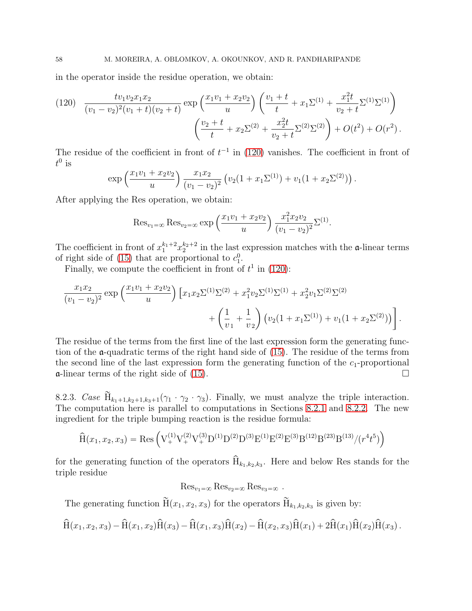in the operator inside the residue operation, we obtain:

<span id="page-57-0"></span>
$$
(120) \frac{tv_1v_2x_1x_2}{(v_1-v_2)^2(v_1+t)(v_2+t)} \exp\left(\frac{x_1v_1+x_2v_2}{u}\right) \left(\frac{v_1+t}{t}+x_1\Sigma^{(1)}+\frac{x_1^2t}{v_2+t}\Sigma^{(1)}\Sigma^{(1)}\right) \left(\frac{v_2+t}{t}+x_2\Sigma^{(2)}+\frac{x_2^2t}{v_2+t}\Sigma^{(2)}\Sigma^{(2)}\right) + O(t^2) + O(r^2) .
$$

The residue of the coefficient in front of  $t^{-1}$  in [\(120\)](#page-57-0) vanishes. The coefficient in front of  $t^0$  is

$$
\exp\left(\frac{x_1v_1+x_2v_2}{u}\right)\frac{x_1x_2}{(v_1-v_2)^2}\left(v_2(1+x_1\Sigma^{(1)})+v_1(1+x_2\Sigma^{(2)})\right).
$$

After applying the Res operation, we obtain:

Res<sub>v<sub>1</sub>=\infty</sub> Res<sub>v<sub>2</sub>=\infty</sub> exp 
$$
\left(\frac{x_1v_1 + x_2v_2}{u}\right) \frac{x_1^2x_2v_2}{(v_1 - v_2)^2} \Sigma^{(1)}
$$
.

The coefficient in front of  $x_1^{k_1+2}x_2^{k_2+2}$  in the last expression matches with the  $\alpha$ -linear terms of right side of [\(15\)](#page-9-4) that are proportional to  $c_1^0$ .

Finally, we compute the coefficient in front of  $t^1$  in [\(120\)](#page-57-0):

$$
\frac{x_1x_2}{(v_1-v_2)^2} \exp\left(\frac{x_1v_1+x_2v_2}{u}\right) \left[x_1x_2\Sigma^{(1)}\Sigma^{(2)} + x_1^2v_2\Sigma^{(1)}\Sigma^{(1)} + x_2^2v_1\Sigma^{(2)}\Sigma^{(2)} + \left(\frac{1}{v_1} + \frac{1}{v_2}\right)\left(v_2(1+x_1\Sigma^{(1)}) + v_1(1+x_2\Sigma^{(2)})\right)\right].
$$

The residue of the terms from the first line of the last expression form the generating function of the a-quadratic terms of the right hand side of [\(15\)](#page-9-4). The residue of the terms from the second line of the last expression form the generating function of the  $c_1$ -proportional  $\alpha$ -linear terms of the right side of [\(15\)](#page-9-4).

8.2.3. Case  $\widetilde{H}_{k_1+1,k_2+1,k_3+1}(\gamma_1 \cdot \gamma_2 \cdot \gamma_3)$ . Finally, we must analyze the triple interaction. The computation here is parallel to computations in Sections [8.2.1](#page-55-5) and [8.2.2.](#page-56-0) The new ingredient for the triple bumping reaction is the residue formula:

$$
\hat{H}(x_1, x_2, x_3) = \text{Res}\left(V_+^{(1)}V_+^{(2)}V_+^{(3)}D^{(1)}D^{(2)}D^{(3)}E^{(1)}E^{(2)}E^{(3)}B^{(12)}B^{(23)}B^{(13)}/(r^4t^5)\right)
$$

for the generating function of the operators  $H_{k_1,k_2,k_3}$ . Here and below Res stands for the triple residue

 $\text{Res}_{v_1=\infty} \text{Res}_{v_2=\infty} \text{Res}_{v_3=\infty}$ .

The generating function  $H(x_1, x_2, x_3)$  for the operators  $H_{k_1, k_2, k_3}$  is given by:

$$
\widehat{H}(x_1, x_2, x_3) - \widehat{H}(x_1, x_2)\widehat{H}(x_3) - \widehat{H}(x_1, x_3)\widehat{H}(x_2) - \widehat{H}(x_2, x_3)\widehat{H}(x_1) + 2\widehat{H}(x_1)\widehat{H}(x_2)\widehat{H}(x_3).
$$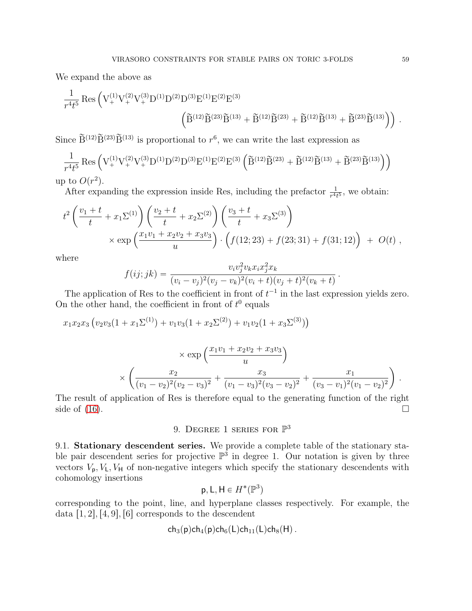We expand the above as

$$
\frac{1}{r^4t^5} \operatorname{Res} \left( V_+^{(1)} V_+^{(2)} V_+^{(3)} D^{(1)} D^{(2)} D^{(3)} E^{(1)} E^{(2)} E^{(3)} \right) \left( \widetilde{B}^{(12)} \widetilde{B}^{(13)} + \widetilde{B}^{(12)} \widetilde{B}^{(23)} + \widetilde{B}^{(12)} \widetilde{B}^{(13)} + \widetilde{B}^{(23)} \widetilde{B}^{(13)} \right) \right) .
$$

Since  $\widetilde{B}^{(12)}\widetilde{B}^{(23)}\widetilde{B}^{(13)}$  is proportional to  $r^6$ , we can write the last expression as

$$
\frac{1}{r^4t^5} \operatorname{Res} \left( V^{(1)}_+ V^{(2)}_+ V^{(3)}_+ D^{(1)} D^{(2)} D^{(3)} E^{(1)} E^{(2)} E^{(3)} \left( \widetilde{B}^{(12)} \widetilde{B}^{(23)} + \widetilde{B}^{(12)} \widetilde{B}^{(13)} + \widetilde{B}^{(23)} \widetilde{B}^{(13)} \right) \right)
$$

up to  $O(r^2)$ . After expanding the expression inside Res, including the prefactor  $\frac{1}{r^4t^5}$ , we obtain:

$$
t^{2}\left(\frac{v_{1}+t}{t}+x_{1}\Sigma^{(1)}\right)\left(\frac{v_{2}+t}{t}+x_{2}\Sigma^{(2)}\right)\left(\frac{v_{3}+t}{t}+x_{3}\Sigma^{(3)}\right) \times \exp\left(\frac{x_{1}v_{1}+x_{2}v_{2}+x_{3}v_{3}}{u}\right) \cdot \left(f(12;23)+f(23;31)+f(31;12)\right) + O(t) ,
$$

where

$$
f(ij; jk) = \frac{v_i v_j^2 v_k x_i x_j^2 x_k}{(v_i - v_j)^2 (v_j - v_k)^2 (v_i + t)(v_j + t)^2 (v_k + t)}.
$$

The application of Res to the coefficient in front of  $t^{-1}$  in the last expression yields zero. On the other hand, the coefficient in front of  $t^0$  equals

$$
x_1x_2x_3(v_2v_3(1+x_1\Sigma^{(1)})+v_1v_3(1+x_2\Sigma^{(2)})+v_1v_2(1+x_3\Sigma^{(3)}))
$$

$$
\times \exp\left(\frac{x_1v_1 + x_2v_2 + x_3v_3}{u}\right) \times \left(\frac{x_2}{(v_1 - v_2)^2(v_2 - v_3)^2} + \frac{x_3}{(v_1 - v_3)^2(v_3 - v_2)^2} + \frac{x_1}{(v_3 - v_1)^2(v_1 - v_2)^2}\right).
$$

<span id="page-58-0"></span>The result of application of Res is therefore equal to the generating function of the right side of  $(16)$ .

# 9. DEGREE 1 SERIES FOR  $\mathbb{P}^3$

9.1. Stationary descendent series. We provide a complete table of the stationary stable pair descendent series for projective  $\mathbb{P}^3$  in degree 1. Our notation is given by three vectors  $V_p$ ,  $V_l$ ,  $V_H$  of non-negative integers which specify the stationary descendents with cohomology insertions

$$
\mathsf{p},\mathsf{L},\mathsf{H}\in H^*(\mathbb{P}^3)
$$

corresponding to the point, line, and hyperplane classes respectively. For example, the data  $[1, 2], [4, 9], [6]$  corresponds to the descendent

$$
\mathsf{ch}_3(\mathsf{p})\mathsf{ch}_4(\mathsf{p})\mathsf{ch}_6(\mathsf{L})\mathsf{ch}_{11}(\mathsf{L})\mathsf{ch}_8(\mathsf{H})\,.
$$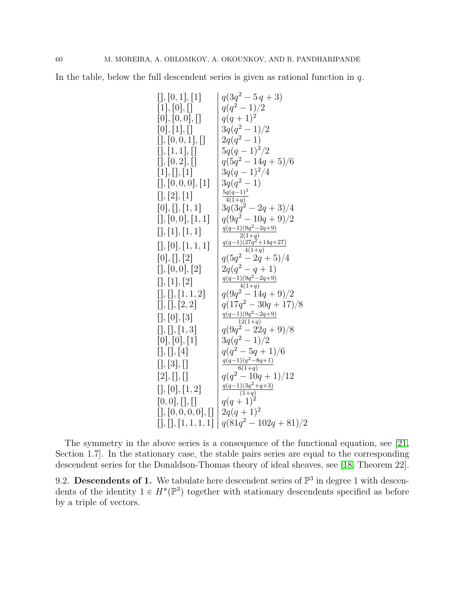In the table, below the full descendent series is given as rational function in  $q$ .

$$
[1, [0, 1], [1] \n [0], [1, [0, 0], [0, 0], [1, 0], [0, 0, 1], [0, 0, 1], [1, 1, 1], [0, 0, 0], [1, 1, 1], [1, 1, 1, 1], [2, 0, 0, 0], [1, 1, 1], [2, 1, 1], [2, 1, 1], [2, 1, 1], [2, 1, 1], [2, 1, 1], [2, 1, 1], [2, 1, 1], [2, 1, 1], [2, 1, 1], [2, 1, 1], [2, 1, 1], [2, 1, 1], [2, 1, 1], [2, 1, 1], [2, 1, 1], [2, 1, 1], [2, 1, 1], [2, 1, 1], [2, 1, 1], [2, 1, 1], [2, 1, 1], [2, 1, 1], [2, 1, 1], [2, 1, 1], [2, 1], [2, 1], [2, 1], [2, 1], [2, 1], [2, 1], [2, 1], [2, 1], [2, 1], [2, 1], [2, 1], [2, 1], [2, 1], [2, 1], [2, 1], [2, 1], [2, 1], [2, 1], [2, 1], [2, 1], [2, 1], [2, 1], [2, 1], [2, 1], [2, 1], [2, 1], [2, 1], [2, 1], [2, 1], [2, 1], [2, 1], [2, 1], [2, 1], [2, 1], [2, 1], [2, 1], [2, 1], [2, 1], [2, 1], [2, 1], [2, 1], [2, 1], [2, 1], [2, 1], [2, 1], [2], [2, 1], [2], [2, 1], [2], [2], [1, 1], [2], [2], [1, 1], [2], [2], [1, 1], [2], [2], [1, 1], [2], [2, 1], [2], [1, 1], [2], [2, 1], [2], [2, 1], [2], [2], [1, 1], [2], [2, 1], [2], [2], [1, 1], [2], [2, 1], [2], [2, 1], [2], [
$$

The symmetry in the above series is a consequence of the functional equation, see [\[21,](#page-64-2) Section 1.7]. In the stationary case, the stable pairs series are equal to the corresponding descendent series for the Donaldson-Thomas theory of ideal sheaves, see [\[18,](#page-64-0) Theorem 22].

9.2. Descendents of 1. We tabulate here descendent series of  $\mathbb{P}^3$  in degree 1 with descendents of the identity  $1 \in H^*(\mathbb{P}^3)$  together with stationary descendents specified as before by a triple of vectors.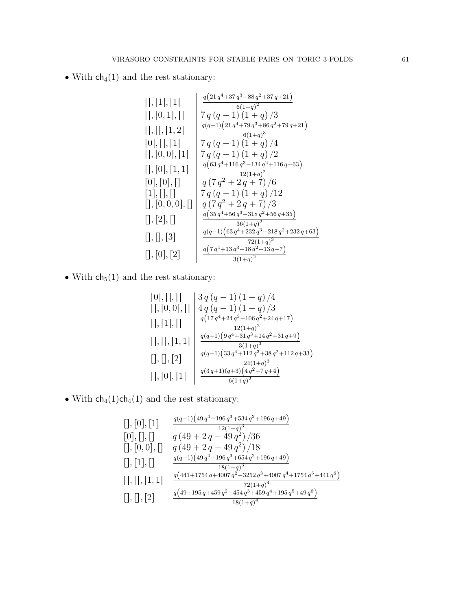• With  $\mathsf{ch}_4(1)$  and the rest stationary:

rs,r1s,r1s <sup>q</sup>p<sup>21</sup> <sup>q</sup> `37 q ´88 q `<sup>37</sup> <sup>q</sup>`<sup>21</sup>q p1`qq rs,r0, 1s,rs 7 q pq ´ 1q p1 ` qq {3 rs,rs,r1, 2s <sup>q</sup>pq´1<sup>q</sup>p<sup>21</sup> <sup>q</sup> `79 q `86 q `<sup>79</sup> <sup>q</sup>`<sup>21</sup>q p1`qq r0s,rs,r1s 7 q pq ´ 1q p1 ` qq {4 rs,r0, 0s,r1s 7 q pq ´ 1q p1 ` qq {2 rs,r0s,r1, 1s <sup>q</sup>p<sup>63</sup> <sup>q</sup> `116 q ´134 q `<sup>116</sup> <sup>q</sup>`<sup>63</sup>q p1`qq r0s,r0s,rs q p7 q ` <sup>2</sup> <sup>q</sup> ` <sup>7</sup>q {<sup>6</sup> r1s,rs,rs 7 q pq ´ 1q p1 ` qq {12 rs,r0, 0, 0s,rs q p7 q ` <sup>2</sup> <sup>q</sup> ` <sup>7</sup>q {<sup>3</sup> rs,r2s,rs <sup>q</sup>p<sup>35</sup> <sup>q</sup> `56 q ´318 q `<sup>56</sup> <sup>q</sup>`<sup>35</sup>q p1`qq rs,rs,r3s <sup>q</sup>pq´1<sup>q</sup>p<sup>63</sup> <sup>q</sup> `232 q `218 q `<sup>232</sup> <sup>q</sup>`<sup>63</sup>q p1`qq rs,r0s,r2s <sup>q</sup>p<sup>7</sup> <sup>q</sup> `13 q ´18 q `<sup>13</sup> <sup>q</sup>`<sup>7</sup>q p1`qq 

• With  $\mathsf{ch}_5(1)$  and the rest stationary:

r0s,rs,rs 3 q pq ´ 1q p1 ` qq {4 rs,r0, 0s,rs 4 q pq ´ 1q p1 ` qq {3 rs,r1s,rs <sup>q</sup>p<sup>17</sup> <sup>q</sup> `24 q ´106 q `<sup>24</sup> <sup>q</sup>`<sup>17</sup>q p1`qq rs,rs,r1, 1s <sup>q</sup>pq´1<sup>q</sup>p<sup>9</sup> <sup>q</sup> `31 q `14 q `<sup>31</sup> <sup>q</sup>`<sup>9</sup>q p1`qq rs,rs,r2s <sup>q</sup>pq´1<sup>q</sup>p<sup>33</sup> <sup>q</sup> `112 q `38 q `<sup>112</sup> <sup>q</sup>`<sup>33</sup>q p1`qq rs,r0s,r1s <sup>q</sup>p<sup>3</sup> <sup>q</sup>`1qpq`3<sup>q</sup>p<sup>4</sup> <sup>q</sup> ´<sup>7</sup> <sup>q</sup>`<sup>4</sup>q p1`qq 

• With  $\text{ch}_4(1)\text{ch}_4(1)$  and the rest stationary:

rs,r0s,r1s <sup>q</sup>pq´1<sup>q</sup>p<sup>49</sup> <sup>q</sup> `196 q `534 q `<sup>196</sup> <sup>q</sup>`<sup>49</sup>q p1`qq r0s,rs,rs q p49 ` 2 q ` 49 q q {36 rs,r0, 0s,rs q p49 ` 2 q ` 49 q q {18 rs,r1s,rs <sup>q</sup>pq´1<sup>q</sup>p<sup>49</sup> <sup>q</sup> `196 q `654 q `<sup>196</sup> <sup>q</sup>`<sup>49</sup>q p1`qq rs,rs,r1, 1s <sup>q</sup>p<sup>441</sup>`<sup>1754</sup> <sup>q</sup>`<sup>4007</sup> <sup>q</sup> ´3252 q `4007 q `1754 q `441 q q p1`qq rs,rs,r2s <sup>q</sup>p<sup>49</sup>`<sup>195</sup> <sup>q</sup>`<sup>459</sup> <sup>q</sup> ´454 q `459 q `195 q `49 q q p1`qq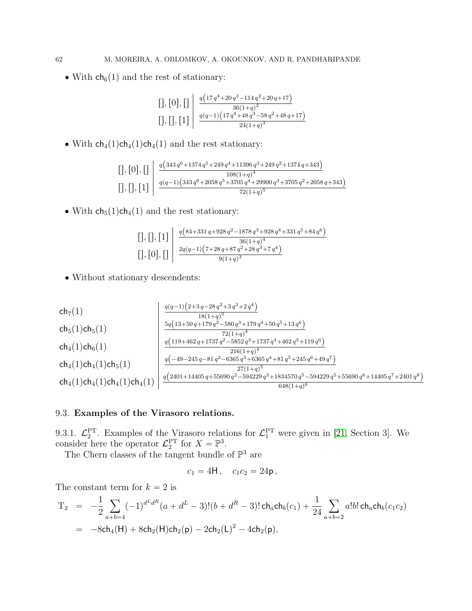• With  $ch_6(1)$  and the rest of stationary:

$$
\left[\left],\left[0\right],\left[\left]\right]\right|\right] \xrightarrow{q\left(17q^4+20q^3-114q^2+20q+17\right)} \frac{36(1+q)^2}{36(1+q)^2}
$$

$$
\left[\left],\left[\left],\left[1\right]\right]\right| \xrightarrow{q\left(q-1\right)\left(17q^4+48q^3-58q^2+48q+17\right)} \frac{q(q-1)\left(17q^4+48q^3-58q^2+48q+17\right)}{24(1+q)^3}
$$

• With  $\mathsf{ch}_4(1)\mathsf{ch}_4(1)\mathsf{ch}_4(1)$  and the rest stationary:

$$
\left[ \left[ , \left[ 0 \right], \left[ \right] \right] \left| \begin{array}{c} q \left( 343\,q^{6} + 1374\,q^{5} + 249\,q^{4} + 11396\,q^{3} + 249\,q^{2} + 1374\,q + 343 \right) \\ 108(1+q)^{4} \\ \left[ 1, \left[ \right], \left[ \left[ \right] \right] \right] \left| \begin{array}{c} q(q-1) \left( 343\,q^{6} + 2058\,q^{5} + 3705\,q^{4} + 29900\,q^{3} + 3705\,q^{2} + 2058\,q + 343 \right) \\ 72(1+q)^{5} \end{array} \right.
$$

• With  $\mathsf{ch}_5(1)\mathsf{ch}_4(1)$  and the rest stationary:

$$
\left[\big],\big[1\big]\right| \left\{ \frac{q(84+331q+928q^2-1878q^3+928q^4+331q^5+84q^6)}{36(1+q)^4} \right\}
$$
  

$$
\left[\big],\big[0\big],\big[1\big]\right| \left\{ \frac{2q(q-1)\left(7+28q+87q^2+28q^3+7q^4\right)}{9(1+q)^3} \right\}
$$

' Without stationary descendents:

$$
\left.\begin{array}{l|l} \text{ch}_7(1) & \frac{q(q-1)\left(2+3\,q-28\,q^2+3\,q^3+2\,q^4\right)}{18(1+q)^3} \\ \text{ch}_5(1)\text{ch}_5(1) & \frac{5q\left(13+50\,q+179\,q^2-580\,q^3+179\,q^4+50\,q^5+13\,q^6\right)}{72(1+q)^4} \\ \text{ch}_4(1)\text{ch}_6(1) & \frac{q\left(119+462\,q+1737\,q^2-5852\,q^3+1737\,q^4+462\,q^5+119\,q^6\right)}{216(1+q)^4} \\ \text{ch}_4(1)\text{ch}_4(1)\text{ch}_5(1) & \frac{q\left(-49-245\,q-81\,q^2-6365\,q^3+6365\,q^4+81\,q^5+245\,q^6+49\,q^7\right)}{27(1+q)^5} \\ \text{ch}_4(1)\text{ch}_4(1)\text{ch}_4(1)\text{ch}_4(1) & \frac{q\left(2401+14405\,q+55690\,q^2-594229\,q^3+1834570\,q^5-594229\,q^5+55690\,q^6+14405\,q^7+2401\,q^8\right)}{648(1+q)^6} \end{array} \right.
$$

# 9.3. Examples of the Virasoro relations.

9.3.1.  $\mathcal{L}_2^{\text{PT}}$ . Examples of the Virasoro relations for  $\mathcal{L}_1^{\text{PT}}$  were given in [\[21,](#page-64-2) Section 3]. We consider here the operator  $\mathcal{L}_2^{\text{PT}}$  for  $X = \mathbb{P}^3$ .

The Chern classes of the tangent bundle of  $\mathbb{P}^3$  are

$$
c_1 = 4H, \quad c_1c_2 = 24p,
$$

The constant term for  $k = 2$  is

$$
T_2 = -\frac{1}{2} \sum_{a+b=4} (-1)^{d^L d^R} (a + d^L - 3)!(b + d^R - 3)! \operatorname{ch}_a \operatorname{ch}_b(c_1) + \frac{1}{24} \sum_{a+b=2} a!b! \operatorname{ch}_a \operatorname{ch}_b(c_1 c_2)
$$
  
= -8\operatorname{ch}\_4(H) + 8\operatorname{ch}\_2(H)\operatorname{ch}\_2(p) - 2\operatorname{ch}\_2(L)^2 - 4\operatorname{ch}\_2(p),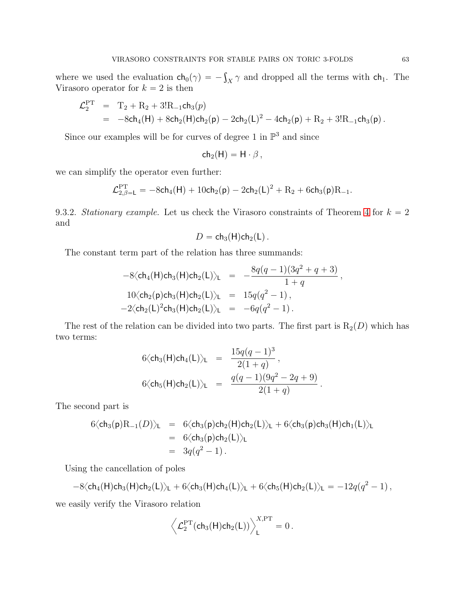where we used the evaluation  $ch_0(\gamma) = -\int_X \gamma$  and dropped all the terms with  $ch_1$ . The Virasoro operator for  $k = 2$  is then

$$
\begin{array}{lll} \mathcal{L}_2^{\rm PT} &=& \mathrm{T}_2 + \mathrm{R}_2 + 3! \mathrm{R}_{-1} \mathsf{ch}_3(p) \\ &=& -8\mathsf{ch}_4(\mathsf{H}) + 8\mathsf{ch}_2(\mathsf{H})\mathsf{ch}_2(\mathsf{p}) - 2\mathsf{ch}_2(\mathsf{L})^2 - 4\mathsf{ch}_2(\mathsf{p}) + \mathrm{R}_2 + 3! \mathrm{R}_{-1} \mathsf{ch}_3(\mathsf{p}) \,. \end{array}
$$

Since our examples will be for curves of degree 1 in  $\mathbb{P}^3$  and since

$$
ch_2(H) = H \cdot \beta \,,
$$

we can simplify the operator even further:

$$
\mathcal{L}_{2,\beta=L}^{\rm PT} = -8\mathsf{ch}_4(\mathsf{H}) + 10\mathsf{ch}_2(\mathsf{p}) - 2\mathsf{ch}_2(\mathsf{L})^2 + R_2 + 6\mathsf{ch}_3(\mathsf{p})R_{-1}.
$$

9.3.2. Stationary example. Let us check the Virasoro constraints of Theorem [4](#page-4-0) for  $k = 2$ and

$$
D=\mathsf{ch}_3(\mathsf{H})\mathsf{ch}_2(\mathsf{L}).
$$

The constant term part of the relation has three summands:

$$
-8\langle ch_4(H)ch_3(H)ch_2(L)\rangle_L = -\frac{8q(q-1)(3q^2+q+3)}{1+q},
$$
  
\n
$$
10\langle ch_2(p)ch_3(H)ch_2(L)\rangle_L = 15q(q^2-1),
$$
  
\n
$$
-2\langle ch_2(L)^2ch_3(H)ch_2(L)\rangle_L = -6q(q^2-1).
$$

The rest of the relation can be divided into two parts. The first part is  $R_2(D)$  which has two terms:

$$
6\langle ch_3(H)ch_4(L)\rangle_L = \frac{15q(q-1)^3}{2(1+q)},
$$
  
\n
$$
6\langle ch_5(H)ch_2(L)\rangle_L = \frac{q(q-1)(9q^2-2q+9)}{2(1+q)}.
$$

The second part is

$$
6\langle ch_3(p)R_{-1}(D)\rangle_L = 6\langle ch_3(p)ch_2(H)ch_2(L)\rangle_L + 6\langle ch_3(p)ch_3(H)ch_1(L)\rangle_L
$$
  
= 6\langle ch\_3(p)ch\_2(L)\rangle\_L  
= 3q(q^2 - 1).

Using the cancellation of poles

$$
-8\langle ch_4(H)ch_3(H)ch_2(L)\rangle_L + 6\langle ch_3(H)ch_4(L)\rangle_L + 6\langle ch_5(H)ch_2(L)\rangle_L = -12q(q^2-1),
$$

we easily verify the Virasoro relation

$$
\left\langle \mathcal{L}_2^{\mathrm{PT}}(\mathsf{ch}_3(\mathsf{H})\mathsf{ch}_2(\mathsf{L})) \right\rangle_{\mathsf{L}}^{X,\mathrm{PT}} = 0.
$$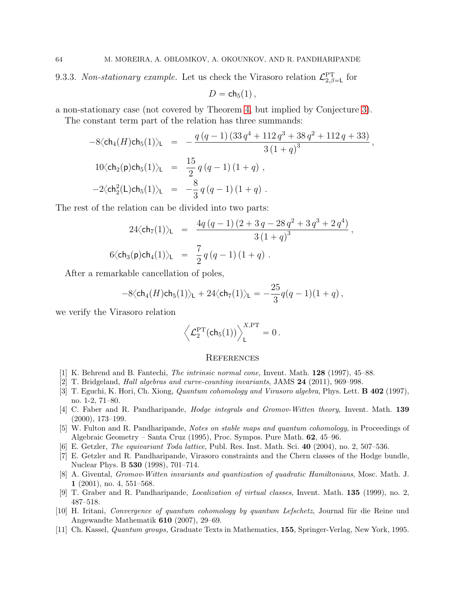9.3.3. Non-stationary example. Let us check the Virasoro relation  $\mathcal{L}_{2,\beta=1}^{\text{PT}}$  for

$$
D=\mathsf{ch}_5(1)\,,
$$

a non-stationary case (not covered by Theorem [4,](#page-4-0) but implied by Conjecture [3\)](#page-4-2).

The constant term part of the relation has three summands:

$$
-8\langle ch_4(H)ch_5(1)\rangle_{\mathsf{L}} = -\frac{q(q-1)(33q^4+112q^3+38q^2+112q+33)}{3(1+q)^3},
$$
  
\n
$$
10\langle ch_2(\mathsf{p})ch_5(1)\rangle_{\mathsf{L}} = \frac{15}{2}q(q-1)(1+q),
$$
  
\n
$$
-2\langle ch_2^2(\mathsf{L})ch_5(1)\rangle_{\mathsf{L}} = -\frac{8}{3}q(q-1)(1+q).
$$

The rest of the relation can be divided into two parts:

$$
24\langle ch_7(1)\rangle_{\mathsf{L}} = \frac{4q(q-1)(2+3q-28q^2+3q^3+2q^4)}{3(1+q)^3},
$$
  
6 $\langle ch_3(\mathsf{p})ch_4(1)\rangle_{\mathsf{L}} = \frac{7}{2}q(q-1)(1+q).$ 

After a remarkable cancellation of poles,

$$
-8\langle ch_4(H)ch_5(1)\rangle_{\rm L} + 24\langle ch_7(1)\rangle_{\rm L} = -\frac{25}{3}q(q-1)(1+q)\,,
$$

we verify the Virasoro relation

$$
\left\langle \mathcal{L}^{PT}_2(\mathsf{ch}_5(1)) \right\rangle^{X,PT}_\mathsf{L} = 0\,.
$$

#### <span id="page-63-0"></span>**REFERENCES**

- <span id="page-63-6"></span><span id="page-63-1"></span>[1] K. Behrend and B. Fantechi, The intrinsic normal cone, Invent. Math. 128 (1997), 45–88.
- <span id="page-63-4"></span>[2] T. Bridgeland, Hall algebras and curve-counting invariants, JAMS 24 (2011), 969–998.
- [3] T. Eguchi, K. Hori, Ch. Xiong, *Quantum cohomology and Virasoro algebra*, Phys. Lett. **B 402** (1997), no. 1-2, 71–80.
- <span id="page-63-8"></span>[4] C. Faber and R. Pandharipande, *Hodge integrals and Gromov-Witten theory*, Invent. Math. 139 (2000), 173–199.
- <span id="page-63-7"></span>[5] W. Fulton and R. Pandharipande, Notes on stable maps and quantum cohomology, in Proceedings of Algebraic Geometry – Santa Cruz (1995), Proc. Sympos. Pure Math. 62, 45–96.
- <span id="page-63-5"></span>[6] E. Getzler, The equivariant Toda lattice, Publ. Res. Inst. Math. Sci. 40 (2004), no. 2, 507–536.
- [7] E. Getzler and R. Pandharipande, Virasoro constraints and the Chern classes of the Hodge bundle, Nuclear Phys. B 530 (1998), 701–714.
- <span id="page-63-2"></span>[8] A. Givental, Gromov-Witten invariants and quantization of quadratic Hamiltonians, Mosc. Math. J. 1 (2001), no. 4, 551–568.
- <span id="page-63-9"></span><span id="page-63-3"></span>[9] T. Graber and R. Pandharipande, Localization of virtual classes, Invent. Math. 135 (1999), no. 2, 487–518.
- [10] H. Iritani, Convergence of quantum cohomology by quantum Lefschetz, Journal für die Reine und Angewandte Mathematik 610 (2007), 29–69.
- <span id="page-63-10"></span>[11] Ch. Kassel, Quantum groups, Graduate Texts in Mathematics, 155, Springer-Verlag, New York, 1995.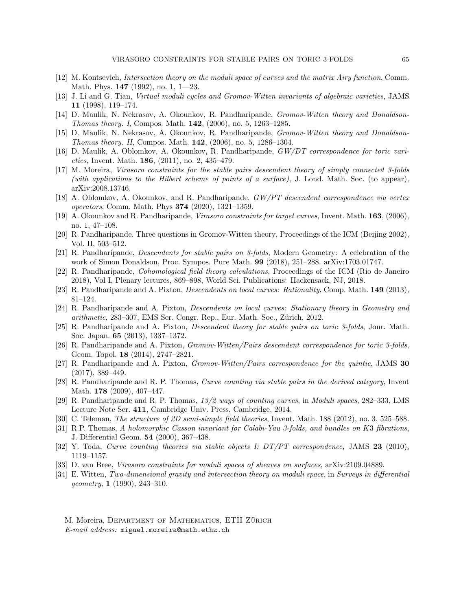- <span id="page-64-19"></span><span id="page-64-15"></span>[12] M. Kontsevich, Intersection theory on the moduli space of curves and the matrix Airy function, Comm. Math. Phys. 147 (1992), no. 1, 1—23.
- [13] J. Li and G. Tian, Virtual moduli cycles and Gromov-Witten invariants of algebraic varieties, JAMS 11 (1998), 119–174.
- <span id="page-64-16"></span>[14] D. Maulik, N. Nekrasov, A. Okounkov, R. Pandharipande, Gromov-Witten theory and Donaldson-Thomas theory. I, Compos. Math. 142, (2006), no. 5, 1263–1285.
- <span id="page-64-17"></span>[15] D. Maulik, N. Nekrasov, A. Okounkov, R. Pandharipande, Gromov-Witten theory and Donaldson-*Thomas theory. II, Compos. Math.* **142**,  $(2006)$ , no. 5, 1286–1304.
- <span id="page-64-21"></span>[16] D. Maulik, A. Oblomkov, A. Okounkov, R. Pandharipande,  $GW/DT$  correspondence for toric varieties, Invent. Math. 186, (2011), no. 2, 435–479.
- <span id="page-64-10"></span>[17] M. Moreira, Virasoro constraints for the stable pairs descendent theory of simply connected 3-folds (with applications to the Hilbert scheme of points of a surface), J. Lond. Math. Soc. (to appear), arXiv:2008.13746.
- <span id="page-64-0"></span>[18] A. Oblomkov, A. Okounkov, and R. Pandharipande. GW/PT descendent correspondence via vertex operators, Comm. Math. Phys 374 (2020), 1321–1359.
- <span id="page-64-12"></span>[19] A. Okounkov and R. Pandharipande, Virasoro constraints for target curves, Invent. Math. 163, (2006), no. 1, 47–108.
- <span id="page-64-13"></span>[20] R. Pandharipande. Three questions in Gromov-Witten theory, Proceedings of the ICM (Beijing 2002), Vol. II, 503–512.
- <span id="page-64-2"></span>[21] R. Pandharipande, Descendents for stable pairs on 3-folds, Modern Geometry: A celebration of the work of Simon Donaldson, Proc. Sympos. Pure Math. 99 (2018), 251–288. arXiv:1703.01747.
- <span id="page-64-20"></span>[22] R. Pandharipande, Cohomological field theory calculations, Proceedings of the ICM (Rio de Janeiro 2018), Vol I, Plenary lectures, 869–898, World Sci. Publications: Hackensack, NJ, 2018.
- <span id="page-64-6"></span><span id="page-64-5"></span>[23] R. Pandharipande and A. Pixton, Descendents on local curves: Rationality, Comp. Math. 149 (2013), 81–124.
- [24] R. Pandharipande and A. Pixton, Descendents on local curves: Stationary theory in Geometry and arithmetic, 283–307, EMS Ser. Congr. Rep., Eur. Math. Soc., Zürich, 2012.
- <span id="page-64-7"></span>[25] R. Pandharipande and A. Pixton, Descendent theory for stable pairs on toric 3-folds, Jour. Math. Soc. Japan. 65 (2013), 1337–1372.
- <span id="page-64-8"></span>[26] R. Pandharipande and A. Pixton, Gromov-Witten/Pairs descendent correspondence for toric 3-folds, Geom. Topol. 18 (2014), 2747–2821.
- <span id="page-64-9"></span>[27] R. Pandharipande and A. Pixton, Gromov-Witten/Pairs correspondence for the quintic, JAMS 30 (2017), 389–449.
- <span id="page-64-1"></span>[28] R. Pandharipande and R. P. Thomas, Curve counting via stable pairs in the derived category, Invent Math. **178** (2009), 407-447.
- <span id="page-64-3"></span>[29] R. Pandharipande and R. P. Thomas, 13/2 ways of counting curves, in Moduli spaces, 282–333, LMS Lecture Note Ser. 411, Cambridge Univ. Press, Cambridge, 2014.
- <span id="page-64-14"></span>[30] C. Teleman, *The structure of 2D semi-simple field theories*, Invent. Math. 188 (2012), no. 3, 525–588.
- [31] R.P. Thomas, A holomorphic Casson invariant for Calabi-Yau 3-folds, and bundles on K3 fibrations, J. Differential Geom. 54 (2000), 367–438.
- <span id="page-64-11"></span><span id="page-64-4"></span>[32] Y. Toda, Curve counting theories via stable objects I: DT/PT correspondence, JAMS 23 (2010), 1119–1157.
- <span id="page-64-18"></span>[33] D. van Bree, Virasoro constraints for moduli spaces of sheaves on surfaces, arXiv:2109.04889.
- [34] E. Witten, Two-dimensional gravity and intersection theory on moduli space, in Surveys in differential geometry, 1 (1990), 243–310.

M. Moreira, DEPARTMENT OF MATHEMATICS, ETH ZÜRICH E-mail address: miguel.moreira@math.ethz.ch